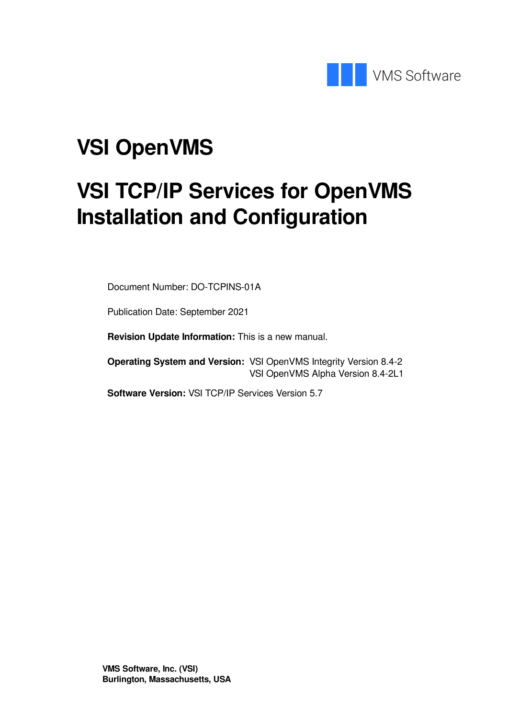

# **VSI OpenVMS**

# **VSI TCP/IP Services for OpenVMS Installation and Configuration**

Document Number: DO-TCPINS-01A

Publication Date: September 2021

**Revision Update Information:** This is a new manual.

**Operating System and Version:** VSI OpenVMS Integrity Version 8.4-2 VSI OpenVMS Alpha Version 8.4-2L1

**Software Version:** VSI TCP/IP Services Version 5.7

**VMS Software, Inc. (VSI) Burlington, Massachusetts, USA**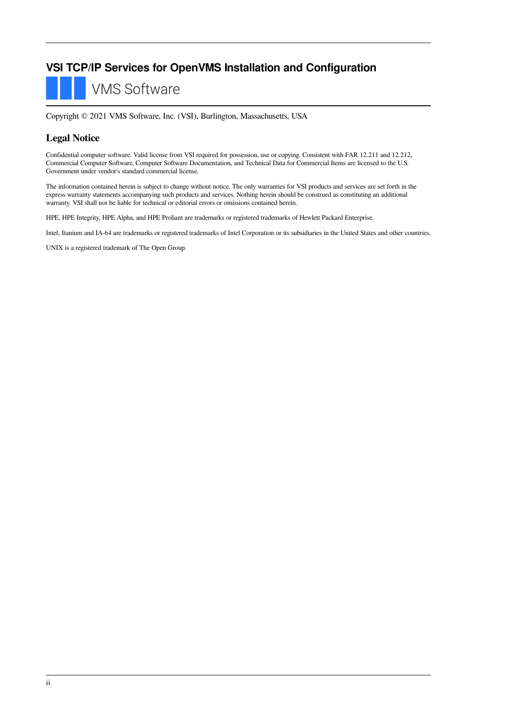### **VSI TCP/IP Services for OpenVMS Installation and Configuration**

**VMS Software** 

Copyright © 2021 VMS Software, Inc. (VSI), Burlington, Massachusetts, USA

#### **Legal Notice**

Confidential computer software. Valid license from VSI required for possession, use or copying. Consistent with FAR 12.211 and 12.212, Commercial Computer Software, Computer Software Documentation, and Technical Data for Commercial Items are licensed to the U.S. Government under vendor's standard commercial license.

The information contained herein is subject to change without notice. The only warranties for VSI products and services are set forth in the express warranty statements accompanying such products and services. Nothing herein should be construed as constituting an additional warranty. VSI shall not be liable for technical or editorial errors or omissions contained herein.

HPE, HPE Integrity, HPE Alpha, and HPE Proliant are trademarks or registered trademarks of Hewlett Packard Enterprise.

Intel, Itanium and IA-64 are trademarks or registered trademarks of Intel Corporation or its subsidiaries in the United States and other countries.

UNIX is a registered trademark of The Open Group.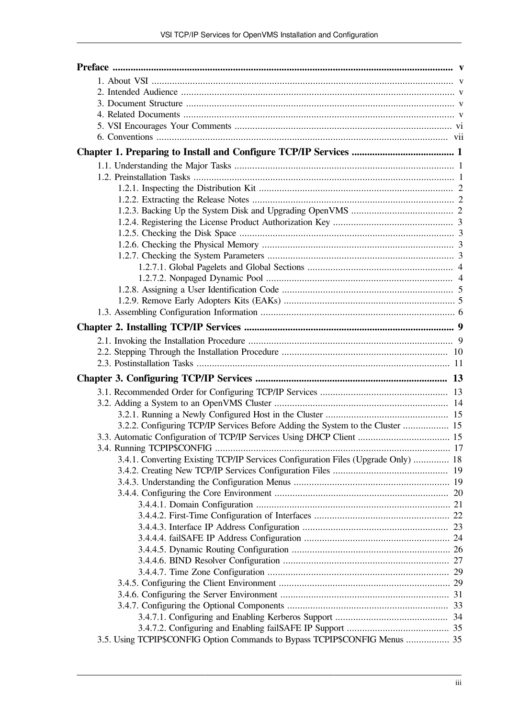| 3.2.2. Configuring TCP/IP Services Before Adding the System to the Cluster  15    |  |
|-----------------------------------------------------------------------------------|--|
| 3.3. Automatic Configuration of TCP/IP Services Using DHCP Client  15             |  |
|                                                                                   |  |
| 3.4.1. Converting Existing TCP/IP Services Configuration Files (Upgrade Only)  18 |  |
|                                                                                   |  |
|                                                                                   |  |
|                                                                                   |  |
|                                                                                   |  |
|                                                                                   |  |
|                                                                                   |  |
|                                                                                   |  |
|                                                                                   |  |
|                                                                                   |  |
|                                                                                   |  |
|                                                                                   |  |
|                                                                                   |  |
|                                                                                   |  |
|                                                                                   |  |
| 3.5. Using TCPIP\$CONFIG Option Commands to Bypass TCPIP\$CONFIG Menus  35        |  |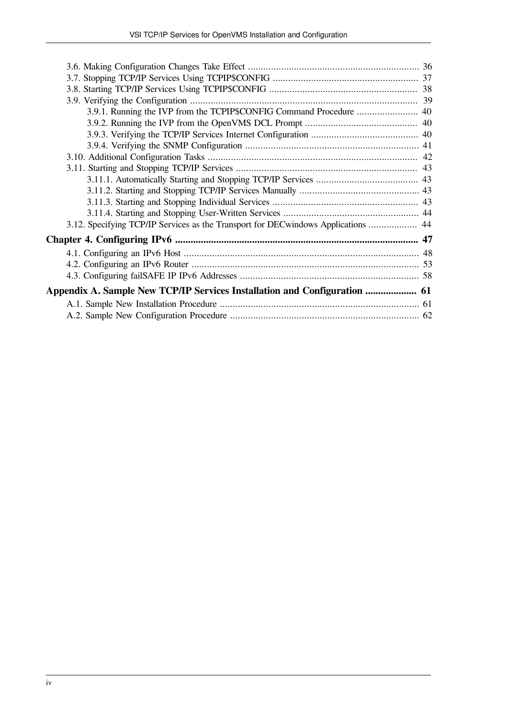| 3.9.1. Running the IVP from the TCPIP\$CONFIG Command Procedure  40               |  |
|-----------------------------------------------------------------------------------|--|
|                                                                                   |  |
|                                                                                   |  |
|                                                                                   |  |
|                                                                                   |  |
|                                                                                   |  |
|                                                                                   |  |
|                                                                                   |  |
|                                                                                   |  |
|                                                                                   |  |
| 3.12. Specifying TCP/IP Services as the Transport for DECwindows Applications  44 |  |
|                                                                                   |  |
|                                                                                   |  |
|                                                                                   |  |
|                                                                                   |  |
| Appendix A. Sample New TCP/IP Services Installation and Configuration  61         |  |
|                                                                                   |  |
|                                                                                   |  |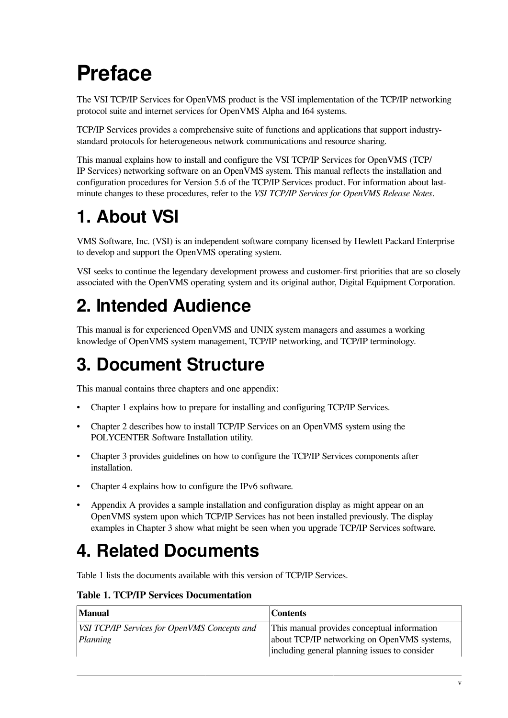# <span id="page-4-0"></span>**Preface**

The VSI TCP/IP Services for OpenVMS product is the VSI implementation of the TCP/IP networking protocol suite and internet services for OpenVMS Alpha and I64 systems.

TCP/IP Services provides a comprehensive suite of functions and applications that support industrystandard protocols for heterogeneous network communications and resource sharing.

This manual explains how to install and configure the VSI TCP/IP Services for OpenVMS (TCP/ IP Services) networking software on an OpenVMS system. This manual reflects the installation and configuration procedures for Version 5.6 of the TCP/IP Services product. For information about lastminute changes to these procedures, refer to the *VSI TCP/IP Services for OpenVMS Release Notes*.

## <span id="page-4-1"></span>**1. About VSI**

VMS Software, Inc. (VSI) is an independent software company licensed by Hewlett Packard Enterprise to develop and support the OpenVMS operating system.

VSI seeks to continue the legendary development prowess and customer-first priorities that are so closely associated with the OpenVMS operating system and its original author, Digital Equipment Corporation.

## <span id="page-4-2"></span>**2. Intended Audience**

This manual is for experienced OpenVMS and UNIX system managers and assumes a working knowledge of OpenVMS system management, TCP/IP networking, and TCP/IP terminology.

## <span id="page-4-3"></span>**3. Document Structure**

This manual contains three chapters and one appendix:

- [Chapter](#page-8-0) 1 explains how to prepare for installing and configuring TCP/IP Services.
- [Chapter](#page-16-0) 2 describes how to install TCP/IP Services on an OpenVMS system using the POLYCENTER Software Installation utility.
- [Chapter](#page-20-0) 3 provides guidelines on how to configure the TCP/IP Services components after installation.
- [Chapter](#page-54-0) 4 explains how to configure the IPv6 software.
- [Appendix](#page-68-0) A provides a sample installation and configuration display as might appear on an OpenVMS system upon which TCP/IP Services has not been installed previously. The display examples in [Chapter](#page-20-0) 3 show what might be seen when you upgrade TCP/IP Services software.

## <span id="page-4-4"></span>**4. Related Documents**

[Table](#page-4-5) 1 lists the documents available with this version of TCP/IP Services.

<span id="page-4-5"></span>

| Manual                                                   | <b>Contents</b>                                                                                                                             |
|----------------------------------------------------------|---------------------------------------------------------------------------------------------------------------------------------------------|
| VSI TCP/IP Services for OpenVMS Concepts and<br>Planning | This manual provides conceptual information<br>about TCP/IP networking on OpenVMS systems,<br>including general planning issues to consider |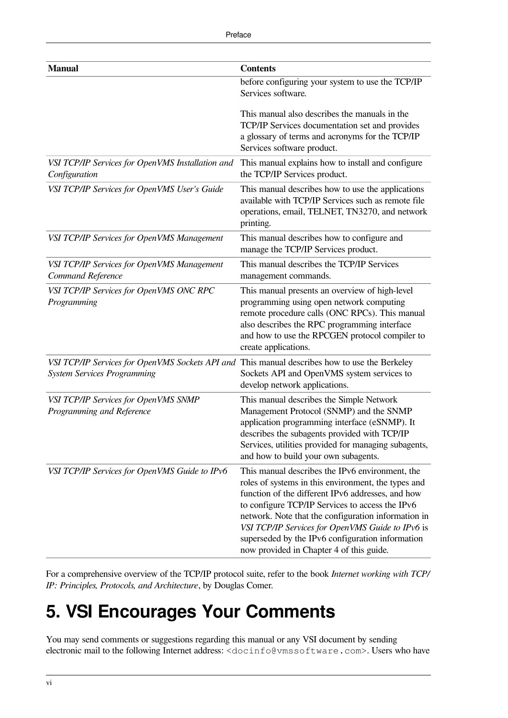| <b>Manual</b>                                                                         | <b>Contents</b>                                                                                                                                                                                                                                                                                                                                                                                                           |
|---------------------------------------------------------------------------------------|---------------------------------------------------------------------------------------------------------------------------------------------------------------------------------------------------------------------------------------------------------------------------------------------------------------------------------------------------------------------------------------------------------------------------|
|                                                                                       | before configuring your system to use the TCP/IP<br>Services software.                                                                                                                                                                                                                                                                                                                                                    |
|                                                                                       | This manual also describes the manuals in the<br>TCP/IP Services documentation set and provides<br>a glossary of terms and acronyms for the TCP/IP<br>Services software product.                                                                                                                                                                                                                                          |
| VSI TCP/IP Services for OpenVMS Installation and<br>Configuration                     | This manual explains how to install and configure<br>the TCP/IP Services product.                                                                                                                                                                                                                                                                                                                                         |
| VSI TCP/IP Services for OpenVMS User's Guide                                          | This manual describes how to use the applications<br>available with TCP/IP Services such as remote file<br>operations, email, TELNET, TN3270, and network<br>printing.                                                                                                                                                                                                                                                    |
| VSI TCP/IP Services for OpenVMS Management                                            | This manual describes how to configure and<br>manage the TCP/IP Services product.                                                                                                                                                                                                                                                                                                                                         |
| VSI TCP/IP Services for OpenVMS Management<br>Command Reference                       | This manual describes the TCP/IP Services<br>management commands.                                                                                                                                                                                                                                                                                                                                                         |
| VSI TCP/IP Services for OpenVMS ONC RPC<br>Programming                                | This manual presents an overview of high-level<br>programming using open network computing<br>remote procedure calls (ONC RPCs). This manual<br>also describes the RPC programming interface<br>and how to use the RPCGEN protocol compiler to<br>create applications.                                                                                                                                                    |
| VSI TCP/IP Services for OpenVMS Sockets API and<br><b>System Services Programming</b> | This manual describes how to use the Berkeley<br>Sockets API and OpenVMS system services to<br>develop network applications.                                                                                                                                                                                                                                                                                              |
| VSI TCP/IP Services for OpenVMS SNMP<br>Programming and Reference                     | This manual describes the Simple Network<br>Management Protocol (SNMP) and the SNMP<br>application programming interface (eSNMP). It<br>describes the subagents provided with TCP/IP<br>Services, utilities provided for managing subagents,<br>and how to build your own subagents.                                                                                                                                      |
| VSI TCP/IP Services for OpenVMS Guide to IPv6                                         | This manual describes the IPv6 environment, the<br>roles of systems in this environment, the types and<br>function of the different IPv6 addresses, and how<br>to configure TCP/IP Services to access the IPv6<br>network. Note that the configuration information in<br>VSI TCP/IP Services for OpenVMS Guide to IPv6 is<br>superseded by the IPv6 configuration information<br>now provided in Chapter 4 of this guide. |

For a comprehensive overview of the TCP/IP protocol suite, refer to the book *Internet working with TCP/ IP: Principles, Protocols, and Architecture*, by Douglas Comer.

## <span id="page-5-0"></span>**5. VSI Encourages Your Comments**

You may send comments or suggestions regarding this manual or any VSI document by sending electronic mail to the following Internet address: <docinfo@vmssoftware.com>. Users who have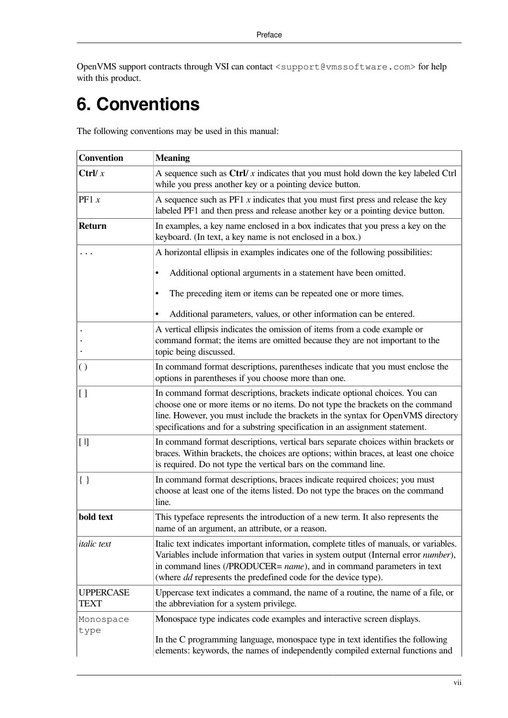OpenVMS support contracts through VSI can contact <support@vmssoftware.com> for help with this product.

## <span id="page-6-0"></span>**6. Conventions**

The following conventions may be used in this manual:

| <b>Convention</b>               | <b>Meaning</b>                                                                                                                                                                                                                                                                                                                          |
|---------------------------------|-----------------------------------------------------------------------------------------------------------------------------------------------------------------------------------------------------------------------------------------------------------------------------------------------------------------------------------------|
| Ctrl/ $x$                       | A sequence such as $\text{Ctrl}/x$ indicates that you must hold down the key labeled $\text{Ctrl}$<br>while you press another key or a pointing device button.                                                                                                                                                                          |
| PF1 x                           | A sequence such as $PF1 x$ indicates that you must first press and release the key<br>labeled PF1 and then press and release another key or a pointing device button.                                                                                                                                                                   |
| <b>Return</b>                   | In examples, a key name enclosed in a box indicates that you press a key on the<br>keyboard. (In text, a key name is not enclosed in a box.)                                                                                                                                                                                            |
|                                 | A horizontal ellipsis in examples indicates one of the following possibilities:                                                                                                                                                                                                                                                         |
|                                 | Additional optional arguments in a statement have been omitted.<br>$\bullet$                                                                                                                                                                                                                                                            |
|                                 | The preceding item or items can be repeated one or more times.<br>٠                                                                                                                                                                                                                                                                     |
|                                 | Additional parameters, values, or other information can be entered.                                                                                                                                                                                                                                                                     |
|                                 | A vertical ellipsis indicates the omission of items from a code example or<br>command format; the items are omitted because they are not important to the<br>topic being discussed.                                                                                                                                                     |
| $\left( \ \right)$              | In command format descriptions, parentheses indicate that you must enclose the<br>options in parentheses if you choose more than one.                                                                                                                                                                                                   |
| $\left[ \ \right]$              | In command format descriptions, brackets indicate optional choices. You can<br>choose one or more items or no items. Do not type the brackets on the command<br>line. However, you must include the brackets in the syntax for OpenVMS directory<br>specifications and for a substring specification in an assignment statement.        |
| $[ \ ]$                         | In command format descriptions, vertical bars separate choices within brackets or<br>braces. Within brackets, the choices are options; within braces, at least one choice<br>is required. Do not type the vertical bars on the command line.                                                                                            |
| $\{\ \}$                        | In command format descriptions, braces indicate required choices; you must<br>choose at least one of the items listed. Do not type the braces on the command<br>line.                                                                                                                                                                   |
| bold text                       | This typeface represents the introduction of a new term. It also represents the<br>name of an argument, an attribute, or a reason.                                                                                                                                                                                                      |
| <i>italic</i> text              | Italic text indicates important information, complete titles of manuals, or variables.<br>Variables include information that varies in system output (Internal error number),<br>in command lines (/PRODUCER= <i>name</i> ), and in command parameters in text<br>(where <i>dd</i> represents the predefined code for the device type). |
| <b>UPPERCASE</b><br><b>TEXT</b> | Uppercase text indicates a command, the name of a routine, the name of a file, or<br>the abbreviation for a system privilege.                                                                                                                                                                                                           |
| Monospace<br>type               | Monospace type indicates code examples and interactive screen displays.<br>In the C programming language, monospace type in text identifies the following<br>elements: keywords, the names of independently compiled external functions and                                                                                             |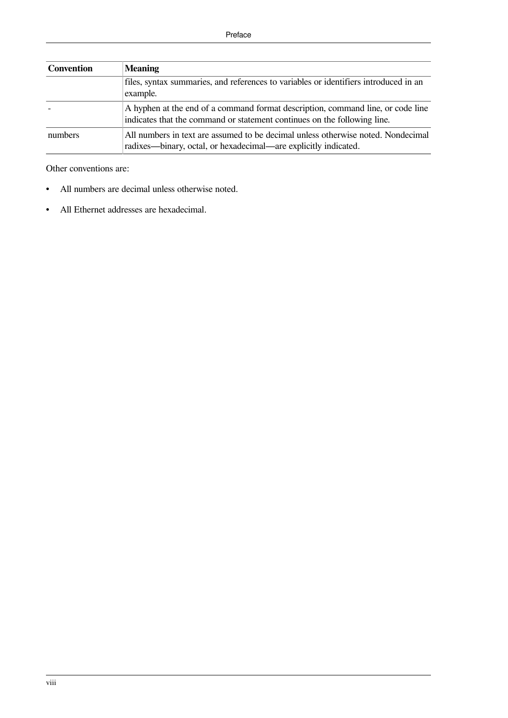| Convention | <b>Meaning</b>                                                                                                                                              |
|------------|-------------------------------------------------------------------------------------------------------------------------------------------------------------|
|            | files, syntax summaries, and references to variables or identifiers introduced in an<br>example.                                                            |
|            | A hyphen at the end of a command format description, command line, or code line<br>indicates that the command or statement continues on the following line. |
| numbers    | All numbers in text are assumed to be decimal unless otherwise noted. Nondecimal<br>radixes—binary, octal, or hexadecimal—are explicitly indicated.         |

Other conventions are:

- All numbers are decimal unless otherwise noted.
- All Ethernet addresses are hexadecimal.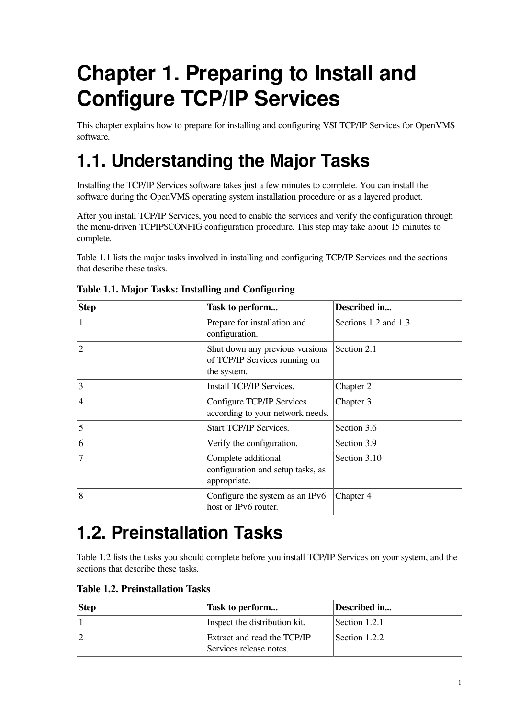# <span id="page-8-0"></span>**Chapter 1. Preparing to Install and Configure TCP/IP Services**

This chapter explains how to prepare for installing and configuring VSI TCP/IP Services for OpenVMS software.

## <span id="page-8-1"></span>**1.1. Understanding the Major Tasks**

Installing the TCP/IP Services software takes just a few minutes to complete. You can install the software during the OpenVMS operating system installation procedure or as a layered product.

After you install TCP/IP Services, you need to enable the services and verify the configuration through the menu-driven TCPIP\$CONFIG configuration procedure. This step may take about 15 minutes to complete.

[Table](#page-8-3) 1.1 lists the major tasks involved in installing and configuring TCP/IP Services and the sections that describe these tasks.

| <b>Step</b>    | Task to perform                                                                 | Described in         |
|----------------|---------------------------------------------------------------------------------|----------------------|
|                | Prepare for installation and<br>configuration.                                  | Sections 1.2 and 1.3 |
| $\overline{2}$ | Shut down any previous versions<br>of TCP/IP Services running on<br>the system. | Section 2.1          |
| 3              | Install TCP/IP Services.                                                        | Chapter 2            |
| $\overline{4}$ | Configure TCP/IP Services<br>according to your network needs.                   | Chapter 3            |
| 5              | Start TCP/IP Services.                                                          | Section 3.6          |
| 6              | Verify the configuration.                                                       | Section 3.9          |
| 7              | Complete additional<br>configuration and setup tasks, as<br>appropriate.        | Section 3.10         |
| 8              | Configure the system as an IPv6<br>host or IPv6 router.                         | Chapter 4            |

#### <span id="page-8-3"></span>**Table 1.1. Major Tasks: Installing and Configuring**

## <span id="page-8-2"></span>**1.2. Preinstallation Tasks**

[Table](#page-8-4) 1.2 lists the tasks you should complete before you install TCP/IP Services on your system, and the sections that describe these tasks.

<span id="page-8-4"></span>

|  |  | <b>Table 1.2. Preinstallation Tasks</b> |  |
|--|--|-----------------------------------------|--|
|--|--|-----------------------------------------|--|

| Step | Task to perform                                        | Described in  |
|------|--------------------------------------------------------|---------------|
|      | Inspect the distribution kit.                          | Section 1.2.1 |
|      | Extract and read the TCP/IP<br>Services release notes. | Section 1.2.2 |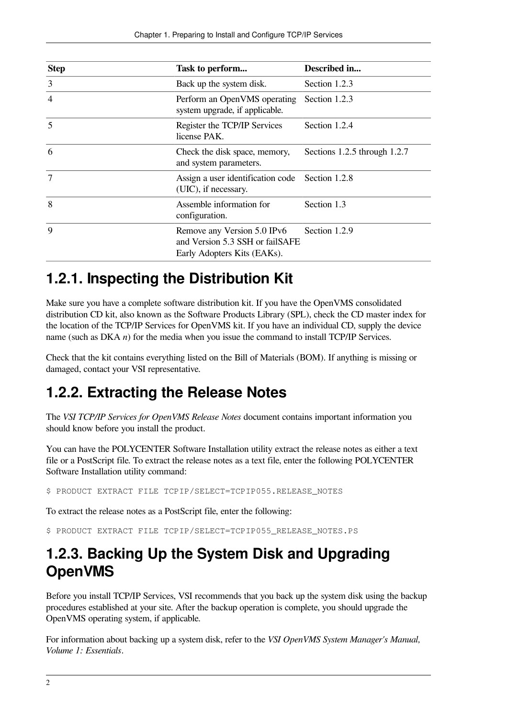| Step           | Task to perform                                                                               | Described in                 |
|----------------|-----------------------------------------------------------------------------------------------|------------------------------|
| $\overline{3}$ | Back up the system disk.                                                                      | Section 1.2.3                |
| $\overline{4}$ | Perform an OpenVMS operating<br>system upgrade, if applicable.                                | Section 1.2.3                |
| 5              | Register the TCP/IP Services<br>license PAK.                                                  | Section 1.2.4                |
| 6              | Check the disk space, memory,<br>and system parameters.                                       | Sections 1.2.5 through 1.2.7 |
| $\overline{7}$ | Assign a user identification code<br>(UIC), if necessary.                                     | Section 1.2.8                |
| 8              | Assemble information for<br>configuration.                                                    | Section 1.3                  |
| $\mathbf Q$    | Remove any Version 5.0 IPv6<br>and Version 5.3 SSH or failSAFE<br>Early Adopters Kits (EAKs). | Section 1.2.9                |

### <span id="page-9-0"></span>**1.2.1. Inspecting the Distribution Kit**

Make sure you have a complete software distribution kit. If you have the OpenVMS consolidated distribution CD kit, also known as the Software Products Library (SPL), check the CD master index for the location of the TCP/IP Services for OpenVMS kit. If you have an individual CD, supply the device name (such as DKA *n*) for the media when you issue the command to install TCP/IP Services.

Check that the kit contains everything listed on the Bill of Materials (BOM). If anything is missing or damaged, contact your VSI representative.

### <span id="page-9-1"></span>**1.2.2. Extracting the Release Notes**

The *VSI TCP/IP Services for OpenVMS Release Notes* document contains important information you should know before you install the product.

You can have the POLYCENTER Software Installation utility extract the release notes as either a text file or a PostScript file. To extract the release notes as a text file, enter the following POLYCENTER Software Installation utility command:

\$ PRODUCT EXTRACT FILE TCPIP/SELECT=TCPIP055.RELEASE NOTES

To extract the release notes as a PostScript file, enter the following:

\$ PRODUCT EXTRACT FILE TCPIP/SELECT=TCPIP055 RELEASE NOTES.PS

### <span id="page-9-2"></span>**1.2.3. Backing Up the System Disk and Upgrading OpenVMS**

Before you install TCP/IP Services, VSI recommends that you back up the system disk using the backup procedures established at your site. After the backup operation is complete, you should upgrade the OpenVMS operating system, if applicable.

For information about backing up a system disk, refer to the *VSI OpenVMS System Manager's Manual, Volume 1: Essentials*.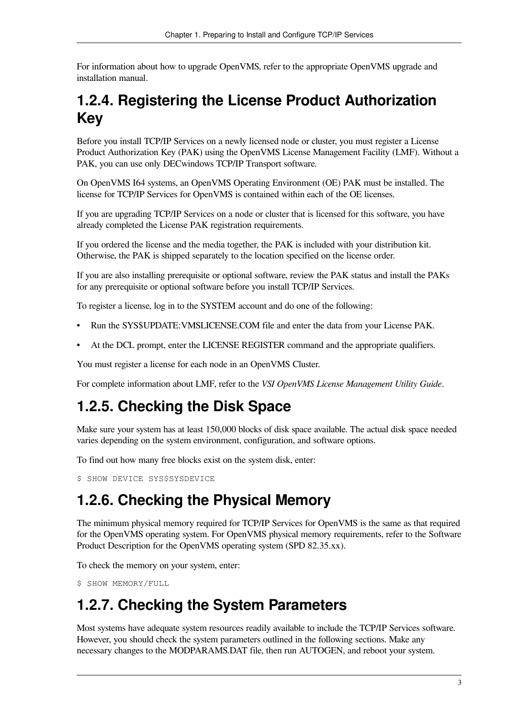For information about how to upgrade OpenVMS, refer to the appropriate OpenVMS upgrade and installation manual.

### <span id="page-10-0"></span>**1.2.4. Registering the License Product Authorization Key**

Before you install TCP/IP Services on a newly licensed node or cluster, you must register a License Product Authorization Key (PAK) using the OpenVMS License Management Facility (LMF). Without a PAK, you can use only DECwindows TCP/IP Transport software.

On OpenVMS I64 systems, an OpenVMS Operating Environment (OE) PAK must be installed. The license for TCP/IP Services for OpenVMS is contained within each of the OE licenses.

If you are upgrading TCP/IP Services on a node or cluster that is licensed for this software, you have already completed the License PAK registration requirements.

If you ordered the license and the media together, the PAK is included with your distribution kit. Otherwise, the PAK is shipped separately to the location specified on the license order.

If you are also installing prerequisite or optional software, review the PAK status and install the PAKs for any prerequisite or optional software before you install TCP/IP Services.

To register a license, log in to the SYSTEM account and do one of the following:

- Run the SYS\$UPDATE:VMSLICENSE.COM file and enter the data from your License PAK.
- At the DCL prompt, enter the LICENSE REGISTER command and the appropriate qualifiers.

You must register a license for each node in an OpenVMS Cluster.

For complete information about LMF, refer to the *VSI OpenVMS License Management Utility Guide*.

### <span id="page-10-1"></span>**1.2.5. Checking the Disk Space**

Make sure your system has at least 150,000 blocks of disk space available. The actual disk space needed varies depending on the system environment, configuration, and software options.

To find out how many free blocks exist on the system disk, enter:

\$ SHOW DEVICE SYS\$SYSDEVICE

### <span id="page-10-2"></span>**1.2.6. Checking the Physical Memory**

The minimum physical memory required for TCP/IP Services for OpenVMS is the same as that required for the OpenVMS operating system. For OpenVMS physical memory requirements, refer to the Software Product Description for the OpenVMS operating system (SPD 82.35.xx).

To check the memory on your system, enter:

\$ SHOW MEMORY/FULL

### <span id="page-10-3"></span>**1.2.7. Checking the System Parameters**

Most systems have adequate system resources readily available to include the TCP/IP Services software. However, you should check the system parameters outlined in the following sections. Make any necessary changes to the MODPARAMS.DAT file, then run AUTOGEN, and reboot your system.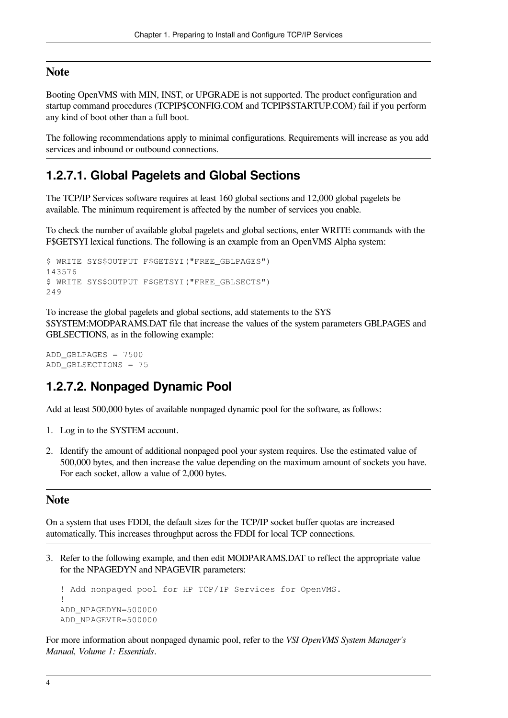#### **Note**

Booting OpenVMS with MIN, INST, or UPGRADE is not supported. The product configuration and startup command procedures (TCPIP\$CONFIG.COM and TCPIP\$STARTUP.COM) fail if you perform any kind of boot other than a full boot.

The following recommendations apply to minimal configurations. Requirements will increase as you add services and inbound or outbound connections.

#### <span id="page-11-0"></span>**1.2.7.1. Global Pagelets and Global Sections**

The TCP/IP Services software requires at least 160 global sections and 12,000 global pagelets be available. The minimum requirement is affected by the number of services you enable.

To check the number of available global pagelets and global sections, enter WRITE commands with the F\$GETSYI lexical functions. The following is an example from an OpenVMS Alpha system:

```
$ WRITE SYS$OUTPUT F$GETSYI("FREE_GBLPAGES")
143576
$ WRITE SYS$OUTPUT F$GETSYI("FREE_GBLSECTS")
249
```
To increase the global pagelets and global sections, add statements to the SYS \$SYSTEM:MODPARAMS.DAT file that increase the values of the system parameters GBLPAGES and GBLSECTIONS, as in the following example:

```
ADD_GBLPAGES = 7500
ADD_GBLSECTIONS = 75
```
#### <span id="page-11-1"></span>**1.2.7.2. Nonpaged Dynamic Pool**

Add at least 500,000 bytes of available nonpaged dynamic pool for the software, as follows:

- 1. Log in to the SYSTEM account.
- 2. Identify the amount of additional nonpaged pool your system requires. Use the estimated value of 500,000 bytes, and then increase the value depending on the maximum amount of sockets you have. For each socket, allow a value of 2,000 bytes.

#### **Note**

On a system that uses FDDI, the default sizes for the TCP/IP socket buffer quotas are increased automatically. This increases throughput across the FDDI for local TCP connections.

3. Refer to the following example, and then edit MODPARAMS.DAT to reflect the appropriate value for the NPAGEDYN and NPAGEVIR parameters:

```
! Add nonpaged pool for HP TCP/IP Services for OpenVMS.
!
ADD_NPAGEDYN=500000
ADD_NPAGEVIR=500000
```
For more information about nonpaged dynamic pool, refer to the *VSI OpenVMS System Manager's Manual, Volume 1: Essentials*.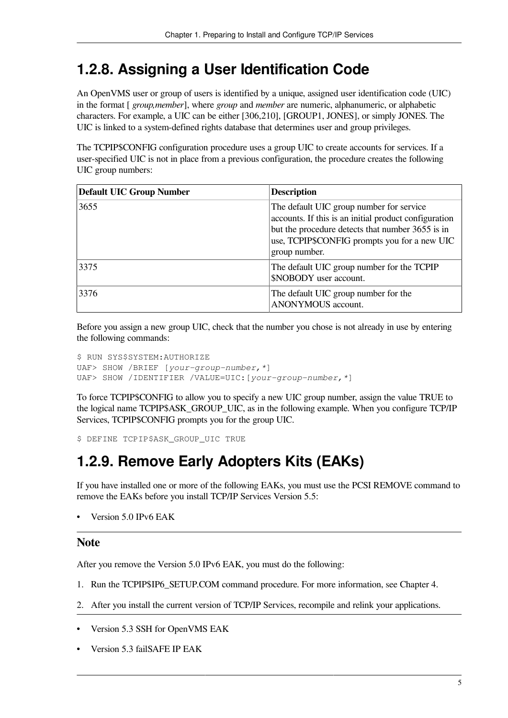### <span id="page-12-0"></span>**1.2.8. Assigning a User Identification Code**

An OpenVMS user or group of users is identified by a unique, assigned user identification code (UIC) in the format [ *group,member*], where *group* and *member* are numeric, alphanumeric, or alphabetic characters. For example, a UIC can be either [306,210], [GROUP1, JONES], or simply JONES. The UIC is linked to a system-defined rights database that determines user and group privileges.

The TCPIP\$CONFIG configuration procedure uses a group UIC to create accounts for services. If a user-specified UIC is not in place from a previous configuration, the procedure creates the following UIC group numbers:

| <b>Default UIC Group Number</b> | <b>Description</b>                                                                                                                                                                                                     |
|---------------------------------|------------------------------------------------------------------------------------------------------------------------------------------------------------------------------------------------------------------------|
| 3655                            | The default UIC group number for service<br>accounts. If this is an initial product configuration<br>but the procedure detects that number 3655 is in<br>use, TCPIP\$CONFIG prompts you for a new UIC<br>group number. |
| 3375                            | The default UIC group number for the TCPIP<br>\$NOBODY user account.                                                                                                                                                   |
| 3376                            | The default UIC group number for the<br>ANONYMOUS account.                                                                                                                                                             |

Before you assign a new group UIC, check that the number you chose is not already in use by entering the following commands:

```
$ RUN SYS$SYSTEM:AUTHORIZE
UAF> SHOW /BRIEF [your-group-number,*]
UAF> SHOW /IDENTIFIER /VALUE=UIC:[your-group-number,*]
```
To force TCPIP\$CONFIG to allow you to specify a new UIC group number, assign the value TRUE to the logical name TCPIP\$ASK\_GROUP\_UIC, as in the following example. When you configure TCP/IP Services, TCPIP\$CONFIG prompts you for the group UIC.

```
$ DEFINE TCPIP$ASK_GROUP_UIC TRUE
```
### <span id="page-12-1"></span>**1.2.9. Remove Early Adopters Kits (EAKs)**

If you have installed one or more of the following EAKs, you must use the PCSI REMOVE command to remove the EAKs before you install TCP/IP Services Version 5.5:

• Version 5.0 IPv6 EAK

#### **Note**

After you remove the Version 5.0 IPv6 EAK, you must do the following:

- 1. Run the TCPIP\$IP6\_SETUP.COM command procedure. For more information, see [Chapter](#page-54-0) 4.
- 2. After you install the current version of TCP/IP Services, recompile and relink your applications.
- Version 5.3 SSH for OpenVMS EAK
- Version 5.3 failSAFE IP EAK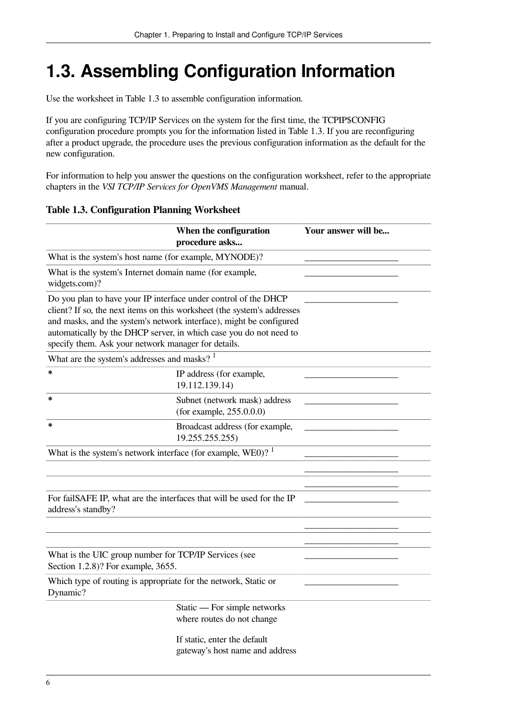## <span id="page-13-0"></span>**1.3. Assembling Configuration Information**

Use the worksheet in [Table](#page-13-1) 1.3 to assemble configuration information.

If you are configuring TCP/IP Services on the system for the first time, the TCPIP\$CONFIG configuration procedure prompts you for the information listed in [Table](#page-13-1) 1.3. If you are reconfiguring after a product upgrade, the procedure uses the previous configuration information as the default for the new configuration.

For information to help you answer the questions on the configuration worksheet, refer to the appropriate chapters in the *VSI TCP/IP Services for OpenVMS Management* manual.

<span id="page-13-1"></span>**Table 1.3. Configuration Planning Worksheet**

|                                                                                                                                                                                                                                                                                                                                                | When the configuration<br>procedure asks                        | Your answer will be |
|------------------------------------------------------------------------------------------------------------------------------------------------------------------------------------------------------------------------------------------------------------------------------------------------------------------------------------------------|-----------------------------------------------------------------|---------------------|
| What is the system's host name (for example, MYNODE)?                                                                                                                                                                                                                                                                                          |                                                                 |                     |
| What is the system's Internet domain name (for example,<br>widgets.com)?                                                                                                                                                                                                                                                                       |                                                                 |                     |
| Do you plan to have your IP interface under control of the DHCP<br>client? If so, the next items on this worksheet (the system's addresses<br>and masks, and the system's network interface), might be configured<br>automatically by the DHCP server, in which case you do not need to<br>specify them. Ask your network manager for details. |                                                                 |                     |
| What are the system's addresses and masks? $1$                                                                                                                                                                                                                                                                                                 |                                                                 |                     |
| *                                                                                                                                                                                                                                                                                                                                              | IP address (for example,<br>19.112.139.14)                      |                     |
| *                                                                                                                                                                                                                                                                                                                                              | Subnet (network mask) address<br>(for example, $255.0.0.0$ )    |                     |
| *                                                                                                                                                                                                                                                                                                                                              | Broadcast address (for example,<br>19.255.255.255)              |                     |
| What is the system's network interface (for example, WEO)? $1$                                                                                                                                                                                                                                                                                 |                                                                 |                     |
|                                                                                                                                                                                                                                                                                                                                                |                                                                 |                     |
|                                                                                                                                                                                                                                                                                                                                                |                                                                 |                     |
| For failSAFE IP, what are the interfaces that will be used for the IP<br>address's standby?                                                                                                                                                                                                                                                    |                                                                 |                     |
|                                                                                                                                                                                                                                                                                                                                                |                                                                 |                     |
|                                                                                                                                                                                                                                                                                                                                                |                                                                 |                     |
| What is the UIC group number for TCP/IP Services (see<br>Section 1.2.8)? For example, 3655.                                                                                                                                                                                                                                                    |                                                                 |                     |
| Which type of routing is appropriate for the network, Static or<br>Dynamic?                                                                                                                                                                                                                                                                    |                                                                 |                     |
|                                                                                                                                                                                                                                                                                                                                                | Static — For simple networks<br>where routes do not change      |                     |
|                                                                                                                                                                                                                                                                                                                                                | If static, enter the default<br>gateway's host name and address |                     |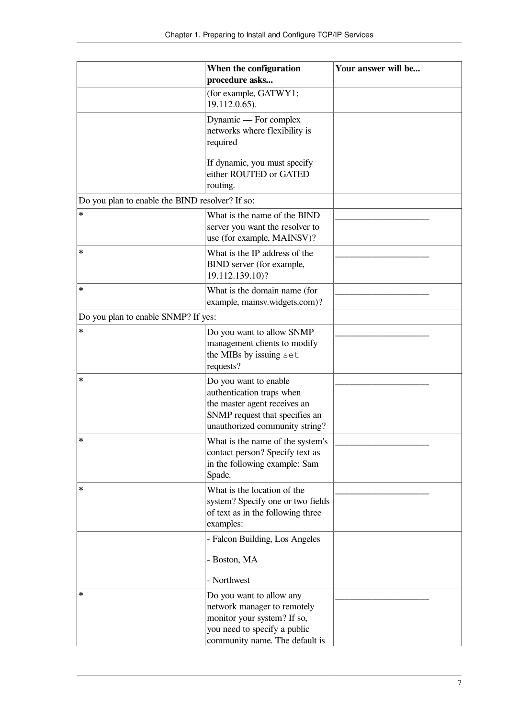|                                                 | When the configuration                                                                                                                                   | Your answer will be |
|-------------------------------------------------|----------------------------------------------------------------------------------------------------------------------------------------------------------|---------------------|
|                                                 | procedure asks                                                                                                                                           |                     |
|                                                 | (for example, GATWY1;<br>19.112.0.65).                                                                                                                   |                     |
|                                                 | Dynamic — For complex<br>networks where flexibility is<br>required                                                                                       |                     |
|                                                 | If dynamic, you must specify<br>either ROUTED or GATED<br>routing.                                                                                       |                     |
| Do you plan to enable the BIND resolver? If so: |                                                                                                                                                          |                     |
| *                                               | What is the name of the BIND<br>server you want the resolver to<br>use (for example, MAINSV)?                                                            |                     |
| *                                               | What is the IP address of the<br>BIND server (for example,<br>19.112.139.10)?                                                                            |                     |
| *                                               | What is the domain name (for<br>example, mainsv.widgets.com)?                                                                                            |                     |
| Do you plan to enable SNMP? If yes:             |                                                                                                                                                          |                     |
| *                                               | Do you want to allow SNMP<br>management clients to modify<br>the MIBs by issuing set<br>requests?                                                        |                     |
| *                                               | Do you want to enable<br>authentication traps when<br>the master agent receives an<br>SNMP request that specifies an<br>unauthorized community string?   |                     |
| ∗                                               | What is the name of the system's<br>contact person? Specify text as<br>in the following example: Sam<br>Spade.                                           |                     |
| *                                               | What is the location of the<br>system? Specify one or two fields<br>of text as in the following three<br>examples:                                       |                     |
|                                                 | - Falcon Building, Los Angeles<br>- Boston, MA<br>- Northwest                                                                                            |                     |
| *                                               | Do you want to allow any<br>network manager to remotely<br>monitor your system? If so,<br>you need to specify a public<br>community name. The default is |                     |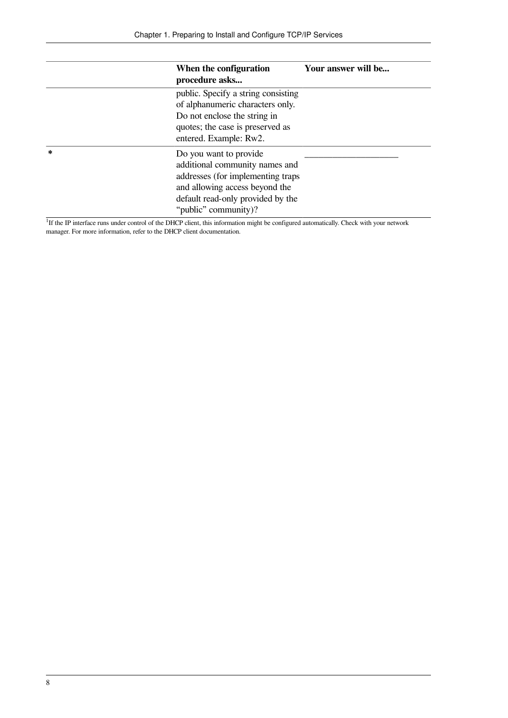|        | When the configuration<br>procedure asks                                                                                                                                                      | Your answer will be |
|--------|-----------------------------------------------------------------------------------------------------------------------------------------------------------------------------------------------|---------------------|
|        | public. Specify a string consisting<br>of alphanumeric characters only.<br>Do not enclose the string in<br>quotes; the case is preserved as<br>entered. Example: Rw2.                         |                     |
| $\ast$ | Do you want to provide<br>additional community names and<br>addresses (for implementing traps)<br>and allowing access beyond the<br>default read-only provided by the<br>"public" community)? |                     |

<sup>1</sup>If the IP interface runs under control of the DHCP client, this information might be configured automatically. Check with your network manager. For more information, refer to the DHCP client documentation.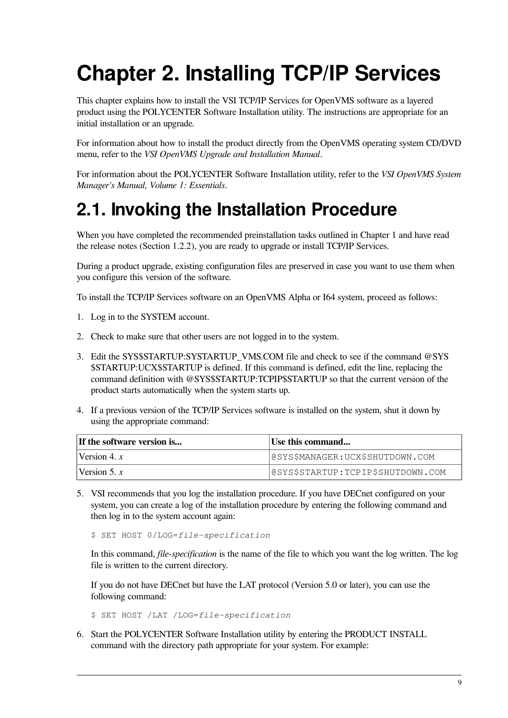# <span id="page-16-0"></span>**Chapter 2. Installing TCP/IP Services**

This chapter explains how to install the VSI TCP/IP Services for OpenVMS software as a layered product using the POLYCENTER Software Installation utility. The instructions are appropriate for an initial installation or an upgrade.

For information about how to install the product directly from the OpenVMS operating system CD/DVD menu, refer to the *VSI OpenVMS Upgrade and Installation Manual*.

For information about the POLYCENTER Software Installation utility, refer to the *VSI OpenVMS System Manager's Manual, Volume 1: Essentials*.

## <span id="page-16-1"></span>**2.1. Invoking the Installation Procedure**

When you have completed the recommended preinstallation tasks outlined in [Chapter](#page-8-0) 1 and have read the release notes [\(Section](#page-9-1) 1.2.2), you are ready to upgrade or install TCP/IP Services.

During a product upgrade, existing configuration files are preserved in case you want to use them when you configure this version of the software.

To install the TCP/IP Services software on an OpenVMS Alpha or I64 system, proceed as follows:

- 1. Log in to the SYSTEM account.
- 2. Check to make sure that other users are not logged in to the system.
- 3. Edit the SYS\$STARTUP:SYSTARTUP\_VMS.COM file and check to see if the command @SYS \$STARTUP:UCX\$STARTUP is defined. If this command is defined, edit the line, replacing the command definition with @SYS\$STARTUP:TCPIP\$STARTUP so that the current version of the product starts automatically when the system starts up.
- 4. If a previous version of the TCP/IP Services software is installed on the system, shut it down by using the appropriate command:

| If the software version is | Use this command                  |
|----------------------------|-----------------------------------|
| Version 4. $x$             | @SYS\$MANAGER:UCX\$SHUTDOWN.COM   |
| Version 5. $x$             | @SYS\$STARTUP:TCPIP\$SHUTDOWN.COM |

5. VSI recommends that you log the installation procedure. If you have DECnet configured on your system, you can create a log of the installation procedure by entering the following command and then log in to the system account again:

\$ SET HOST 0/LOG=*file-specification*

In this command, *file-specification* is the name of the file to which you want the log written. The log file is written to the current directory.

If you do not have DECnet but have the LAT protocol (Version 5.0 or later), you can use the following command:

\$ SET HOST /LAT /LOG=*file-specification*

6. Start the POLYCENTER Software Installation utility by entering the PRODUCT INSTALL command with the directory path appropriate for your system. For example: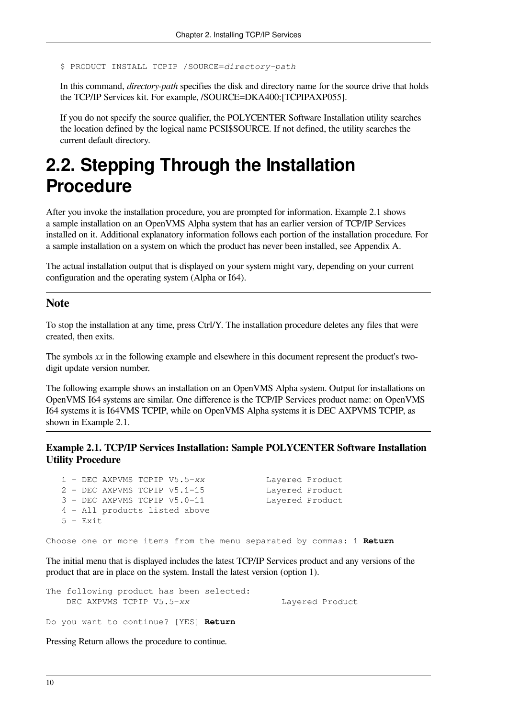```
$ PRODUCT INSTALL TCPIP /SOURCE=directory-path
```
In this command, *directory-path* specifies the disk and directory name for the source drive that holds the TCP/IP Services kit. For example, /SOURCE=DKA400:[TCPIPAXP055].

If you do not specify the source qualifier, the POLYCENTER Software Installation utility searches the location defined by the logical name PCSI\$SOURCE. If not defined, the utility searches the current default directory.

## <span id="page-17-0"></span>**2.2. Stepping Through the Installation Procedure**

After you invoke the installation procedure, you are prompted for information. [Example](#page-17-1) 2.1 shows a sample installation on an OpenVMS Alpha system that has an earlier version of TCP/IP Services installed on it. Additional explanatory information follows each portion of the installation procedure. For a sample installation on a system on which the product has never been installed, see [Appendix](#page-68-0) A.

The actual installation output that is displayed on your system might vary, depending on your current configuration and the operating system (Alpha or I64).

#### **Note**

To stop the installation at any time, press Ctrl/Y. The installation procedure deletes any files that were created, then exits.

The symbols *xx* in the following example and elsewhere in this document represent the product's twodigit update version number.

The following example shows an installation on an OpenVMS Alpha system. Output for installations on OpenVMS I64 systems are similar. One difference is the TCP/IP Services product name: on OpenVMS I64 systems it is I64VMS TCPIP, while on OpenVMS Alpha systems it is DEC AXPVMS TCPIP, as shown in [Example](#page-17-1) 2.1.

#### <span id="page-17-1"></span>**Example 2.1. TCP/IP Services Installation: Sample POLYCENTER Software Installation Utility Procedure**

|  |            | $1$ - DEC AXPVMS TCPIP V5.5- $xx$ |  |  | Layered Product |  |
|--|------------|-----------------------------------|--|--|-----------------|--|
|  |            | 2 - DEC AXPVMS TCPIP V5.1-15      |  |  | Lavered Product |  |
|  |            | $3 - DEC$ AXPVMS TCPIP V5.0-11    |  |  | Lavered Product |  |
|  |            | 4 - All products listed above     |  |  |                 |  |
|  | $5 - Exit$ |                                   |  |  |                 |  |
|  |            |                                   |  |  |                 |  |

Choose one or more items from the menu separated by commas: 1 **Return**

The initial menu that is displayed includes the latest TCP/IP Services product and any versions of the product that are in place on the system. Install the latest version (option 1).

| The following product has been selected: |                 |
|------------------------------------------|-----------------|
| DEC AXPVMS TCPIP V5.5-xx                 | Layered Product |

Do you want to continue? [YES] **Return**

Pressing Return allows the procedure to continue.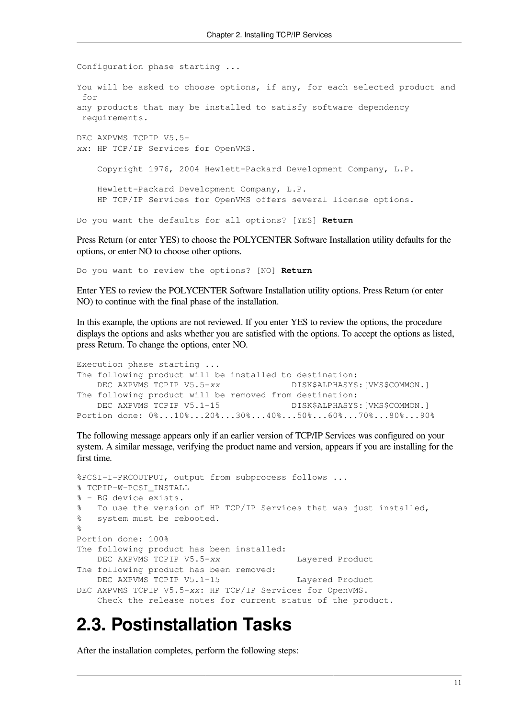Configuration phase starting ... You will be asked to choose options, if any, for each selected product and for any products that may be installed to satisfy software dependency requirements. DEC AXPVMS TCPIP V5.5 *xx*: HP TCP/IP Services for OpenVMS. Copyright 1976, 2004 Hewlett-Packard Development Company, L.P. Hewlett-Packard Development Company, L.P. HP TCP/IP Services for OpenVMS offers several license options. Do you want the defaults for all options? [YES] **Return**

Press Return (or enter YES) to choose the POLYCENTER Software Installation utility defaults for the options, or enter NO to choose other options.

Do you want to review the options? [NO] **Return**

Enter YES to review the POLYCENTER Software Installation utility options. Press Return (or enter NO) to continue with the final phase of the installation.

In this example, the options are not reviewed. If you enter YES to review the options, the procedure displays the options and asks whether you are satisfied with the options. To accept the options as listed, press Return. To change the options, enter NO.

```
Execution phase starting ...
The following product will be installed to destination:
    DEC AXPVMS TCPIP V5.5-xx DISK$ALPHASYS:[VMS$COMMON.]
The following product will be removed from destination:
   DEC AXPVMS TCPIP V5.1-15 DISK$ALPHASYS:[VMS$COMMON.]
Portion done: 0%...10%...20%...30%...40%...50%...60%...70%...80%...90%
```
The following message appears only if an earlier version of TCP/IP Services was configured on your system. A similar message, verifying the product name and version, appears if you are installing for the first time.

```
%PCSI-I-PRCOUTPUT, output from subprocess follows ...
% TCPIP-W-PCSI_INSTALL
% - BG device exists.
% To use the version of HP TCP/IP Services that was just installed,
% system must be rebooted.
\mathbf{Q}Portion done: 100%
The following product has been installed:
   DEC AXPVMS TCPIP V5.5-xx Layered Product
The following product has been removed:
   DEC AXPVMS TCPIP V5.1-15 Layered Product
DEC AXPVMS TCPIP V5.5-xx: HP TCP/IP Services for OpenVMS.
    Check the release notes for current status of the product.
```
## <span id="page-18-0"></span>**2.3. Postinstallation Tasks**

After the installation completes, perform the following steps: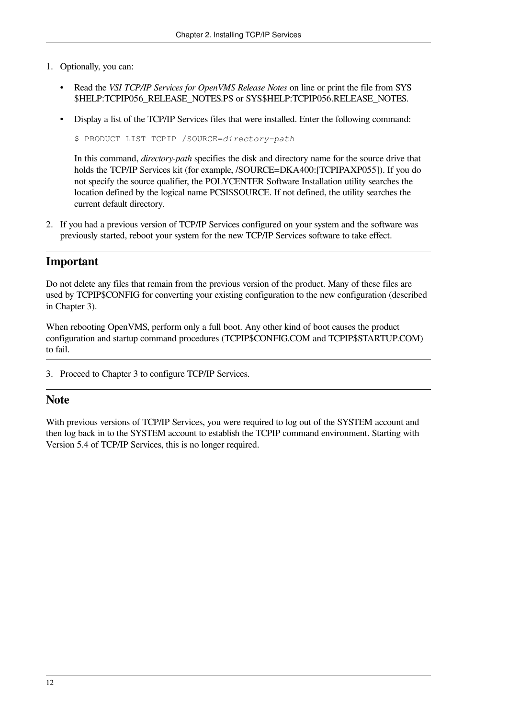- 1. Optionally, you can:
	- Read the *VSI TCP/IP Services for OpenVMS Release Notes* on line or print the file from SYS \$HELP:TCPIP056\_RELEASE\_NOTES.PS or SYS\$HELP:TCPIP056.RELEASE\_NOTES.
	- Display a list of the TCP/IP Services files that were installed. Enter the following command:

```
$ PRODUCT LIST TCPIP /SOURCE=directory-path
```
In this command, *directory-path* specifies the disk and directory name for the source drive that holds the TCP/IP Services kit (for example, /SOURCE=DKA400: [TCPIPAXP055]). If you do not specify the source qualifier, the POLYCENTER Software Installation utility searches the location defined by the logical name PCSI\$SOURCE. If not defined, the utility searches the current default directory.

2. If you had a previous version of TCP/IP Services configured on your system and the software was previously started, reboot your system for the new TCP/IP Services software to take effect.

#### **Important**

Do not delete any files that remain from the previous version of the product. Many of these files are used by TCPIP\$CONFIG for converting your existing configuration to the new configuration (described in [Chapter](#page-20-0) 3).

When rebooting OpenVMS, perform only a full boot. Any other kind of boot causes the product configuration and startup command procedures (TCPIP\$CONFIG.COM and TCPIP\$STARTUP.COM) to fail.

3. Proceed to [Chapter](#page-20-0) 3 to configure TCP/IP Services.

#### **Note**

With previous versions of TCP/IP Services, you were required to log out of the SYSTEM account and then log back in to the SYSTEM account to establish the TCPIP command environment. Starting with Version 5.4 of TCP/IP Services, this is no longer required.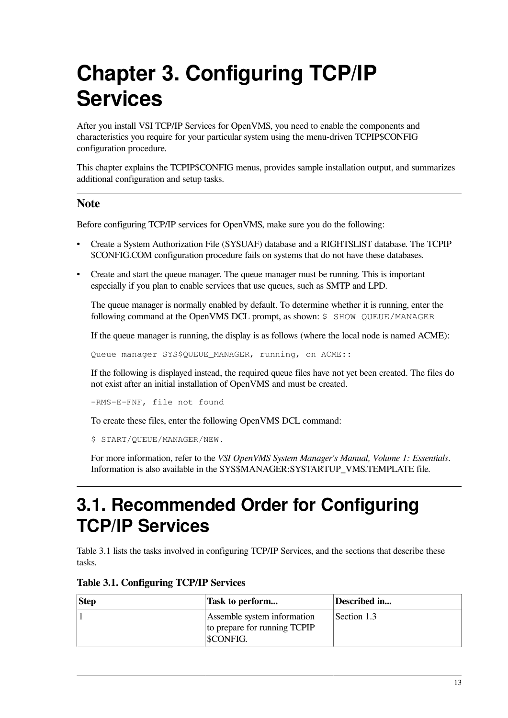# <span id="page-20-0"></span>**Chapter 3. Configuring TCP/IP Services**

After you install VSI TCP/IP Services for OpenVMS, you need to enable the components and characteristics you require for your particular system using the menu-driven TCPIP\$CONFIG configuration procedure.

This chapter explains the TCPIP\$CONFIG menus, provides sample installation output, and summarizes additional configuration and setup tasks.

#### **Note**

Before configuring TCP/IP services for OpenVMS, make sure you do the following:

- Create a System Authorization File (SYSUAF) database and a RIGHTSLIST database. The TCPIP \$CONFIG.COM configuration procedure fails on systems that do not have these databases.
- Create and start the queue manager. The queue manager must be running. This is important especially if you plan to enable services that use queues, such as SMTP and LPD.

The queue manager is normally enabled by default. To determine whether it is running, enter the following command at the OpenVMS DCL prompt, as shown: \$ SHOW QUEUE/MANAGER

If the queue manager is running, the display is as follows (where the local node is named ACME):

Queue manager SYS\$QUEUE MANAGER, running, on ACME::

If the following is displayed instead, the required queue files have not yet been created. The files do not exist after an initial installation of OpenVMS and must be created.

-RMS-E-FNF, file not found

To create these files, enter the following OpenVMS DCL command:

\$ START/QUEUE/MANAGER/NEW.

For more information, refer to the *VSI OpenVMS System Manager's Manual, Volume 1: Essentials*. Information is also available in the SYS\$MANAGER:SYSTARTUP\_VMS.TEMPLATE file.

## <span id="page-20-1"></span>**3.1. Recommended Order for Configuring TCP/IP Services**

[Table](#page-20-2) 3.1 lists the tasks involved in configuring TCP/IP Services, and the sections that describe these tasks.

#### <span id="page-20-2"></span>**Table 3.1. Configuring TCP/IP Services**

| <b>Step</b> | Task to perform                                                         | Described in |
|-------------|-------------------------------------------------------------------------|--------------|
|             | Assemble system information<br>to prepare for running TCPIP<br>SCONFIG. | Section 1.3  |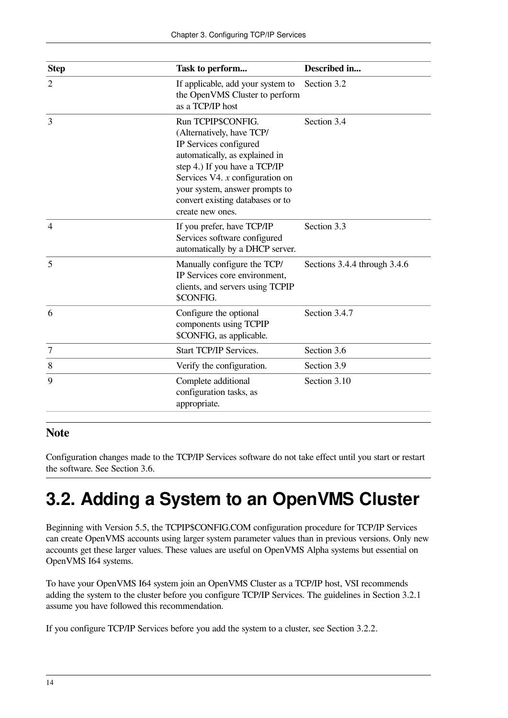| <b>Step</b>      | Task to perform                                                                                                                                                                                                                                                             | Described in                 |
|------------------|-----------------------------------------------------------------------------------------------------------------------------------------------------------------------------------------------------------------------------------------------------------------------------|------------------------------|
| $\overline{2}$   | If applicable, add your system to<br>the OpenVMS Cluster to perform<br>as a TCP/IP host                                                                                                                                                                                     | Section 3.2                  |
| 3                | Run TCPIP\$CONFIG.<br>(Alternatively, have TCP/<br>IP Services configured<br>automatically, as explained in<br>step 4.) If you have a TCP/IP<br>Services V4. $x$ configuration on<br>your system, answer prompts to<br>convert existing databases or to<br>create new ones. | Section 3.4                  |
| $\overline{4}$   | If you prefer, have TCP/IP<br>Services software configured<br>automatically by a DHCP server.                                                                                                                                                                               | Section 3.3                  |
| 5                | Manually configure the TCP/<br>IP Services core environment,<br>clients, and servers using TCPIP<br>\$CONFIG.                                                                                                                                                               | Sections 3.4.4 through 3.4.6 |
| 6                | Configure the optional<br>components using TCPIP<br>\$CONFIG, as applicable.                                                                                                                                                                                                | Section 3.4.7                |
| $\boldsymbol{7}$ | <b>Start TCP/IP Services.</b>                                                                                                                                                                                                                                               | Section 3.6                  |
| 8                | Verify the configuration.                                                                                                                                                                                                                                                   | Section 3.9                  |
| 9                | Complete additional<br>configuration tasks, as<br>appropriate.                                                                                                                                                                                                              | Section 3.10                 |

#### **Note**

Configuration changes made to the TCP/IP Services software do not take effect until you start or restart the software. See [Section](#page-43-0) 3.6.

## <span id="page-21-0"></span>**3.2. Adding a System to an OpenVMS Cluster**

Beginning with Version 5.5, the TCPIP\$CONFIG.COM configuration procedure for TCP/IP Services can create OpenVMS accounts using larger system parameter values than in previous versions. Only new accounts get these larger values. These values are useful on OpenVMS Alpha systems but essential on OpenVMS I64 systems.

To have your OpenVMS I64 system join an OpenVMS Cluster as a TCP/IP host, VSI recommends adding the system to the cluster before you configure TCP/IP Services. The guidelines in [Section](#page-22-0) 3.2.1 assume you have followed this recommendation.

If you configure TCP/IP Services before you add the system to a cluster, see [Section](#page-22-1) 3.2.2.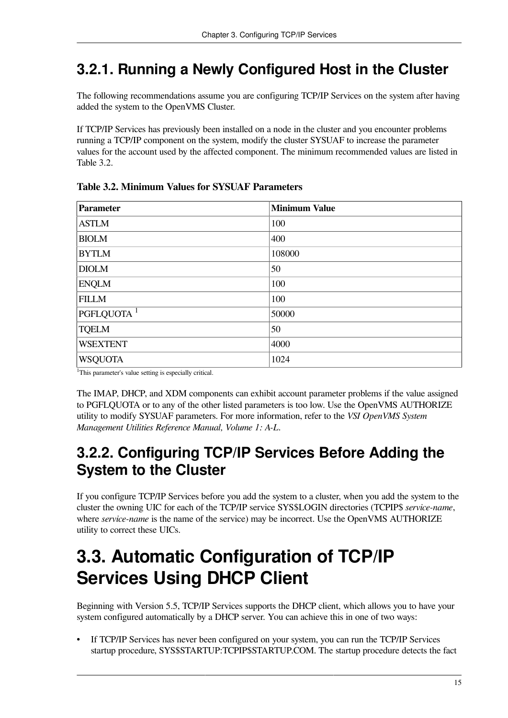## <span id="page-22-0"></span>**3.2.1. Running a Newly Configured Host in the Cluster**

The following recommendations assume you are configuring TCP/IP Services on the system after having added the system to the OpenVMS Cluster.

If TCP/IP Services has previously been installed on a node in the cluster and you encounter problems running a TCP/IP component on the system, modify the cluster SYSUAF to increase the parameter values for the account used by the affected component. The minimum recommended values are listed in [Table](#page-22-3) 3.2.

| <b>Parameter</b>       | <b>Minimum Value</b> |
|------------------------|----------------------|
| <b>ASTLM</b>           | 100                  |
| <b>BIOLM</b>           | 400                  |
| <b>BYTLM</b>           | 108000               |
| <b>DIOLM</b>           | 50                   |
| <b>ENQLM</b>           | 100                  |
| <b>FILLM</b>           | 100                  |
| PGFLQUOTA <sup>1</sup> | 50000                |
| <b>TQELM</b>           | 50                   |
| <b>WSEXTENT</b>        | 4000                 |
| <b>WSQUOTA</b>         | 1024                 |

<span id="page-22-3"></span>**Table 3.2. Minimum Values for SYSUAF Parameters**

<sup>1</sup>This parameter's value setting is especially critical.

The IMAP, DHCP, and XDM components can exhibit account parameter problems if the value assigned to PGFLQUOTA or to any of the other listed parameters is too low. Use the OpenVMS AUTHORIZE utility to modify SYSUAF parameters. For more information, refer to the *VSI OpenVMS System Management Utilities Reference Manual, Volume 1: A-L*.

### <span id="page-22-1"></span>**3.2.2. Configuring TCP/IP Services Before Adding the System to the Cluster**

If you configure TCP/IP Services before you add the system to a cluster, when you add the system to the cluster the owning UIC for each of the TCP/IP service SYS\$LOGIN directories (TCPIP\$ *service-name*, where *service-name* is the name of the service) may be incorrect. Use the OpenVMS AUTHORIZE utility to correct these UICs.

## <span id="page-22-2"></span>**3.3. Automatic Configuration of TCP/IP Services Using DHCP Client**

Beginning with Version 5.5, TCP/IP Services supports the DHCP client, which allows you to have your system configured automatically by a DHCP server. You can achieve this in one of two ways:

• If TCP/IP Services has never been configured on your system, you can run the TCP/IP Services startup procedure, SYS\$STARTUP:TCPIP\$STARTUP.COM. The startup procedure detects the fact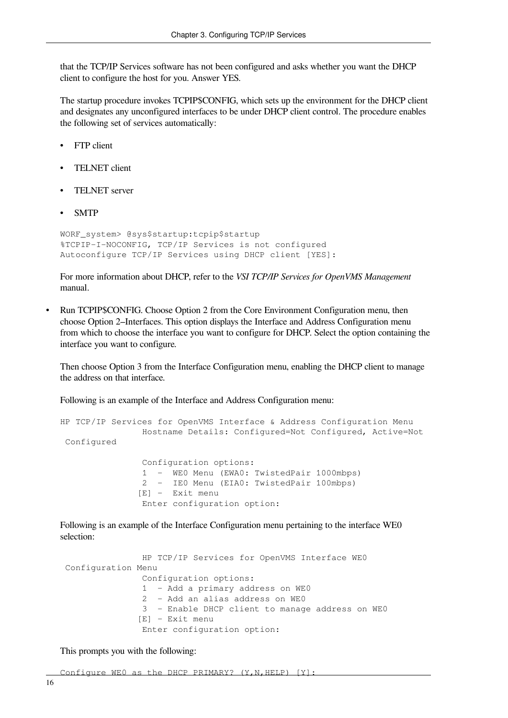that the TCP/IP Services software has not been configured and asks whether you want the DHCP client to configure the host for you. Answer YES.

The startup procedure invokes TCPIP\$CONFIG, which sets up the environment for the DHCP client and designates any unconfigured interfaces to be under DHCP client control. The procedure enables the following set of services automatically:

- FTP client
- TELNET client
- TELNET server
- SMTP

```
WORF_system> @sys$startup:tcpip$startup
%TCPIP-I-NOCONFIG, TCP/IP Services is not configured
Autoconfigure TCP/IP Services using DHCP client [YES]:
```
For more information about DHCP, refer to the *VSI TCP/IP Services for OpenVMS Management* manual.

• Run TCPIP\$CONFIG. Choose Option 2 from the Core Environment Configuration menu, then choose Option 2–Interfaces. This option displays the Interface and Address Configuration menu from which to choose the interface you want to configure for DHCP. Select the option containing the interface you want to configure.

Then choose Option 3 from the Interface Configuration menu, enabling the DHCP client to manage the address on that interface.

Following is an example of the Interface and Address Configuration menu:

```
HP TCP/IP Services for OpenVMS Interface & Address Configuration Menu
                 Hostname Details: Configured=Not Configured, Active=Not
 Configured
                 Configuration options:
```
 1 - WE0 Menu (EWA0: TwistedPair 1000mbps) 2 - IE0 Menu (EIA0: TwistedPair 100mbps) [E] - Exit menu Enter configuration option:

Following is an example of the Interface Configuration menu pertaining to the interface WE0 selection:

```
 HP TCP/IP Services for OpenVMS Interface WE0
 Configuration Menu
                Configuration options:
                1 - Add a primary address on WE0
                2 - Add an alias address on WE0
                3 - Enable DHCP client to manage address on WE0
               [E] - Exit menu
                Enter configuration option:
```
This prompts you with the following:

Configure WEO as the DHCP PRIMARY? (Y, N, HELP) [Y]: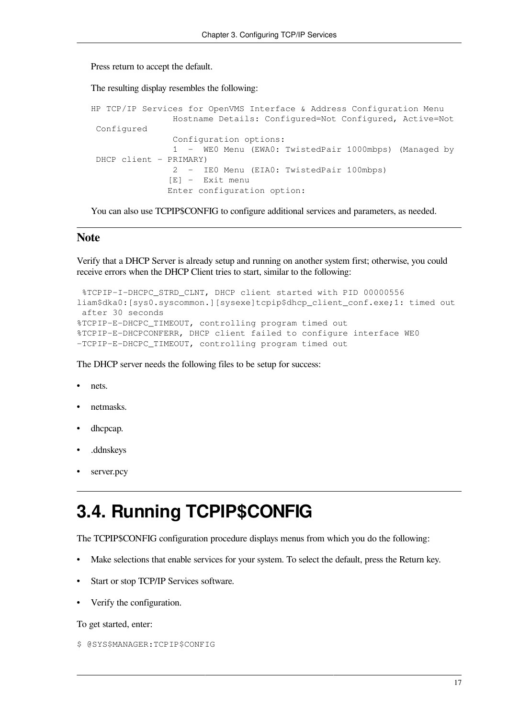Press return to accept the default.

The resulting display resembles the following:

```
HP TCP/IP Services for OpenVMS Interface & Address Configuration Menu
                 Hostname Details: Configured=Not Configured, Active=Not
  Configured
                 Configuration options:
                 1 - WE0 Menu (EWA0: TwistedPair 1000mbps) (Managed by
  DHCP client - PRIMARY)
                 2 - IE0 Menu (EIA0: TwistedPair 100mbps)
                [E] - Exit menu
                Enter configuration option:
```
You can also use TCPIP\$CONFIG to configure additional services and parameters, as needed.

#### **Note**

Verify that a DHCP Server is already setup and running on another system first; otherwise, you could receive errors when the DHCP Client tries to start, similar to the following:

```
 %TCPIP-I-DHCPC_STRD_CLNT, DHCP client started with PID 00000556
liam$dka0:[sys0.syscommon.][sysexe]tcpip$dhcp_client_conf.exe;1: timed out
  after 30 seconds
%TCPIP-E-DHCPC_TIMEOUT, controlling program timed out
%TCPIP-E-DHCPCONFERR, DHCP client failed to configure interface WE0
-TCPIP-E-DHCPC_TIMEOUT, controlling program timed out
```
The DHCP server needs the following files to be setup for success:

- nets.
- netmasks.
- dhcpcap.
- .ddnskeys
- server.pcv

## <span id="page-24-0"></span>**3.4. Running TCPIP\$CONFIG**

The TCPIP\$CONFIG configuration procedure displays menus from which you do the following:

- Make selections that enable services for your system. To select the default, press the Return key.
- Start or stop TCP/IP Services software.
- Verify the configuration.

To get started, enter:

\$ @SYS\$MANAGER:TCPIP\$CONFIG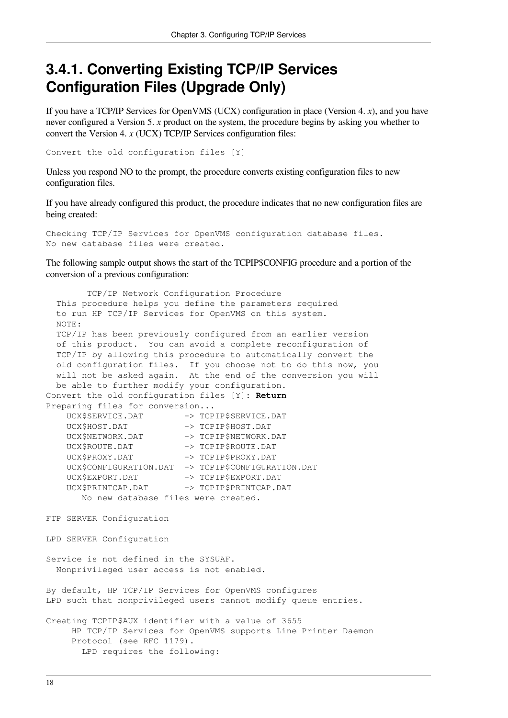### <span id="page-25-0"></span>**3.4.1. Converting Existing TCP/IP Services Configuration Files (Upgrade Only)**

If you have a TCP/IP Services for OpenVMS (UCX) configuration in place (Version 4. *x*), and you have never configured a Version 5. *x* product on the system, the procedure begins by asking you whether to convert the Version 4. *x* (UCX) TCP/IP Services configuration files:

Convert the old configuration files [Y]

Unless you respond NO to the prompt, the procedure converts existing configuration files to new configuration files.

If you have already configured this product, the procedure indicates that no new configuration files are being created:

Checking TCP/IP Services for OpenVMS configuration database files. No new database files were created.

The following sample output shows the start of the TCPIP\$CONFIG procedure and a portion of the conversion of a previous configuration:

 TCP/IP Network Configuration Procedure This procedure helps you define the parameters required to run HP TCP/IP Services for OpenVMS on this system. NOTE: TCP/IP has been previously configured from an earlier version of this product. You can avoid a complete reconfiguration of TCP/IP by allowing this procedure to automatically convert the old configuration files. If you choose not to do this now, you will not be asked again. At the end of the conversion you will be able to further modify your configuration. Convert the old configuration files [Y]: **Return** Preparing files for conversion... UCX\$SERVICE.DAT -> TCPIP\$SERVICE.DAT UCX\$HOST.DAT –> TCPIP\$HOST.DAT UCX\$NETWORK.DAT –> TCPIP\$NETWORK.DAT UCX\$ROUTE.DAT –> TCPIP\$ROUTE.DAT UCX\$PROXY.DAT –> TCPIP\$PROXY.DAT UCX\$CONFIGURATION.DAT -> TCPIP\$CONFIGURATION.DAT UCX\$EXPORT.DAT -> TCPIP\$EXPORT.DAT UCX\$PRINTCAP.DAT -> TCPIP\$PRINTCAP.DAT No new database files were created. FTP SERVER Configuration LPD SERVER Configuration Service is not defined in the SYSUAF. Nonprivileged user access is not enabled. By default, HP TCP/IP Services for OpenVMS configures LPD such that nonprivileged users cannot modify queue entries. Creating TCPIP\$AUX identifier with a value of 3655 HP TCP/IP Services for OpenVMS supports Line Printer Daemon Protocol (see RFC 1179). LPD requires the following: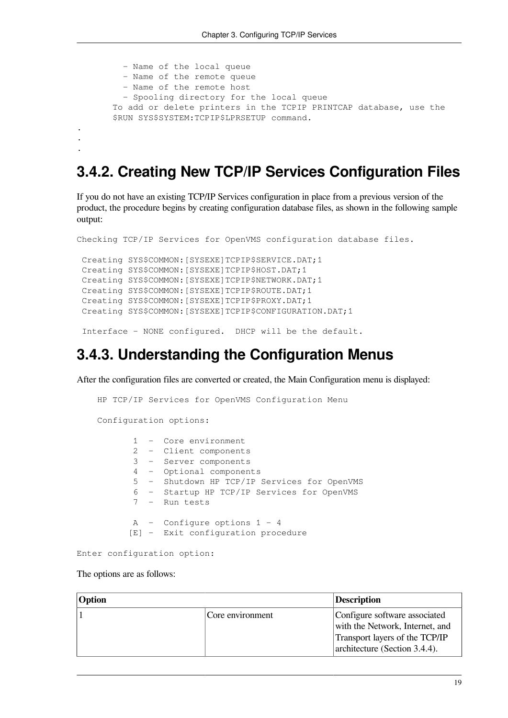```
 - Name of the local queue
          - Name of the remote queue
          - Name of the remote host
          - Spooling directory for the local queue
        To add or delete printers in the TCPIP PRINTCAP database, use the
        $RUN SYS$SYSTEM:TCPIP$LPRSETUP command.
.
.
.
```
### <span id="page-26-0"></span>**3.4.2. Creating New TCP/IP Services Configuration Files**

If you do not have an existing TCP/IP Services configuration in place from a previous version of the product, the procedure begins by creating configuration database files, as shown in the following sample output:

```
Checking TCP/IP Services for OpenVMS configuration database files.
  Creating SYS$COMMON:[SYSEXE]TCPIP$SERVICE.DAT;1
  Creating SYS$COMMON:[SYSEXE]TCPIP$HOST.DAT;1
  Creating SYS$COMMON:[SYSEXE]TCPIP$NETWORK.DAT;1
  Creating SYS$COMMON:[SYSEXE]TCPIP$ROUTE.DAT;1
  Creating SYS$COMMON:[SYSEXE]TCPIP$PROXY.DAT;1
  Creating SYS$COMMON:[SYSEXE]TCPIP$CONFIGURATION.DAT;1
```
<span id="page-26-1"></span>Interface - NONE configured. DHCP will be the default.

### **3.4.3. Understanding the Configuration Menus**

After the configuration files are converted or created, the Main Configuration menu is displayed:

```
 HP TCP/IP Services for OpenVMS Configuration Menu
 Configuration options:
        1 - Core environment
        2 - Client components
        3 - Server components
        4 - Optional components
        5 - Shutdown HP TCP/IP Services for OpenVMS
        6 - Startup HP TCP/IP Services for OpenVMS
        7 - Run tests
       A - Configure options 1 - 4
       [E] - Exit configuration procedure
```

```
Enter configuration option:
```
#### The options are as follows:

| <b>Option</b> | Description      |                                                                                                                                     |
|---------------|------------------|-------------------------------------------------------------------------------------------------------------------------------------|
|               | Core environment | Configure software associated<br>with the Network, Internet, and<br>Transport layers of the TCP/IP<br>architecture (Section 3.4.4). |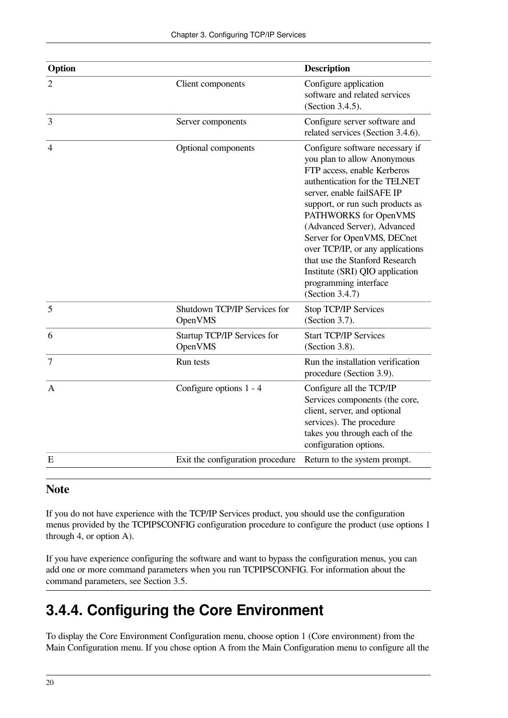| Option         | <b>Description</b>                      |                                                                                                                                                                                                                                                                                                                                                                                                                                             |
|----------------|-----------------------------------------|---------------------------------------------------------------------------------------------------------------------------------------------------------------------------------------------------------------------------------------------------------------------------------------------------------------------------------------------------------------------------------------------------------------------------------------------|
| $\overline{2}$ | Client components                       | Configure application<br>software and related services<br>(Section 3.4.5).                                                                                                                                                                                                                                                                                                                                                                  |
| 3              | Server components                       | Configure server software and<br>related services (Section 3.4.6).                                                                                                                                                                                                                                                                                                                                                                          |
| $\overline{4}$ | Optional components                     | Configure software necessary if<br>you plan to allow Anonymous<br>FTP access, enable Kerberos<br>authentication for the TELNET<br>server, enable failSAFE IP<br>support, or run such products as<br>PATHWORKS for OpenVMS<br>(Advanced Server), Advanced<br>Server for OpenVMS, DECnet<br>over TCP/IP, or any applications<br>that use the Stanford Research<br>Institute (SRI) QIO application<br>programming interface<br>(Section 3.4.7) |
| 5              | Shutdown TCP/IP Services for<br>OpenVMS | Stop TCP/IP Services<br>(Section 3.7).                                                                                                                                                                                                                                                                                                                                                                                                      |
| 6              | Startup TCP/IP Services for<br>OpenVMS  | <b>Start TCP/IP Services</b><br>(Section 3.8).                                                                                                                                                                                                                                                                                                                                                                                              |
| 7              | Run tests                               | Run the installation verification<br>procedure (Section 3.9).                                                                                                                                                                                                                                                                                                                                                                               |
| A              | Configure options 1 - 4                 | Configure all the TCP/IP<br>Services components (the core,<br>client, server, and optional<br>services). The procedure<br>takes you through each of the<br>configuration options.                                                                                                                                                                                                                                                           |
| E              | Exit the configuration procedure        | Return to the system prompt.                                                                                                                                                                                                                                                                                                                                                                                                                |

#### **Note**

If you do not have experience with the TCP/IP Services product, you should use the configuration menus provided by the TCPIP\$CONFIG configuration procedure to configure the product (use options 1 through 4, or option A).

If you have experience configuring the software and want to bypass the configuration menus, you can add one or more command parameters when you run TCPIP\$CONFIG. For information about the command parameters, see [Section](#page-42-1) 3.5.

## <span id="page-27-0"></span>**3.4.4. Configuring the Core Environment**

To display the Core Environment Configuration menu, choose option 1 (Core environment) from the Main Configuration menu. If you chose option A from the Main Configuration menu to configure all the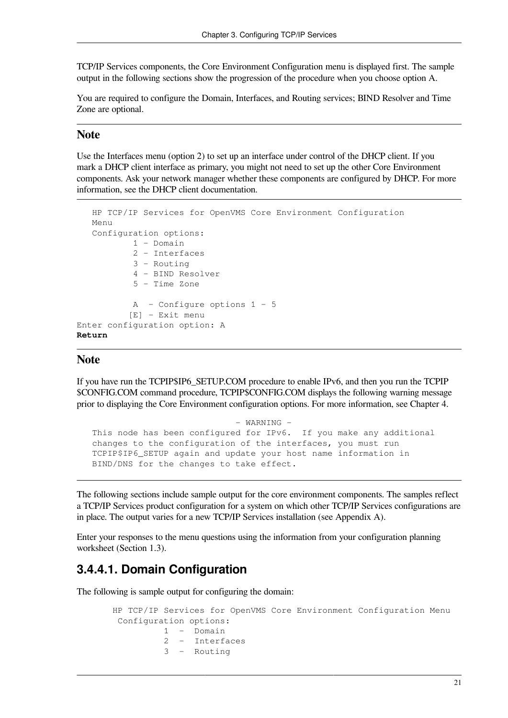TCP/IP Services components, the Core Environment Configuration menu is displayed first. The sample output in the following sections show the progression of the procedure when you choose option A.

You are required to configure the Domain, Interfaces, and Routing services; BIND Resolver and Time Zone are optional.

#### **Note**

Use the Interfaces menu (option 2) to set up an interface under control of the DHCP client. If you mark a DHCP client interface as primary, you might not need to set up the other Core Environment components. Ask your network manager whether these components are configured by DHCP. For more information, see the DHCP client documentation.

```
 HP TCP/IP Services for OpenVMS Core Environment Configuration
   M \nightharpoonup n11 Configuration options:
             1 - Domain
             2 - Interfaces
             3 - Routing
             4 - BIND Resolver
             5 - Time Zone
            A - Configure options 1 - 5 [E] - Exit menu
Enter configuration option: A
Return
```
#### **Note**

If you have run the TCPIP\$IP6\_SETUP.COM procedure to enable IPv6, and then you run the TCPIP \$CONFIG.COM command procedure, TCPIP\$CONFIG.COM displays the following warning message prior to displaying the Core Environment configuration options. For more information, see [Chapter](#page-54-0) 4.

```
 - WARNING -
 This node has been configured for IPv6. If you make any additional
 changes to the configuration of the interfaces, you must run
 TCPIP$IP6_SETUP again and update your host name information in
 BIND/DNS for the changes to take effect.
```
The following sections include sample output for the core environment components. The samples reflect a TCP/IP Services product configuration for a system on which other TCP/IP Services configurations are in place. The output varies for a new TCP/IP Services installation (see [Appendix](#page-68-0) A).

Enter your responses to the menu questions using the information from your configuration planning worksheet [\(Section](#page-13-0) 1.3).

#### <span id="page-28-0"></span>**3.4.4.1. Domain Configuration**

The following is sample output for configuring the domain:

```
 HP TCP/IP Services for OpenVMS Core Environment Configuration Menu
 Configuration options:
           1 - Domain
           2 - Interfaces
           3 - Routing
```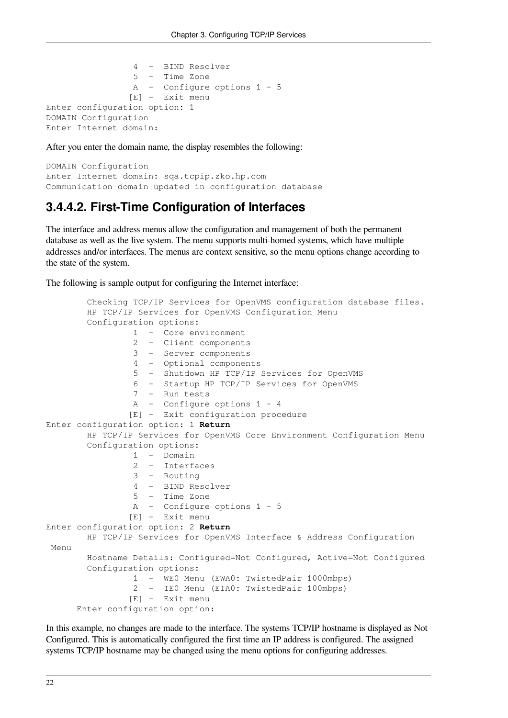```
 4 - BIND Resolver
                  5 - Time Zone
                  A - Configure options 1 - 5
                 [E] - Exit menu
Enter configuration option: 1
DOMAIN Configuration
Enter Internet domain:
```
After you enter the domain name, the display resembles the following:

```
DOMAIN Configuration
Enter Internet domain: sqa.tcpip.zko.hp.com
Communication domain updated in configuration database
```
#### <span id="page-29-0"></span>**3.4.4.2. First-Time Configuration of Interfaces**

The interface and address menus allow the configuration and management of both the permanent database as well as the live system. The menu supports multi-homed systems, which have multiple addresses and/or interfaces. The menus are context sensitive, so the menu options change according to the state of the system.

The following is sample output for configuring the Internet interface:

```
 Checking TCP/IP Services for OpenVMS configuration database files.
         HP TCP/IP Services for OpenVMS Configuration Menu
         Configuration options:
                  1 - Core environment
                  2 - Client components
                  3 - Server components
                  4 - Optional components
                  5 - Shutdown HP TCP/IP Services for OpenVMS
                  6 - Startup HP TCP/IP Services for OpenVMS
                  7 - Run tests
                  A - Configure options 1 - 4
                 [E] - Exit configuration procedure
Enter configuration option: 1 Return
         HP TCP/IP Services for OpenVMS Core Environment Configuration Menu
         Configuration options:
                 1 - Domain
                  2 - Interfaces
                  3 - Routing
                  4 - BIND Resolver
                  5 - Time Zone
                  A - Configure options 1 - 5
                 [E] - Exit menu
Enter configuration option: 2 Return
        HP TCP/IP Services for OpenVMS Interface & Address Configuration
 Menu
         Hostname Details: Configured=Not Configured, Active=Not Configured
         Configuration options:
                  1 - WE0 Menu (EWA0: TwistedPair 1000mbps)
                  2 - IE0 Menu (EIA0: TwistedPair 100mbps)
                 [E] - Exit menu
       Enter configuration option:
```
In this example, no changes are made to the interface. The systems TCP/IP hostname is displayed as Not Configured. This is automatically configured the first time an IP address is configured. The assigned systems TCP/IP hostname may be changed using the menu options for configuring addresses.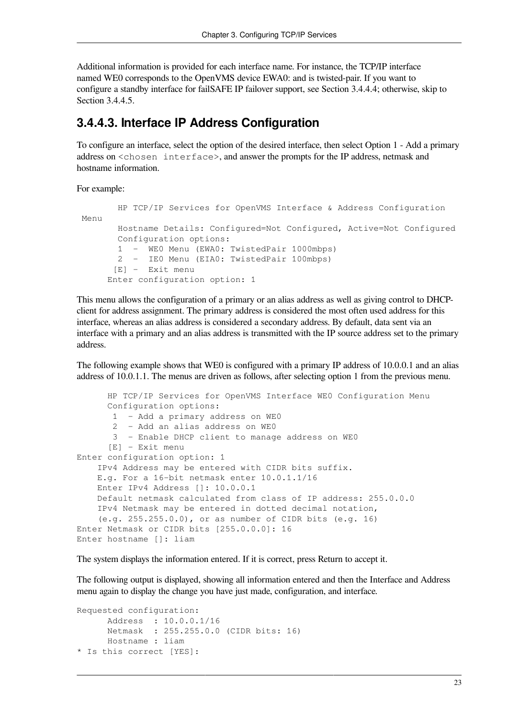Additional information is provided for each interface name. For instance, the TCP/IP interface named WE0 corresponds to the OpenVMS device EWA0: and is twisted-pair. If you want to configure a standby interface for failSAFE IP failover support, see [Section](#page-31-0) 3.4.4.4; otherwise, skip to [Section](#page-33-0) 3.4.4.5.

#### <span id="page-30-0"></span>**3.4.4.3. Interface IP Address Configuration**

To configure an interface, select the option of the desired interface, then select Option 1 - Add a primary address on <chosen interface>, and answer the prompts for the IP address, netmask and hostname information.

For example:

```
 HP TCP/IP Services for OpenVMS Interface & Address Configuration
 Menu
        Hostname Details: Configured=Not Configured, Active=Not Configured
        Configuration options:
        1 - WE0 Menu (EWA0: TwistedPair 1000mbps)
        2 - IE0 Menu (EIA0: TwistedPair 100mbps)
       [E] - Exit menu
      Enter configuration option: 1
```
This menu allows the configuration of a primary or an alias address as well as giving control to DHCPclient for address assignment. The primary address is considered the most often used address for this interface, whereas an alias address is considered a secondary address. By default, data sent via an interface with a primary and an alias address is transmitted with the IP source address set to the primary address.

The following example shows that WE0 is configured with a primary IP address of 10.0.0.1 and an alias address of 10.0.1.1. The menus are driven as follows, after selecting option 1 from the previous menu.

```
 HP TCP/IP Services for OpenVMS Interface WE0 Configuration Menu
       Configuration options:
        1 - Add a primary address on WE0
        2 - Add an alias address on WE0
        3 - Enable DHCP client to manage address on WE0
       [E] - Exit menu
Enter configuration option: 1
     IPv4 Address may be entered with CIDR bits suffix.
     E.g. For a 16-bit netmask enter 10.0.1.1/16
     Enter IPv4 Address []: 10.0.0.1
     Default netmask calculated from class of IP address: 255.0.0.0
     IPv4 Netmask may be entered in dotted decimal notation,
     (e.g. 255.255.0.0), or as number of CIDR bits (e.g. 16)
Enter Netmask or CIDR bits [255.0.0.0]: 16
Enter hostname []: liam
```
The system displays the information entered. If it is correct, press Return to accept it.

The following output is displayed, showing all information entered and then the Interface and Address menu again to display the change you have just made, configuration, and interface.

```
Requested configuration:
       Address : 10.0.0.1/16
       Netmask : 255.255.0.0 (CIDR bits: 16)
       Hostname : liam
* Is this correct [YES]:
```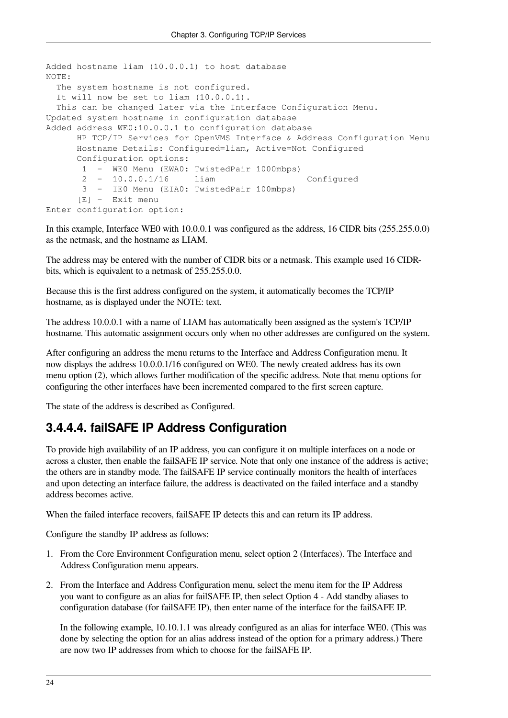```
Added hostname liam (10.0.0.1) to host database
NOTE:
  The system hostname is not configured.
  It will now be set to liam (10.0.0.1).
  This can be changed later via the Interface Configuration Menu.
Updated system hostname in configuration database
Added address WE0:10.0.0.1 to configuration database
      HP TCP/IP Services for OpenVMS Interface & Address Configuration Menu
      Hostname Details: Configured=liam, Active=Not Configured
      Configuration options:
       1 - WE0 Menu (EWA0: TwistedPair 1000mbps)
       2 - 10.0.0.1/16 liam Configured
       3 - IE0 Menu (EIA0: TwistedPair 100mbps)
       [E] - Exit menu
Enter configuration option:
```
In this example, Interface WE0 with 10.0.0.1 was configured as the address, 16 CIDR bits (255.255.0.0) as the netmask, and the hostname as LIAM.

The address may be entered with the number of CIDR bits or a netmask. This example used 16 CIDRbits, which is equivalent to a netmask of 255.255.0.0.

Because this is the first address configured on the system, it automatically becomes the TCP/IP hostname, as is displayed under the NOTE: text.

The address 10.0.0.1 with a name of LIAM has automatically been assigned as the system's TCP/IP hostname. This automatic assignment occurs only when no other addresses are configured on the system.

After configuring an address the menu returns to the Interface and Address Configuration menu. It now displays the address 10.0.0.1/16 configured on WE0. The newly created address has its own menu option (2), which allows further modification of the specific address. Note that menu options for configuring the other interfaces have been incremented compared to the first screen capture.

The state of the address is described as Configured.

#### <span id="page-31-0"></span>**3.4.4.4. failSAFE IP Address Configuration**

To provide high availability of an IP address, you can configure it on multiple interfaces on a node or across a cluster, then enable the failSAFE IP service. Note that only one instance of the address is active; the others are in standby mode. The failSAFE IP service continually monitors the health of interfaces and upon detecting an interface failure, the address is deactivated on the failed interface and a standby address becomes active.

When the failed interface recovers, failSAFE IP detects this and can return its IP address.

Configure the standby IP address as follows:

- 1. From the Core Environment Configuration menu, select option 2 (Interfaces). The Interface and Address Configuration menu appears.
- 2. From the Interface and Address Configuration menu, select the menu item for the IP Address you want to configure as an alias for failSAFE IP, then select Option 4 - Add standby aliases to configuration database (for failSAFE IP), then enter name of the interface for the failSAFE IP.

In the following example, 10.10.1.1 was already configured as an alias for interface WE0. (This was done by selecting the option for an alias address instead of the option for a primary address.) There are now two IP addresses from which to choose for the failSAFE IP.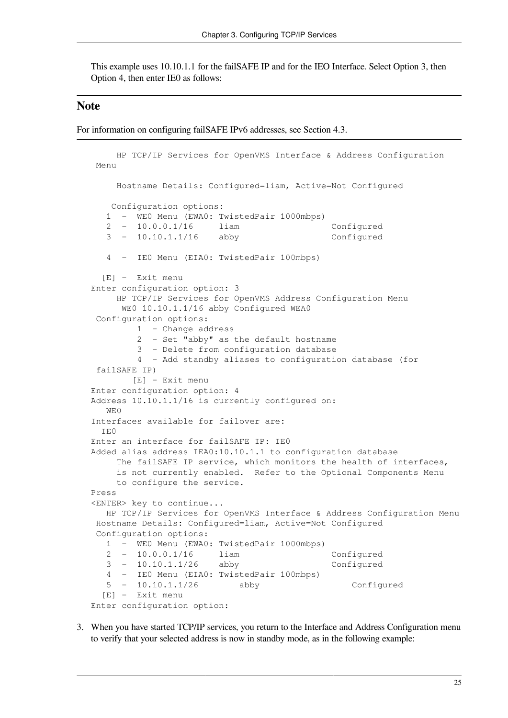This example uses 10.10.1.1 for the failSAFE IP and for the IEO Interface. Select Option 3, then Option 4, then enter IE0 as follows:

#### **Note**

For information on configuring failSAFE IPv6 addresses, see [Section](#page-65-0) 4.3.

```
 HP TCP/IP Services for OpenVMS Interface & Address Configuration
 Menu
     Hostname Details: Configured=liam, Active=Not Configured
    Configuration options:
    1 - WE0 Menu (EWA0: TwistedPair 1000mbps)
    2 - 10.0.0.1/16 liam Configured
    3 - 10.10.1.1/16 abby Configured
    4 - IE0 Menu (EIA0: TwistedPair 100mbps)
   [E] - Exit menu
Enter configuration option: 3
     HP TCP/IP Services for OpenVMS Address Configuration Menu
      WE0 10.10.1.1/16 abby Configured WEA0
  Configuration options:
         1 - Change address
         2 - Set "abby" as the default hostname
         3 - Delete from configuration database
         4 - Add standby aliases to configuration database (for
  failSAFE IP)
        [E] - Exit menu
Enter configuration option: 4
Address 10.10.1.1/16 is currently configured on:
  WF.O
Interfaces available for failover are:
   IE0
Enter an interface for failSAFE IP: IE0
Added alias address IEA0:10.10.1.1 to configuration database
     The failSAFE IP service, which monitors the health of interfaces,
     is not currently enabled. Refer to the Optional Components Menu
     to configure the service.
Press
<ENTER> key to continue...
   HP TCP/IP Services for OpenVMS Interface & Address Configuration Menu
 Hostname Details: Configured=liam, Active=Not Configured
  Configuration options:
    1 - WE0 Menu (EWA0: TwistedPair 1000mbps)
   2 - 10.0.0.1/16 liam Configured
    3 - 10.10.1.1/26 abby Configured
    4 - IE0 Menu (EIA0: TwistedPair 100mbps)
    5 - 10.10.1.1/26 abby Configured
   [E] - Exit menu
Enter configuration option:
```
3. When you have started TCP/IP services, you return to the Interface and Address Configuration menu to verify that your selected address is now in standby mode, as in the following example: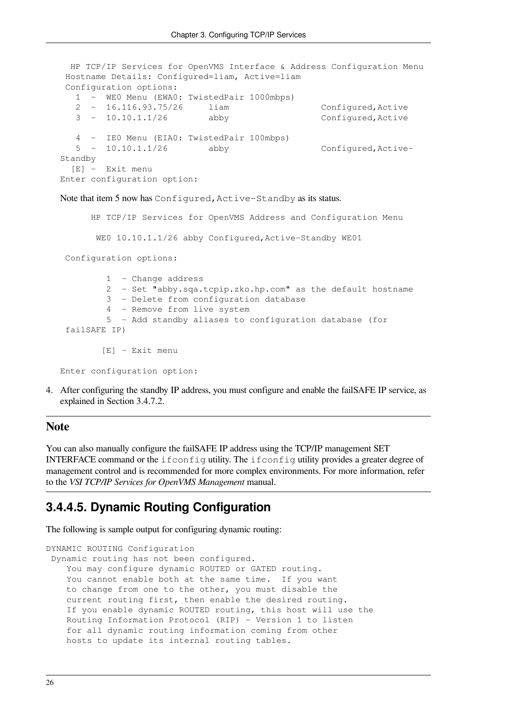```
 HP TCP/IP Services for OpenVMS Interface & Address Configuration Menu
 Hostname Details: Configured=liam, Active=liam
 Configuration options:
   1 - WE0 Menu (EWA0: TwistedPair 1000mbps)
   2 - 16.116.93.75/26 liam Configured,Active
   3 - 10.10.1.1/26 abby Configured,Active
   4 - IE0 Menu (EIA0: TwistedPair 100mbps)
   5 - 10.10.1.1/26 abby Configured,Active-
Standby
   [E] - Exit menu
Enter configuration option:
```
Note that item 5 now has Configured, Active-Standby as its status.

 HP TCP/IP Services for OpenVMS Address and Configuration Menu WE0 10.10.1.1/26 abby Configured, Active-Standby WE01 Configuration options: 1 - Change address 2 - Set "abby.sqa.tcpip.zko.hp.com" as the default hostname 3 - Delete from configuration database 4 - Remove from live system 5 - Add standby aliases to configuration database (for failSAFE IP) [E] - Exit menu Enter configuration option:

4. After configuring the standby IP address, you must configure and enable the failSAFE IP service, as explained in [Section](#page-42-0) 3.4.7.2.

#### **Note**

You can also manually configure the failSAFE IP address using the TCP/IP management SET INTERFACE command or the ifconfig utility. The ifconfig utility provides a greater degree of management control and is recommended for more complex environments. For more information, refer to the *VSI TCP/IP Services for OpenVMS Management* manual.

#### <span id="page-33-0"></span>**3.4.4.5. Dynamic Routing Configuration**

The following is sample output for configuring dynamic routing:

```
DYNAMIC ROUTING Configuration
  Dynamic routing has not been configured.
     You may configure dynamic ROUTED or GATED routing.
    You cannot enable both at the same time. If you want
     to change from one to the other, you must disable the
     current routing first, then enable the desired routing.
     If you enable dynamic ROUTED routing, this host will use the
     Routing Information Protocol (RIP) - Version 1 to listen
     for all dynamic routing information coming from other
     hosts to update its internal routing tables.
```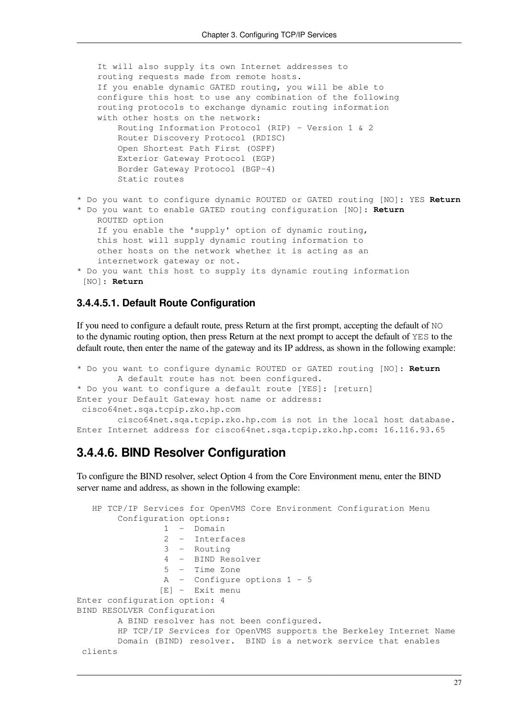```
 It will also supply its own Internet addresses to
     routing requests made from remote hosts.
     If you enable dynamic GATED routing, you will be able to
     configure this host to use any combination of the following
     routing protocols to exchange dynamic routing information
     with other hosts on the network:
         Routing Information Protocol (RIP) - Version 1 & 2
         Router Discovery Protocol (RDISC)
         Open Shortest Path First (OSPF)
         Exterior Gateway Protocol (EGP)
         Border Gateway Protocol (BGP-4)
         Static routes
* Do you want to configure dynamic ROUTED or GATED routing [NO]: YES Return
* Do you want to enable GATED routing configuration [NO]: Return
    ROUTED option
     If you enable the 'supply' option of dynamic routing,
     this host will supply dynamic routing information to
     other hosts on the network whether it is acting as an
     internetwork gateway or not.
* Do you want this host to supply its dynamic routing information
  [NO]: Return
```
#### **3.4.4.5.1. Default Route Configuration**

If you need to configure a default route, press Return at the first prompt, accepting the default of NO to the dynamic routing option, then press Return at the next prompt to accept the default of YES to the default route, then enter the name of the gateway and its IP address, as shown in the following example:

```
* Do you want to configure dynamic ROUTED or GATED routing [NO]: Return
         A default route has not been configured.
* Do you want to configure a default route [YES]: [return]
Enter your Default Gateway host name or address:
  cisco64net.sqa.tcpip.zko.hp.com
         cisco64net.sqa.tcpip.zko.hp.com is not in the local host database.
Enter Internet address for cisco64net.sqa.tcpip.zko.hp.com: 16.116.93.65
```
#### <span id="page-34-0"></span>**3.4.4.6. BIND Resolver Configuration**

To configure the BIND resolver, select Option 4 from the Core Environment menu, enter the BIND server name and address, as shown in the following example:

```
 HP TCP/IP Services for OpenVMS Core Environment Configuration Menu
         Configuration options:
                  1 - Domain
                  2 - Interfaces
                  3 - Routing
                  4 - BIND Resolver
                  5 - Time Zone
                  A - Configure options 1 - 5
                 [E] - Exit menu
Enter configuration option: 4
BIND RESOLVER Configuration
         A BIND resolver has not been configured.
         HP TCP/IP Services for OpenVMS supports the Berkeley Internet Name
         Domain (BIND) resolver. BIND is a network service that enables
  clients
```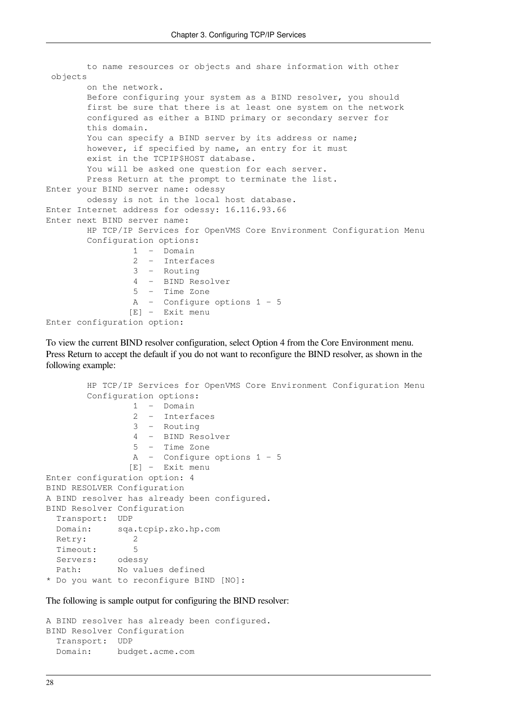```
 to name resources or objects and share information with other
  objects
         on the network.
         Before configuring your system as a BIND resolver, you should
         first be sure that there is at least one system on the network
         configured as either a BIND primary or secondary server for
         this domain.
        You can specify a BIND server by its address or name;
         however, if specified by name, an entry for it must
         exist in the TCPIP$HOST database.
       You will be asked one question for each server.
        Press Return at the prompt to terminate the list.
Enter your BIND server name: odessy
        odessy is not in the local host database.
Enter Internet address for odessy: 16.116.93.66
Enter next BIND server name:
         HP TCP/IP Services for OpenVMS Core Environment Configuration Menu
         Configuration options:
                  1 - Domain
                  2 - Interfaces
                  3 - Routing
                  4 - BIND Resolver
                  5 - Time Zone
                  A - Configure options 1 - 5
                 [E] - Exit menu
Enter configuration option:
```
To view the current BIND resolver configuration, select Option 4 from the Core Environment menu. Press Return to accept the default if you do not want to reconfigure the BIND resolver, as shown in the following example:

```
 HP TCP/IP Services for OpenVMS Core Environment Configuration Menu
        Configuration options:
                 1 - Domain
                 2 - Interfaces
                 3 - Routing
                 4 - BIND Resolver
                 5 - Time Zone
                 A - Configure options 1 - 5
                [E] - Exit menu
Enter configuration option: 4
BIND RESOLVER Configuration
A BIND resolver has already been configured.
BIND Resolver Configuration
  Transport: UDP
  Domain: sqa.tcpip.zko.hp.com
 Retry: 2
  Timeout: 5
  Servers: odessy
  Path: No values defined
* Do you want to reconfigure BIND [NO]:
```
The following is sample output for configuring the BIND resolver:

```
A BIND resolver has already been configured.
BIND Resolver Configuration
  Transport: UDP
  Domain: budget.acme.com
```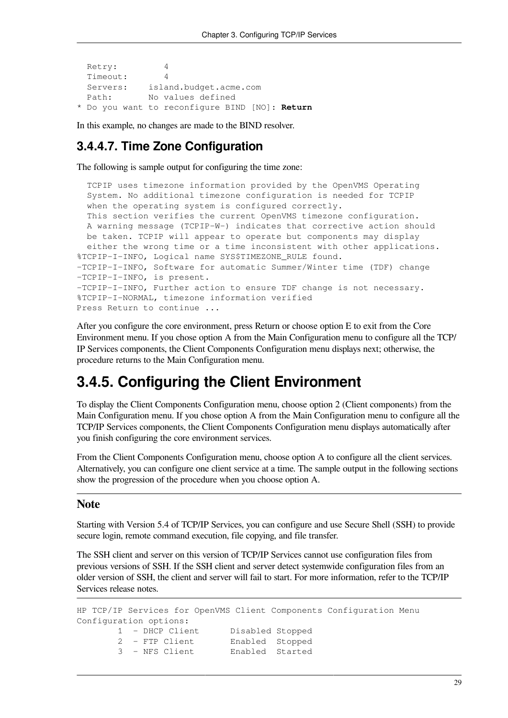```
 Retry: 4
  Timeout: 4
  Servers: island.budget.acme.com
 Path: No values defined
* Do you want to reconfigure BIND [NO]: Return
```
In this example, no changes are made to the BIND resolver.

#### **3.4.4.7. Time Zone Configuration**

The following is sample output for configuring the time zone:

```
 TCPIP uses timezone information provided by the OpenVMS Operating
   System. No additional timezone configuration is needed for TCPIP
   when the operating system is configured correctly.
   This section verifies the current OpenVMS timezone configuration.
   A warning message (TCPIP-W-) indicates that corrective action should
  be taken. TCPIP will appear to operate but components may display
   either the wrong time or a time inconsistent with other applications.
%TCPIP-I-INFO, Logical name SYS$TIMEZONE_RULE found.
-TCPIP-I-INFO, Software for automatic Summer/Winter time (TDF) change
-TCPIP-I-INFO, is present.
-TCPIP-I-INFO, Further action to ensure TDF change is not necessary.
%TCPIP-I-NORMAL, timezone information verified
Press Return to continue ...
```
After you configure the core environment, press Return or choose option E to exit from the Core Environment menu. If you chose option A from the Main Configuration menu to configure all the TCP/ IP Services components, the Client Components Configuration menu displays next; otherwise, the procedure returns to the Main Configuration menu.

### **3.4.5. Configuring the Client Environment**

To display the Client Components Configuration menu, choose option 2 (Client components) from the Main Configuration menu. If you chose option A from the Main Configuration menu to configure all the TCP/IP Services components, the Client Components Configuration menu displays automatically after you finish configuring the core environment services.

From the Client Components Configuration menu, choose option A to configure all the client services. Alternatively, you can configure one client service at a time. The sample output in the following sections show the progression of the procedure when you choose option A.

#### **Note**

Starting with Version 5.4 of TCP/IP Services, you can configure and use Secure Shell (SSH) to provide secure login, remote command execution, file copying, and file transfer.

The SSH client and server on this version of TCP/IP Services cannot use configuration files from previous versions of SSH. If the SSH client and server detect systemwide configuration files from an older version of SSH, the client and server will fail to start. For more information, refer to the TCP/IP Services release notes.

```
HP TCP/IP Services for OpenVMS Client Components Configuration Menu
Configuration options:
        1 - DHCP Client Disabled Stopped
        2 - FTP Client Enabled Stopped
        3 - NFS Client Enabled Started
```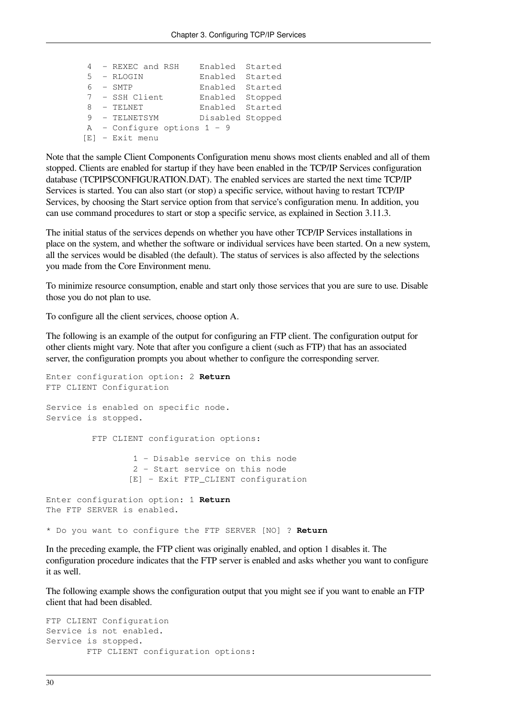|  | 4 - REXEC and RSH             | Enabled Started  |  |
|--|-------------------------------|------------------|--|
|  | 5 - RLOGIN                    | Enabled Started  |  |
|  | $6 - SMTP$                    | Enabled Started  |  |
|  | 7 - SSH Client                | Enabled Stopped  |  |
|  | 8 - TELNET                    | Enabled Started  |  |
|  | 9 - TELNETSYM                 | Disabled Stopped |  |
|  | $A -$ Configure options 1 - 9 |                  |  |
|  | $[E]$ - Exit menu             |                  |  |

Note that the sample Client Components Configuration menu shows most clients enabled and all of them stopped. Clients are enabled for startup if they have been enabled in the TCP/IP Services configuration database (TCPIP\$CONFIGURATION.DAT). The enabled services are started the next time TCP/IP Services is started. You can also start (or stop) a specific service, without having to restart TCP/IP Services, by choosing the Start service option from that service's configuration menu. In addition, you can use command procedures to start or stop a specific service, as explained in [Section](#page-50-0) 3.11.3.

The initial status of the services depends on whether you have other TCP/IP Services installations in place on the system, and whether the software or individual services have been started. On a new system, all the services would be disabled (the default). The status of services is also affected by the selections you made from the Core Environment menu.

To minimize resource consumption, enable and start only those services that you are sure to use. Disable those you do not plan to use.

To configure all the client services, choose option A.

The following is an example of the output for configuring an FTP client. The configuration output for other clients might vary. Note that after you configure a client (such as FTP) that has an associated server, the configuration prompts you about whether to configure the corresponding server.

```
Enter configuration option: 2 Return
FTP CLIENT Configuration
Service is enabled on specific node.
Service is stopped.
          FTP CLIENT configuration options:
                  1 - Disable service on this node
                  2 - Start service on this node
                 [E] - Exit FTP_CLIENT configuration
Enter configuration option: 1 Return
The FTP SERVER is enabled.
```
\* Do you want to configure the FTP SERVER [NO] ? **Return**

In the preceding example, the FTP client was originally enabled, and option 1 disables it. The configuration procedure indicates that the FTP server is enabled and asks whether you want to configure it as well.

The following example shows the configuration output that you might see if you want to enable an FTP client that had been disabled.

```
FTP CLIENT Configuration
Service is not enabled.
Service is stopped.
         FTP CLIENT configuration options:
```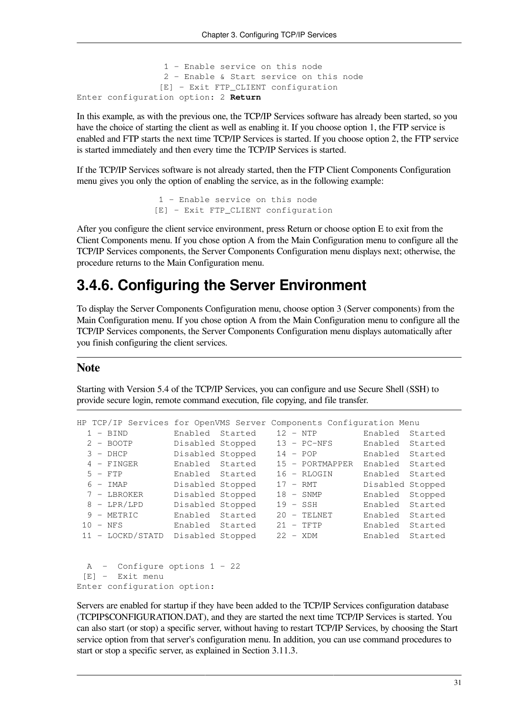```
 1 - Enable service on this node
                  2 - Enable & Start service on this node
                 [E] - Exit FTP_CLIENT configuration
Enter configuration option: 2 Return
```
In this example, as with the previous one, the TCP/IP Services software has already been started, so you have the choice of starting the client as well as enabling it. If you choose option 1, the FTP service is enabled and FTP starts the next time TCP/IP Services is started. If you choose option 2, the FTP service is started immediately and then every time the TCP/IP Services is started.

If the TCP/IP Services software is not already started, then the FTP Client Components Configuration menu gives you only the option of enabling the service, as in the following example:

```
 1 - Enable service on this node
 [E] - Exit FTP_CLIENT configuration
```
After you configure the client service environment, press Return or choose option E to exit from the Client Components menu. If you chose option A from the Main Configuration menu to configure all the TCP/IP Services components, the Server Components Configuration menu displays next; otherwise, the procedure returns to the Main Configuration menu.

### **3.4.6. Configuring the Server Environment**

To display the Server Components Configuration menu, choose option 3 (Server components) from the Main Configuration menu. If you chose option A from the Main Configuration menu to configure all the TCP/IP Services components, the Server Components Configuration menu displays automatically after you finish configuring the client services.

#### **Note**

Starting with Version 5.4 of the TCP/IP Services, you can configure and use Secure Shell (SSH) to provide secure login, remote command execution, file copying, and file transfer.

```
HP TCP/IP Services for OpenVMS Server Components Configuration Menu
  1 - BIND Enabled Started 12 - NTP Enabled Started
  2 - BOOTP Disabled Stopped 13 - PC-NFS Enabled Started
              Disabled Stopped 14 - POP Enabled Started
  4 - FINGER Enabled Started 15 - PORTMAPPER Enabled Started
  5 - FTP Enabled Started 16 - RLOGIN Enabled Started
  6 - IMAP Disabled Stopped 17 - RMT Disabled Stopped
  7 - LBROKER Disabled Stopped 18 - SNMP Enabled Stopped
  8 - LPR/LPD Disabled Stopped 19 - SSH Enabled Started
  9 - METRIC Enabled Started 20 - TELNET Enabled Started
 10 - NFS Enabled Started 21 - TFTP Enabled Started
 11 - LOCKD/STATD Disabled Stopped 22 - XDM Enabled Started
```

```
 A - Configure options 1 - 22
  [E] - Exit menu
Enter configuration option:
```
Servers are enabled for startup if they have been added to the TCP/IP Services configuration database (TCPIP\$CONFIGURATION.DAT), and they are started the next time TCP/IP Services is started. You can also start (or stop) a specific server, without having to restart TCP/IP Services, by choosing the Start service option from that server's configuration menu. In addition, you can use command procedures to start or stop a specific server, as explained in [Section](#page-50-0) 3.11.3.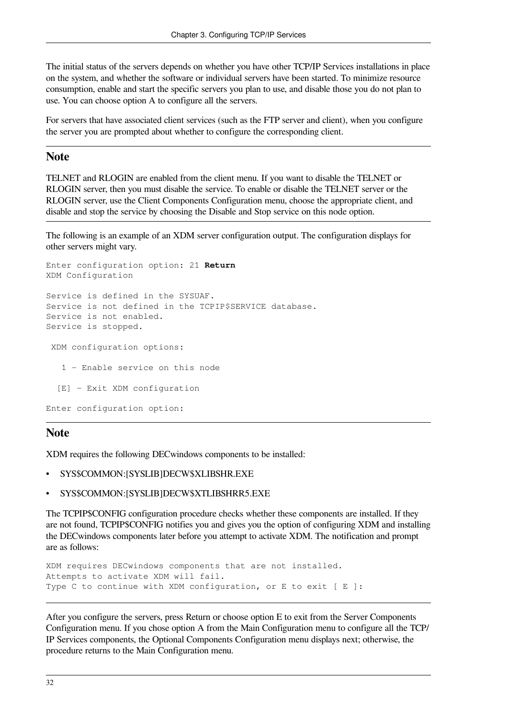The initial status of the servers depends on whether you have other TCP/IP Services installations in place on the system, and whether the software or individual servers have been started. To minimize resource consumption, enable and start the specific servers you plan to use, and disable those you do not plan to use. You can choose option A to configure all the servers.

For servers that have associated client services (such as the FTP server and client), when you configure the server you are prompted about whether to configure the corresponding client.

#### **Note**

TELNET and RLOGIN are enabled from the client menu. If you want to disable the TELNET or RLOGIN server, then you must disable the service. To enable or disable the TELNET server or the RLOGIN server, use the Client Components Configuration menu, choose the appropriate client, and disable and stop the service by choosing the Disable and Stop service on this node option.

The following is an example of an XDM server configuration output. The configuration displays for other servers might vary.

```
Enter configuration option: 21 Return
XDM Configuration
Service is defined in the SYSUAF.
Service is not defined in the TCPIP$SERVICE database.
Service is not enabled.
Service is stopped.
  XDM configuration options:
    1 - Enable service on this node
   [E] - Exit XDM configuration
Enter configuration option:
```
#### **Note**

XDM requires the following DECwindows components to be installed:

- SYS\$COMMON:[SYSLIB]DECW\$XLIBSHR.EXE
- SYS\$COMMON:[SYSLIB]DECW\$XTLIBSHRR5.EXE

The TCPIP\$CONFIG configuration procedure checks whether these components are installed. If they are not found, TCPIP\$CONFIG notifies you and gives you the option of configuring XDM and installing the DECwindows components later before you attempt to activate XDM. The notification and prompt are as follows:

```
XDM requires DECwindows components that are not installed.
Attempts to activate XDM will fail.
Type C to continue with XDM configuration, or E to exit [ E ]:
```
After you configure the servers, press Return or choose option E to exit from the Server Components Configuration menu. If you chose option A from the Main Configuration menu to configure all the TCP/ IP Services components, the Optional Components Configuration menu displays next; otherwise, the procedure returns to the Main Configuration menu.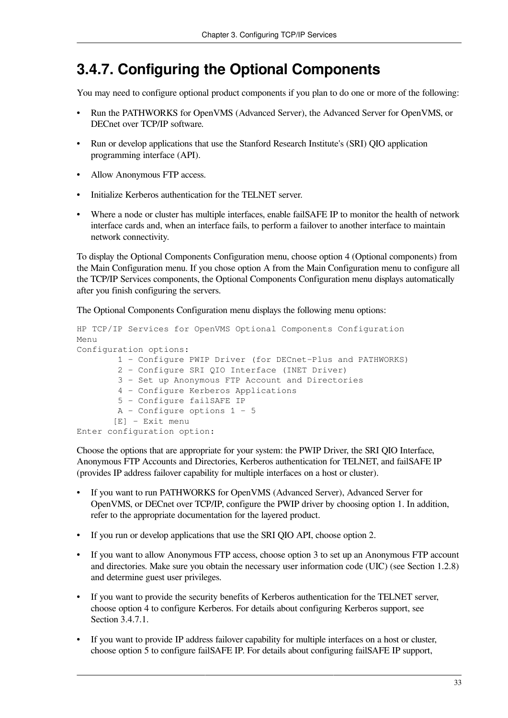### **3.4.7. Configuring the Optional Components**

You may need to configure optional product components if you plan to do one or more of the following:

- Run the PATHWORKS for OpenVMS (Advanced Server), the Advanced Server for OpenVMS, or DECnet over TCP/IP software.
- Run or develop applications that use the Stanford Research Institute's (SRI) QIO application programming interface (API).
- Allow Anonymous FTP access.
- Initialize Kerberos authentication for the TELNET server.
- Where a node or cluster has multiple interfaces, enable failSAFE IP to monitor the health of network interface cards and, when an interface fails, to perform a failover to another interface to maintain network connectivity.

To display the Optional Components Configuration menu, choose option 4 (Optional components) from the Main Configuration menu. If you chose option A from the Main Configuration menu to configure all the TCP/IP Services components, the Optional Components Configuration menu displays automatically after you finish configuring the servers.

The Optional Components Configuration menu displays the following menu options:

```
HP TCP/IP Services for OpenVMS Optional Components Configuration
Menu
Configuration options:
         1 - Configure PWIP Driver (for DECnet-Plus and PATHWORKS)
         2 - Configure SRI QIO Interface (INET Driver)
         3 - Set up Anonymous FTP Account and Directories
         4 - Configure Kerberos Applications
         5 - Configure failSAFE IP
         A - Configure options 1 - 5
        [E] - Exit menu
Enter configuration option:
```
Choose the options that are appropriate for your system: the PWIP Driver, the SRI QIO Interface, Anonymous FTP Accounts and Directories, Kerberos authentication for TELNET, and failSAFE IP (provides IP address failover capability for multiple interfaces on a host or cluster).

- If you want to run PATHWORKS for OpenVMS (Advanced Server), Advanced Server for OpenVMS, or DECnet over TCP/IP, configure the PWIP driver by choosing option 1. In addition, refer to the appropriate documentation for the layered product.
- If you run or develop applications that use the SRI QIO API, choose option 2.
- If you want to allow Anonymous FTP access, choose option 3 to set up an Anonymous FTP account and directories. Make sure you obtain the necessary user information code (UIC) (see [Section](#page-12-0) 1.2.8) and determine guest user privileges.
- If you want to provide the security benefits of Kerberos authentication for the TELNET server, choose option 4 to configure Kerberos. For details about configuring Kerberos support, see [Section](#page-41-0) 3.4.7.1.
- If you want to provide IP address failover capability for multiple interfaces on a host or cluster, choose option 5 to configure failSAFE IP. For details about configuring failSAFE IP support,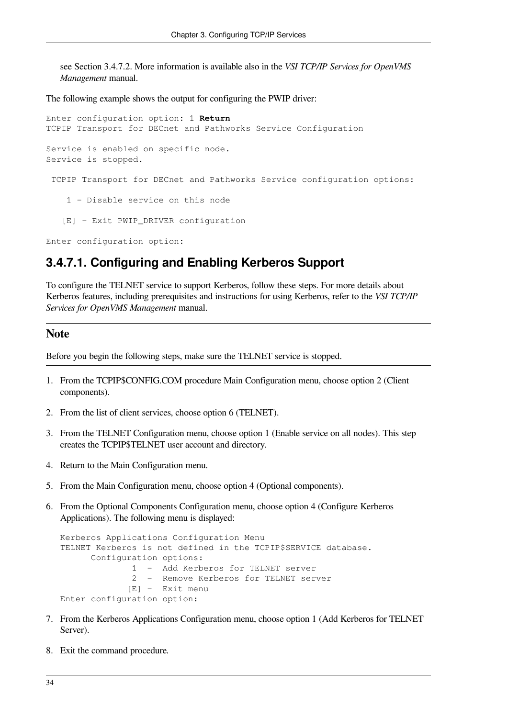see [Section](#page-42-0) 3.4.7.2. More information is available also in the *VSI TCP/IP Services for OpenVMS Management* manual.

The following example shows the output for configuring the PWIP driver:

```
Enter configuration option: 1 Return
TCPIP Transport for DECnet and Pathworks Service Configuration
Service is enabled on specific node.
Service is stopped.
  TCPIP Transport for DECnet and Pathworks Service configuration options:
     1 - Disable service on this node
   [E] - Exit PWIP DRIVER configuration
```
<span id="page-41-0"></span>Enter configuration option:

#### **3.4.7.1. Configuring and Enabling Kerberos Support**

To configure the TELNET service to support Kerberos, follow these steps. For more details about Kerberos features, including prerequisites and instructions for using Kerberos, refer to the *VSI TCP/IP Services for OpenVMS Management* manual.

#### **Note**

Before you begin the following steps, make sure the TELNET service is stopped.

- 1. From the TCPIP\$CONFIG.COM procedure Main Configuration menu, choose option 2 (Client components).
- 2. From the list of client services, choose option 6 (TELNET).
- 3. From the TELNET Configuration menu, choose option 1 (Enable service on all nodes). This step creates the TCPIP\$TELNET user account and directory.
- 4. Return to the Main Configuration menu.
- 5. From the Main Configuration menu, choose option 4 (Optional components).
- 6. From the Optional Components Configuration menu, choose option 4 (Configure Kerberos Applications). The following menu is displayed:

```
Kerberos Applications Configuration Menu
TELNET Kerberos is not defined in the TCPIP$SERVICE database.
       Configuration options:
               1 - Add Kerberos for TELNET server
               2 - Remove Kerberos for TELNET server
              [E] - Exit menu
Enter configuration option:
```
- 7. From the Kerberos Applications Configuration menu, choose option 1 (Add Kerberos for TELNET Server).
- 8. Exit the command procedure.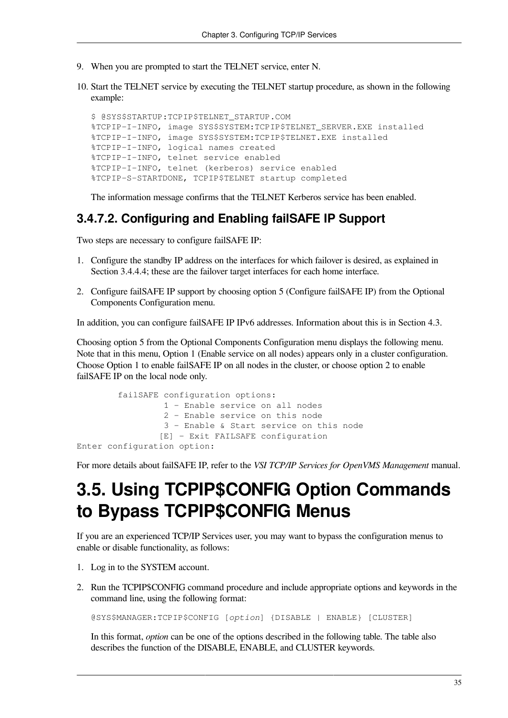- 9. When you are prompted to start the TELNET service, enter N.
- 10. Start the TELNET service by executing the TELNET startup procedure, as shown in the following example:

\$ @SYS\$STARTUP:TCPIP\$TELNET\_STARTUP.COM %TCPIP-I-INFO, image SYS\$SYSTEM:TCPIP\$TELNET\_SERVER.EXE installed %TCPIP-I-INFO, image SYS\$SYSTEM:TCPIP\$TELNET.EXE installed %TCPIP-I-INFO, logical names created %TCPIP-I-INFO, telnet service enabled %TCPIP-I-INFO, telnet (kerberos) service enabled %TCPIP-S-STARTDONE, TCPIP\$TELNET startup completed

The information message confirms that the TELNET Kerberos service has been enabled.

#### <span id="page-42-0"></span>**3.4.7.2. Configuring and Enabling failSAFE IP Support**

Two steps are necessary to configure failSAFE IP:

- 1. Configure the standby IP address on the interfaces for which failover is desired, as explained in [Section](#page-31-0) 3.4.4.4; these are the failover target interfaces for each home interface.
- 2. Configure failSAFE IP support by choosing option 5 (Configure failSAFE IP) from the Optional Components Configuration menu.

In addition, you can configure failSAFE IP IPv6 addresses. Information about this is in [Section](#page-65-0) 4.3.

Choosing option 5 from the Optional Components Configuration menu displays the following menu. Note that in this menu, Option 1 (Enable service on all nodes) appears only in a cluster configuration. Choose Option 1 to enable failSAFE IP on all nodes in the cluster, or choose option 2 to enable failSAFE IP on the local node only.

```
 failSAFE configuration options:
                  1 - Enable service on all nodes
                  2 - Enable service on this node
                  3 - Enable & Start service on this node
                  [E] - Exit FAILSAFE configuration
Enter configuration option:
```
For more details about failSAFE IP, refer to the *VSI TCP/IP Services for OpenVMS Management* manual.

## **3.5. Using TCPIP\$CONFIG Option Commands to Bypass TCPIP\$CONFIG Menus**

If you are an experienced TCP/IP Services user, you may want to bypass the configuration menus to enable or disable functionality, as follows:

- 1. Log in to the SYSTEM account.
- 2. Run the TCPIP\$CONFIG command procedure and include appropriate options and keywords in the command line, using the following format:

@SYS\$MANAGER:TCPIP\$CONFIG [*option*] {DISABLE | ENABLE} [CLUSTER]

In this format, *option* can be one of the options described in the following table. The table also describes the function of the DISABLE, ENABLE, and CLUSTER keywords.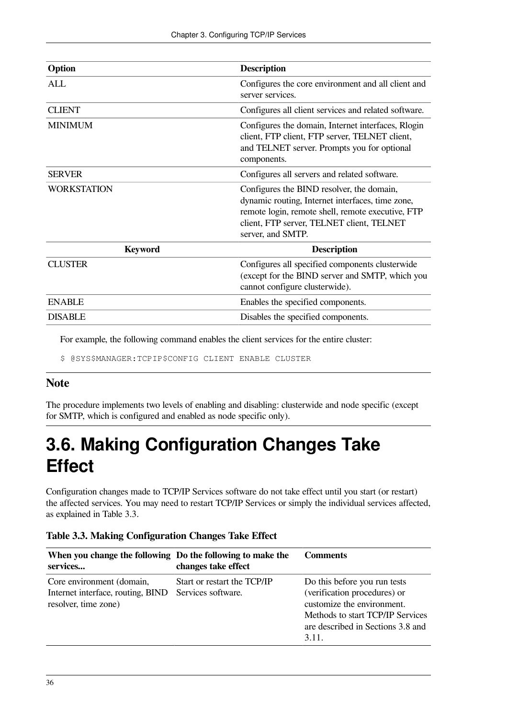| Option             | <b>Description</b>                                                                                                                                                                                                   |
|--------------------|----------------------------------------------------------------------------------------------------------------------------------------------------------------------------------------------------------------------|
| <b>ALL</b>         | Configures the core environment and all client and<br>server services.                                                                                                                                               |
| <b>CLIENT</b>      | Configures all client services and related software.                                                                                                                                                                 |
| <b>MINIMUM</b>     | Configures the domain, Internet interfaces, Rlogin<br>client, FTP client, FTP server, TELNET client,<br>and TELNET server. Prompts you for optional<br>components.                                                   |
| <b>SERVER</b>      | Configures all servers and related software.                                                                                                                                                                         |
| <b>WORKSTATION</b> | Configures the BIND resolver, the domain,<br>dynamic routing, Internet interfaces, time zone,<br>remote login, remote shell, remote executive, FTP<br>client, FTP server, TELNET client, TELNET<br>server, and SMTP. |
| <b>Keyword</b>     | <b>Description</b>                                                                                                                                                                                                   |
| <b>CLUSTER</b>     | Configures all specified components clusterwide<br>(except for the BIND server and SMTP, which you<br>cannot configure clusterwide).                                                                                 |
| <b>ENABLE</b>      | Enables the specified components.                                                                                                                                                                                    |
| <b>DISABLE</b>     | Disables the specified components.                                                                                                                                                                                   |

For example, the following command enables the client services for the entire cluster:

\$ @SYS\$MANAGER:TCPIP\$CONFIG CLIENT ENABLE CLUSTER

#### **Note**

The procedure implements two levels of enabling and disabling: clusterwide and node specific (except for SMTP, which is configured and enabled as node specific only).

## <span id="page-43-1"></span>**3.6. Making Configuration Changes Take Effect**

Configuration changes made to TCP/IP Services software do not take effect until you start (or restart) the affected services. You may need to restart TCP/IP Services or simply the individual services affected, as explained in [Table](#page-43-0) 3.3.

| When you change the following Do the following to make the<br>services                 | changes take effect                               | Comments                                                                                                                                                                     |
|----------------------------------------------------------------------------------------|---------------------------------------------------|------------------------------------------------------------------------------------------------------------------------------------------------------------------------------|
| Core environment (domain,<br>Internet interface, routing, BIND<br>resolver, time zone) | Start or restart the TCP/IP<br>Services software. | Do this before you run tests<br>(verification procedures) or<br>customize the environment.<br>Methods to start TCP/IP Services<br>are described in Sections 3.8 and<br>3.11. |

<span id="page-43-0"></span>**Table 3.3. Making Configuration Changes Take Effect**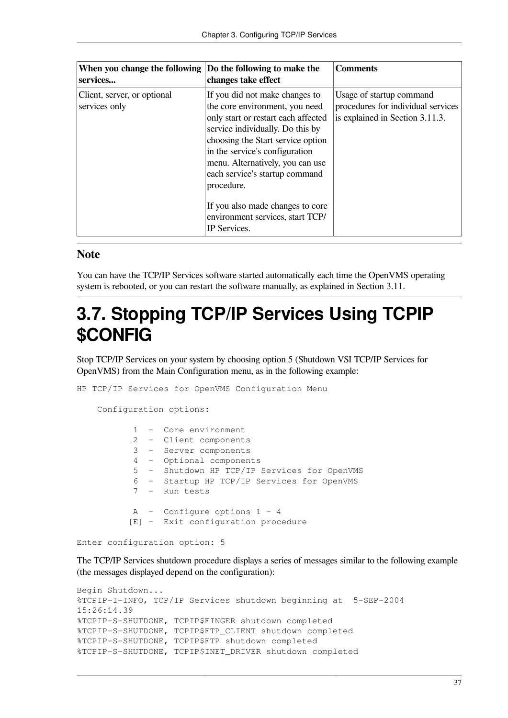| When you change the following<br>services    | Do the following to make the<br>changes take effect                                                                                                                                                                                                                                                                                                                                            | <b>Comments</b>                                                                                   |
|----------------------------------------------|------------------------------------------------------------------------------------------------------------------------------------------------------------------------------------------------------------------------------------------------------------------------------------------------------------------------------------------------------------------------------------------------|---------------------------------------------------------------------------------------------------|
| Client, server, or optional<br>services only | If you did not make changes to<br>the core environment, you need<br>only start or restart each affected<br>service individually. Do this by<br>choosing the Start service option<br>in the service's configuration<br>menu. Alternatively, you can use<br>each service's startup command<br>procedure.<br>If you also made changes to core<br>environment services, start TCP/<br>IP Services. | Usage of startup command<br>procedures for individual services<br>is explained in Section 3.11.3. |

#### **Note**

You can have the TCP/IP Services software started automatically each time the OpenVMS operating system is rebooted, or you can restart the software manually, as explained in [Section](#page-50-1) 3.11.

## **3.7. Stopping TCP/IP Services Using TCPIP \$CONFIG**

Stop TCP/IP Services on your system by choosing option 5 (Shutdown VSI TCP/IP Services for OpenVMS) from the Main Configuration menu, as in the following example:

HP TCP/IP Services for OpenVMS Configuration Menu

Configuration options:

|  | 1 - Core environment                        |
|--|---------------------------------------------|
|  | 2 - Client components                       |
|  | 3 - Server components                       |
|  | 4 - Optional components                     |
|  | 5 - Shutdown HP TCP/IP Services for OpenVMS |
|  | 6 - Startup HP TCP/IP Services for OpenVMS  |
|  | $7 -$ Run tests                             |
|  |                                             |
|  | A - Configure options 1 - 4                 |
|  | [E] - Exit configuration procedure          |
|  |                                             |

Enter configuration option: 5

The TCP/IP Services shutdown procedure displays a series of messages similar to the following example (the messages displayed depend on the configuration):

```
Begin Shutdown...
%TCPIP-I-INFO, TCP/IP Services shutdown beginning at 5-SEP-2004
15:26:14.39
%TCPIP-S-SHUTDONE, TCPIP$FINGER shutdown completed
%TCPIP-S-SHUTDONE, TCPIP$FTP_CLIENT shutdown completed
%TCPIP-S-SHUTDONE, TCPIP$FTP shutdown completed
%TCPIP-S-SHUTDONE, TCPIP$INET_DRIVER shutdown completed
```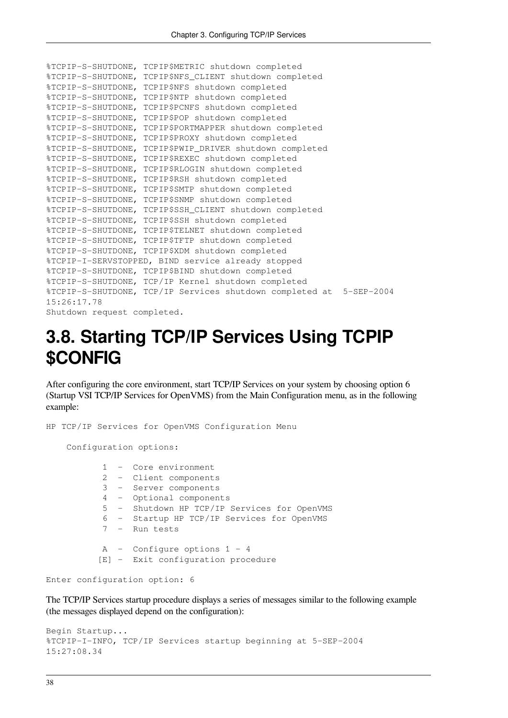```
%TCPIP-S-SHUTDONE, TCPIP$METRIC shutdown completed
%TCPIP-S-SHUTDONE, TCPIP$NFS_CLIENT shutdown completed
%TCPIP-S-SHUTDONE, TCPIP$NFS shutdown completed
%TCPIP-S-SHUTDONE, TCPIP$NTP shutdown completed
%TCPIP-S-SHUTDONE, TCPIP$PCNFS shutdown completed
%TCPIP-S-SHUTDONE, TCPIP$POP shutdown completed
%TCPIP-S-SHUTDONE, TCPIP$PORTMAPPER shutdown completed
%TCPIP-S-SHUTDONE, TCPIP$PROXY shutdown completed
%TCPIP-S-SHUTDONE, TCPIP$PWIP_DRIVER shutdown completed
%TCPIP-S-SHUTDONE, TCPIP$REXEC shutdown completed
%TCPIP-S-SHUTDONE, TCPIP$RLOGIN shutdown completed
%TCPIP-S-SHUTDONE, TCPIP$RSH shutdown completed
%TCPIP-S-SHUTDONE, TCPIP$SMTP shutdown completed
%TCPIP-S-SHUTDONE, TCPIP$SNMP shutdown completed
%TCPIP-S-SHUTDONE, TCPIP$SSH_CLIENT shutdown completed
%TCPIP-S-SHUTDONE, TCPIP$SSH shutdown completed
%TCPIP-S-SHUTDONE, TCPIP$TELNET shutdown completed
%TCPIP-S-SHUTDONE, TCPIP$TFTP shutdown completed
%TCPIP-S-SHUTDONE, TCPIP$XDM shutdown completed
%TCPIP-I-SERVSTOPPED, BIND service already stopped
%TCPIP-S-SHUTDONE, TCPIP$BIND shutdown completed
%TCPIP-S-SHUTDONE, TCP/IP Kernel shutdown completed
%TCPIP-S-SHUTDONE, TCP/IP Services shutdown completed at 5-SEP-2004
15:26:17.78
Shutdown request completed.
```
## <span id="page-45-0"></span>**3.8. Starting TCP/IP Services Using TCPIP \$CONFIG**

After configuring the core environment, start TCP/IP Services on your system by choosing option 6 (Startup VSI TCP/IP Services for OpenVMS) from the Main Configuration menu, as in the following example:

```
HP TCP/IP Services for OpenVMS Configuration Menu
     Configuration options:
            1 - Core environment
            2 - Client components
            3 - Server components
            4 - Optional components
            5 - Shutdown HP TCP/IP Services for OpenVMS
            6 - Startup HP TCP/IP Services for OpenVMS
            7 - Run tests
           A - Configure options 1 - 4
           [E] - Exit configuration procedure
```

```
Enter configuration option: 6
```
The TCP/IP Services startup procedure displays a series of messages similar to the following example (the messages displayed depend on the configuration):

```
Begin Startup...
%TCPIP-I-INFO, TCP/IP Services startup beginning at 5-SEP-2004
15:27:08.34
```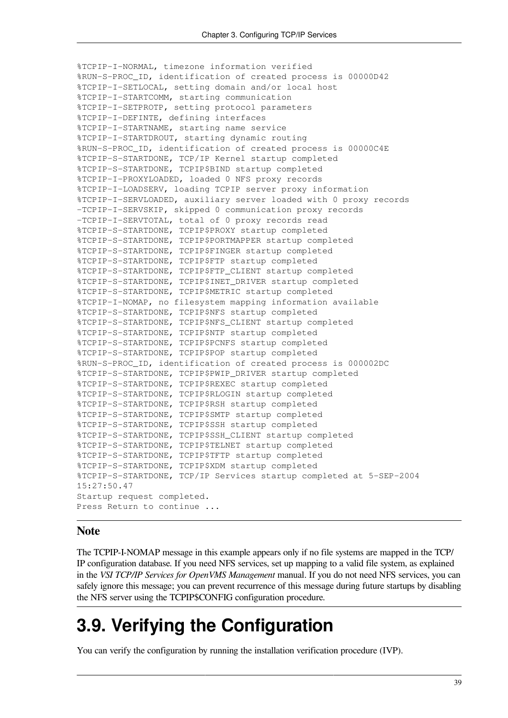```
%TCPIP-I-NORMAL, timezone information verified
%RUN-S-PROC_ID, identification of created process is 00000D42
%TCPIP-I-SETLOCAL, setting domain and/or local host
%TCPIP-I-STARTCOMM, starting communication
%TCPIP-I-SETPROTP, setting protocol parameters
%TCPIP-I-DEFINTE, defining interfaces
%TCPIP-I-STARTNAME, starting name service
%TCPIP-I-STARTDROUT, starting dynamic routing
%RUN-S-PROC_ID, identification of created process is 00000C4E
%TCPIP-S-STARTDONE, TCP/IP Kernel startup completed
%TCPIP-S-STARTDONE, TCPIP$BIND startup completed
%TCPIP-I-PROXYLOADED, loaded 0 NFS proxy records
%TCPIP-I-LOADSERV, loading TCPIP server proxy information
%TCPIP-I-SERVLOADED, auxiliary server loaded with 0 proxy records
-TCPIP-I-SERVSKIP, skipped 0 communication proxy records
-TCPIP-I-SERVTOTAL, total of 0 proxy records read
%TCPIP-S-STARTDONE, TCPIP$PROXY startup completed
%TCPIP-S-STARTDONE, TCPIP$PORTMAPPER startup completed
%TCPIP-S-STARTDONE, TCPIP$FINGER startup completed
%TCPIP-S-STARTDONE, TCPIP$FTP startup completed
%TCPIP-S-STARTDONE, TCPIP$FTP_CLIENT startup completed
%TCPIP-S-STARTDONE, TCPIP$INET_DRIVER startup completed
%TCPIP-S-STARTDONE, TCPIP$METRIC startup completed
%TCPIP-I-NOMAP, no filesystem mapping information available
%TCPIP-S-STARTDONE, TCPIP$NFS startup completed
%TCPIP-S-STARTDONE, TCPIP$NFS_CLIENT startup completed
%TCPIP-S-STARTDONE, TCPIP$NTP startup completed
%TCPIP-S-STARTDONE, TCPIP$PCNFS startup completed
%TCPIP-S-STARTDONE, TCPIP$POP startup completed
%RUN-S-PROC_ID, identification of created process is 000002DC
%TCPIP-S-STARTDONE, TCPIP$PWIP_DRIVER startup completed
%TCPIP-S-STARTDONE, TCPIP$REXEC startup completed
%TCPIP-S-STARTDONE, TCPIP$RLOGIN startup completed
%TCPIP-S-STARTDONE, TCPIP$RSH startup completed
%TCPIP-S-STARTDONE, TCPIP$SMTP startup completed
%TCPIP-S-STARTDONE, TCPIP$SSH startup completed
%TCPIP-S-STARTDONE, TCPIP$SSH_CLIENT startup completed
%TCPIP-S-STARTDONE, TCPIP$TELNET startup completed
%TCPIP-S-STARTDONE, TCPIP$TFTP startup completed
%TCPIP-S-STARTDONE, TCPIP$XDM startup completed
%TCPIP-S-STARTDONE, TCP/IP Services startup completed at 5-SEP-2004
15:27:50.47
Startup request completed.
Press Return to continue ...
```
#### **Note**

The TCPIP-I-NOMAP message in this example appears only if no file systems are mapped in the TCP/ IP configuration database. If you need NFS services, set up mapping to a valid file system, as explained in the *VSI TCP/IP Services for OpenVMS Management* manual. If you do not need NFS services, you can safely ignore this message; you can prevent recurrence of this message during future startups by disabling the NFS server using the TCPIP\$CONFIG configuration procedure.

## **3.9. Verifying the Configuration**

You can verify the configuration by running the installation verification procedure (IVP).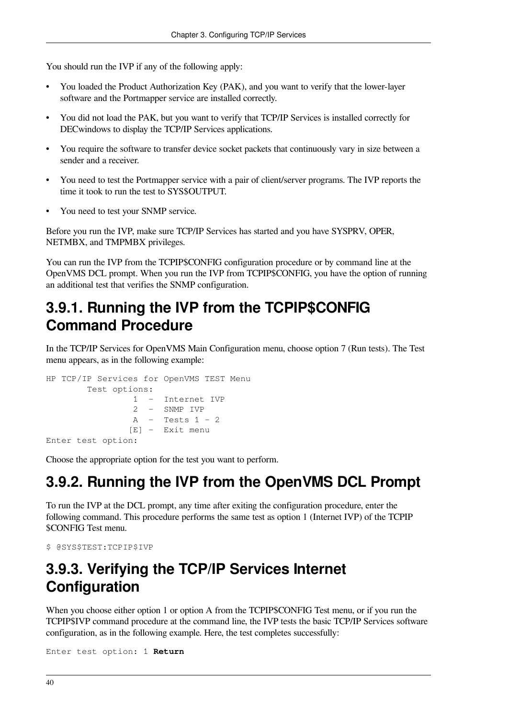You should run the IVP if any of the following apply:

- You loaded the Product Authorization Key (PAK), and you want to verify that the lower-layer software and the Portmapper service are installed correctly.
- You did not load the PAK, but you want to verify that TCP/IP Services is installed correctly for DECwindows to display the TCP/IP Services applications.
- You require the software to transfer device socket packets that continuously vary in size between a sender and a receiver.
- You need to test the Portmapper service with a pair of client/server programs. The IVP reports the time it took to run the test to SYS\$OUTPUT.
- You need to test your SNMP service.

Before you run the IVP, make sure TCP/IP Services has started and you have SYSPRV, OPER, NETMBX, and TMPMBX privileges.

You can run the IVP from the TCPIP\$CONFIG configuration procedure or by command line at the OpenVMS DCL prompt. When you run the IVP from TCPIP\$CONFIG, you have the option of running an additional test that verifies the SNMP configuration.

### **3.9.1. Running the IVP from the TCPIP\$CONFIG Command Procedure**

In the TCP/IP Services for OpenVMS Main Configuration menu, choose option 7 (Run tests). The Test menu appears, as in the following example:

```
HP TCP/IP Services for OpenVMS TEST Menu
         Test options:
                  1 - Internet IVP
                  2 - SNMP IVP
                  A - Tests 1 - 2
                 [E] - Exit menu
Enter test option:
```
Choose the appropriate option for the test you want to perform.

### **3.9.2. Running the IVP from the OpenVMS DCL Prompt**

To run the IVP at the DCL prompt, any time after exiting the configuration procedure, enter the following command. This procedure performs the same test as option 1 (Internet IVP) of the TCPIP \$CONFIG Test menu.

```
$ @SYS$TEST:TCPIP$IVP
```
### **3.9.3. Verifying the TCP/IP Services Internet Configuration**

When you choose either option 1 or option A from the TCPIP\$CONFIG Test menu, or if you run the TCPIP\$IVP command procedure at the command line, the IVP tests the basic TCP/IP Services software configuration, as in the following example. Here, the test completes successfully:

Enter test option: 1 **Return**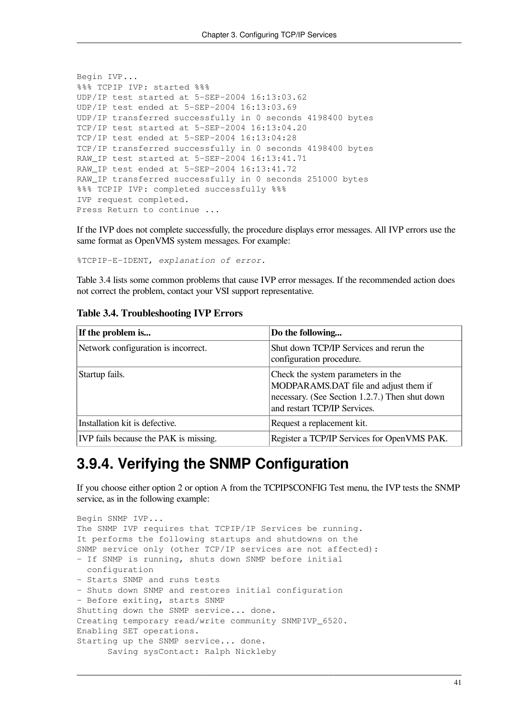```
Begin IVP...
%%% TCPIP IVP: started %%%
UDP/IP test started at 5-SEP-2004 16:13:03.62
UDP/IP test ended at 5-SEP-2004 16:13:03.69
UDP/IP transferred successfully in 0 seconds 4198400 bytes
TCP/IP test started at 5-SEP-2004 16:13:04.20
TCP/IP test ended at 5-SEP-2004 16:13:04:28
TCP/IP transferred successfully in 0 seconds 4198400 bytes
RAW_IP test started at 5-SEP-2004 16:13:41.71
RAW_IP test ended at 5-SEP-2004 16:13:41.72
RAW_IP transferred successfully in 0 seconds 251000 bytes
%%% TCPIP IVP: completed successfully %%%
IVP request completed.
Press Return to continue ...
```
If the IVP does not complete successfully, the procedure displays error messages. All IVP errors use the same format as OpenVMS system messages. For example:

%TCPIP-E-IDENT, *explanation of error*.

[Table](#page-48-0) 3.4 lists some common problems that cause IVP error messages. If the recommended action does not correct the problem, contact your VSI support representative.

| If the problem is                     | Do the following                                                                                                                                              |
|---------------------------------------|---------------------------------------------------------------------------------------------------------------------------------------------------------------|
| Network configuration is incorrect.   | Shut down TCP/IP Services and rerun the<br>configuration procedure.                                                                                           |
| Startup fails.                        | Check the system parameters in the<br>MODPARAMS.DAT file and adjust them if<br>necessary. (See Section 1.2.7.) Then shut down<br>and restart TCP/IP Services. |
| Installation kit is defective.        | Request a replacement kit.                                                                                                                                    |
| IVP fails because the PAK is missing. | Register a TCP/IP Services for OpenVMS PAK.                                                                                                                   |

#### <span id="page-48-0"></span>**Table 3.4. Troubleshooting IVP Errors**

### **3.9.4. Verifying the SNMP Configuration**

If you choose either option 2 or option A from the TCPIP\$CONFIG Test menu, the IVP tests the SNMP service, as in the following example:

```
Begin SNMP IVP...
The SNMP IVP requires that TCPIP/IP Services be running.
It performs the following startups and shutdowns on the
SNMP service only (other TCP/IP services are not affected):
- If SNMP is running, shuts down SNMP before initial
   configuration
- Starts SNMP and runs tests
- Shuts down SNMP and restores initial configuration
- Before exiting, starts SNMP
Shutting down the SNMP service... done.
Creating temporary read/write community SNMPIVP_6520.
Enabling SET operations.
Starting up the SNMP service... done.
       Saving sysContact: Ralph Nickleby
```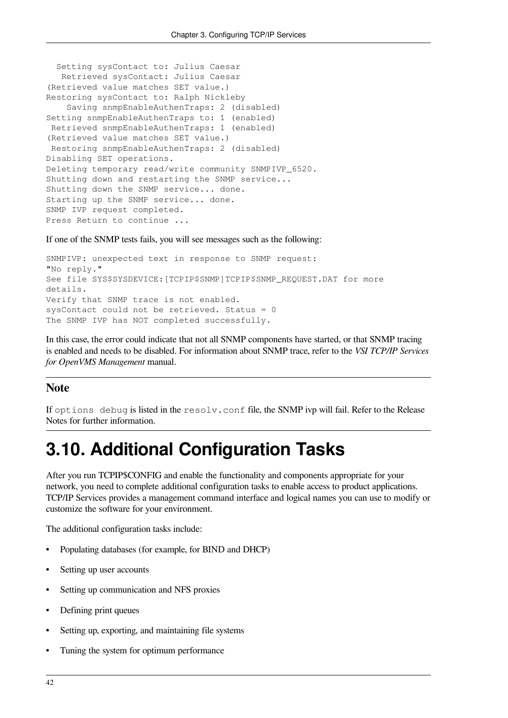```
 Setting sysContact to: Julius Caesar
   Retrieved sysContact: Julius Caesar
(Retrieved value matches SET value.)
Restoring sysContact to: Ralph Nickleby
    Saving snmpEnableAuthenTraps: 2 (disabled)
Setting snmpEnableAuthenTraps to: 1 (enabled)
  Retrieved snmpEnableAuthenTraps: 1 (enabled)
(Retrieved value matches SET value.)
  Restoring snmpEnableAuthenTraps: 2 (disabled)
Disabling SET operations.
Deleting temporary read/write community SNMPIVP_6520.
Shutting down and restarting the SNMP service...
Shutting down the SNMP service... done.
Starting up the SNMP service... done.
SNMP IVP request completed.
Press Return to continue ...
```
If one of the SNMP tests fails, you will see messages such as the following:

```
SNMPIVP: unexpected text in response to SNMP request:
"No reply."
See file SYS$SYSDEVICE:[TCPIP$SNMP]TCPIP$SNMP_REQUEST.DAT for more
details.
Verify that SNMP trace is not enabled.
sysContact could not be retrieved. Status = 0
The SNMP IVP has NOT completed successfully.
```
In this case, the error could indicate that not all SNMP components have started, or that SNMP tracing is enabled and needs to be disabled. For information about SNMP trace, refer to the *VSI TCP/IP Services for OpenVMS Management* manual.

#### **Note**

If options debug is listed in the resolv.conf file, the SNMP ivp will fail. Refer to the Release Notes for further information.

## **3.10. Additional Configuration Tasks**

After you run TCPIP\$CONFIG and enable the functionality and components appropriate for your network, you need to complete additional configuration tasks to enable access to product applications. TCP/IP Services provides a management command interface and logical names you can use to modify or customize the software for your environment.

The additional configuration tasks include:

- Populating databases (for example, for BIND and DHCP)
- Setting up user accounts
- Setting up communication and NFS proxies
- Defining print queues
- Setting up, exporting, and maintaining file systems
- Tuning the system for optimum performance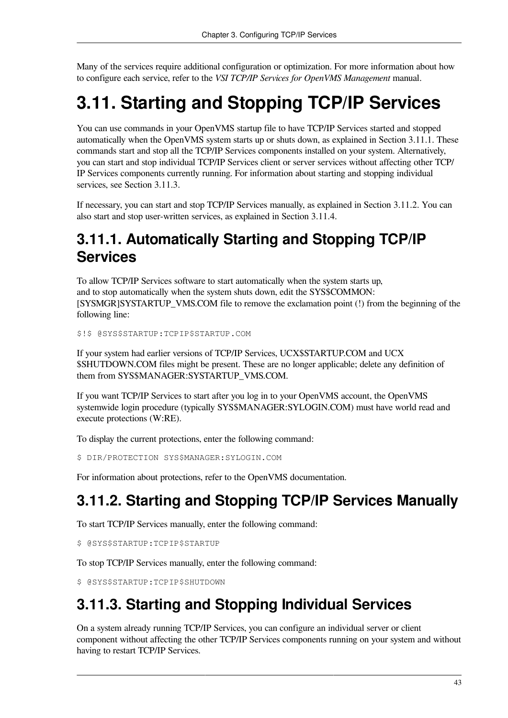Many of the services require additional configuration or optimization. For more information about how to configure each service, refer to the *VSI TCP/IP Services for OpenVMS Management* manual.

## <span id="page-50-1"></span>**3.11. Starting and Stopping TCP/IP Services**

You can use commands in your OpenVMS startup file to have TCP/IP Services started and stopped automatically when the OpenVMS system starts up or shuts down, as explained in [Section](#page-50-2) 3.11.1. These commands start and stop all the TCP/IP Services components installed on your system. Alternatively, you can start and stop individual TCP/IP Services client or server services without affecting other TCP/ IP Services components currently running. For information about starting and stopping individual services, see [Section](#page-50-0) 3.11.3.

If necessary, you can start and stop TCP/IP Services manually, as explained in [Section](#page-50-3) 3.11.2. You can also start and stop user-written services, as explained in [Section](#page-51-0) 3.11.4.

### <span id="page-50-2"></span>**3.11.1. Automatically Starting and Stopping TCP/IP Services**

To allow TCP/IP Services software to start automatically when the system starts up, and to stop automatically when the system shuts down, edit the SYS\$COMMON: [SYSMGR]SYSTARTUP\_VMS.COM file to remove the exclamation point (!) from the beginning of the following line:

\$!\$ @SYS\$STARTUP:TCPIP\$STARTUP.COM

If your system had earlier versions of TCP/IP Services, UCX\$STARTUP.COM and UCX \$SHUTDOWN.COM files might be present. These are no longer applicable; delete any definition of them from SYS\$MANAGER:SYSTARTUP\_VMS.COM.

If you want TCP/IP Services to start after you log in to your OpenVMS account, the OpenVMS systemwide login procedure (typically SYS\$MANAGER:SYLOGIN.COM) must have world read and execute protections (W:RE).

To display the current protections, enter the following command:

\$ DIR/PROTECTION SYS\$MANAGER:SYLOGIN.COM

For information about protections, refer to the OpenVMS documentation.

## <span id="page-50-3"></span>**3.11.2. Starting and Stopping TCP/IP Services Manually**

To start TCP/IP Services manually, enter the following command:

\$ @SYS\$STARTUP:TCPIP\$STARTUP

To stop TCP/IP Services manually, enter the following command:

\$ @SYS\$STARTUP:TCPIP\$SHUTDOWN

### <span id="page-50-0"></span>**3.11.3. Starting and Stopping Individual Services**

On a system already running TCP/IP Services, you can configure an individual server or client component without affecting the other TCP/IP Services components running on your system and without having to restart TCP/IP Services.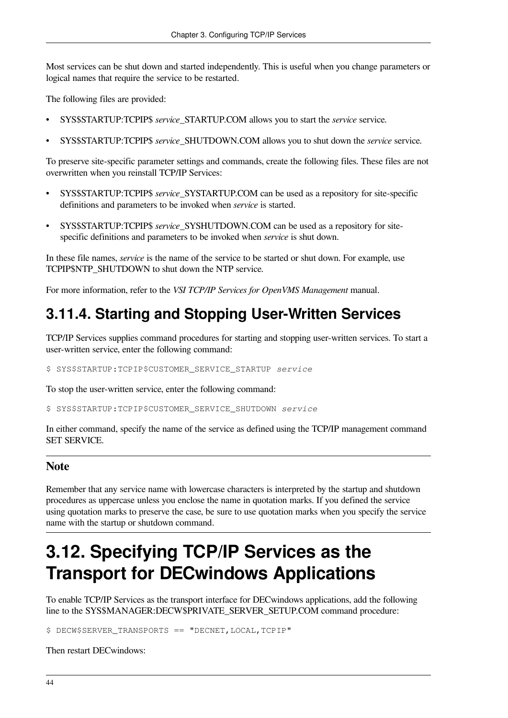Most services can be shut down and started independently. This is useful when you change parameters or logical names that require the service to be restarted.

The following files are provided:

- SYS\$STARTUP:TCPIP\$ *service*\_STARTUP.COM allows you to start the *service* service.
- SYS\$STARTUP:TCPIP\$ *service*\_SHUTDOWN.COM allows you to shut down the *service* service.

To preserve site-specific parameter settings and commands, create the following files. These files are not overwritten when you reinstall TCP/IP Services:

- SYS\$STARTUP:TCPIP\$ *service*\_SYSTARTUP.COM can be used as a repository for site-specific definitions and parameters to be invoked when *service* is started.
- SYS\$STARTUP:TCPIP\$ *service*\_SYSHUTDOWN.COM can be used as a repository for sitespecific definitions and parameters to be invoked when *service* is shut down.

In these file names, *service* is the name of the service to be started or shut down. For example, use TCPIP\$NTP\_SHUTDOWN to shut down the NTP service.

For more information, refer to the *VSI TCP/IP Services for OpenVMS Management* manual.

### <span id="page-51-0"></span>**3.11.4. Starting and Stopping User-Written Services**

TCP/IP Services supplies command procedures for starting and stopping user-written services. To start a user-written service, enter the following command:

\$ SYS\$STARTUP:TCPIP\$CUSTOMER\_SERVICE\_STARTUP *service*

To stop the user-written service, enter the following command:

\$ SYS\$STARTUP:TCPIP\$CUSTOMER\_SERVICE\_SHUTDOWN *service*

In either command, specify the name of the service as defined using the TCP/IP management command SET SERVICE.

#### **Note**

Remember that any service name with lowercase characters is interpreted by the startup and shutdown procedures as uppercase unless you enclose the name in quotation marks. If you defined the service using quotation marks to preserve the case, be sure to use quotation marks when you specify the service name with the startup or shutdown command.

## **3.12. Specifying TCP/IP Services as the Transport for DECwindows Applications**

To enable TCP/IP Services as the transport interface for DECwindows applications, add the following line to the SYS\$MANAGER:DECW\$PRIVATE\_SERVER\_SETUP.COM command procedure:

\$ DECW\$SERVER TRANSPORTS == "DECNET, LOCAL, TCPIP"

Then restart DECwindows: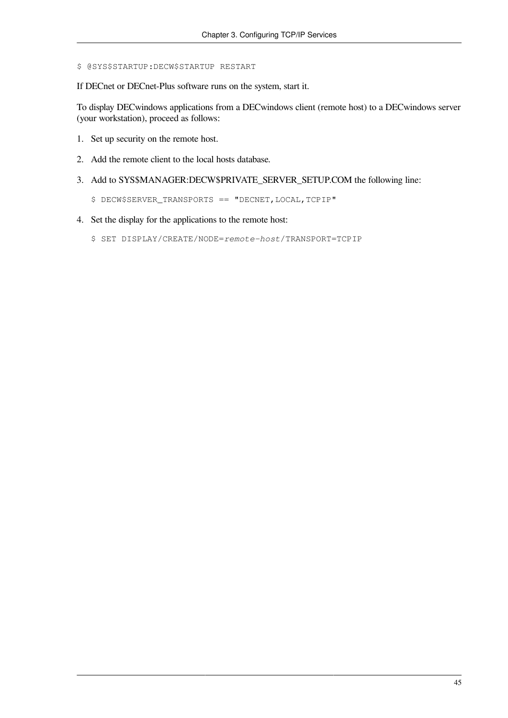\$ @SYS\$STARTUP:DECW\$STARTUP RESTART

If DECnet or DECnet-Plus software runs on the system, start it.

To display DECwindows applications from a DECwindows client (remote host) to a DECwindows server (your workstation), proceed as follows:

- 1. Set up security on the remote host.
- 2. Add the remote client to the local hosts database.
- 3. Add to SYS\$MANAGER:DECW\$PRIVATE\_SERVER\_SETUP.COM the following line:
	- \$ DECW\$SERVER\_TRANSPORTS == "DECNET,LOCAL,TCPIP"
- 4. Set the display for the applications to the remote host:
	- \$ SET DISPLAY/CREATE/NODE=*remote-host*/TRANSPORT=TCPIP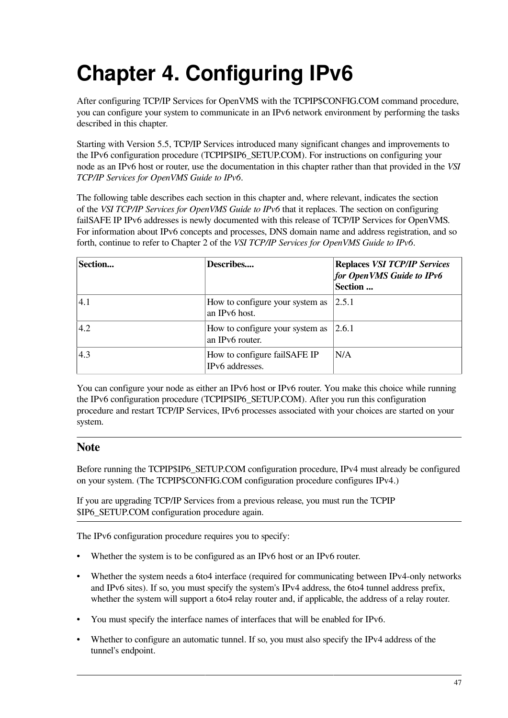# **Chapter 4. Configuring IPv6**

After configuring TCP/IP Services for OpenVMS with the TCPIP\$CONFIG.COM command procedure, you can configure your system to communicate in an IPv6 network environment by performing the tasks described in this chapter.

Starting with Version 5.5, TCP/IP Services introduced many significant changes and improvements to the IPv6 configuration procedure (TCPIP\$IP6\_SETUP.COM). For instructions on configuring your node as an IPv6 host or router, use the documentation in this chapter rather than that provided in the *VSI TCP/IP Services for OpenVMS Guide to IPv6*.

The following table describes each section in this chapter and, where relevant, indicates the section of the *VSI TCP/IP Services for OpenVMS Guide to IPv6* that it replaces. The section on configuring failSAFE IP IPv6 addresses is newly documented with this release of TCP/IP Services for OpenVMS. For information about IPv6 concepts and processes, DNS domain name and address registration, and so forth, continue to refer to Chapter 2 of the *VSI TCP/IP Services for OpenVMS Guide to IPv6*.

| Section       | Describes                                          | <b>Replaces VSI TCP/IP Services</b><br>for OpenVMS Guide to IPv6<br>Section |
|---------------|----------------------------------------------------|-----------------------------------------------------------------------------|
| (4.1)         | How to configure your system as<br>an IPv6 host.   | 2.5.1                                                                       |
| $ 4.2\rangle$ | How to configure your system as<br>an IPv6 router. | 2.6.1                                                                       |
| 4.3           | How to configure failSAFE IP<br>IPv6 addresses.    | N/A                                                                         |

You can configure your node as either an IPv6 host or IPv6 router. You make this choice while running the IPv6 configuration procedure (TCPIP\$IP6\_SETUP.COM). After you run this configuration procedure and restart TCP/IP Services, IPv6 processes associated with your choices are started on your system.

#### **Note**

Before running the TCPIP\$IP6\_SETUP.COM configuration procedure, IPv4 must already be configured on your system. (The TCPIP\$CONFIG.COM configuration procedure configures IPv4.)

If you are upgrading TCP/IP Services from a previous release, you must run the TCPIP \$IP6\_SETUP.COM configuration procedure again.

The IPv6 configuration procedure requires you to specify:

- Whether the system is to be configured as an IPv6 host or an IPv6 router.
- Whether the system needs a 6to4 interface (required for communicating between IPv4-only networks and IPv6 sites). If so, you must specify the system's IPv4 address, the 6to4 tunnel address prefix, whether the system will support a 6to4 relay router and, if applicable, the address of a relay router.
- You must specify the interface names of interfaces that will be enabled for IPv6.
- Whether to configure an automatic tunnel. If so, you must also specify the IPv4 address of the tunnel's endpoint.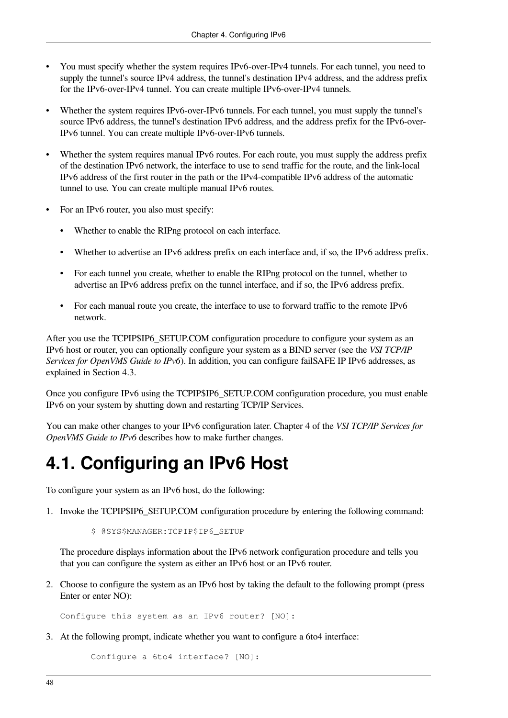- You must specify whether the system requires IPv6-over-IPv4 tunnels. For each tunnel, you need to supply the tunnel's source IPv4 address, the tunnel's destination IPv4 address, and the address prefix for the IPv6-over-IPv4 tunnel. You can create multiple IPv6-over-IPv4 tunnels.
- Whether the system requires IPv6-over-IPv6 tunnels. For each tunnel, you must supply the tunnel's source IPv6 address, the tunnel's destination IPv6 address, and the address prefix for the IPv6-over-IPv6 tunnel. You can create multiple IPv6-over-IPv6 tunnels.
- Whether the system requires manual IPv6 routes. For each route, you must supply the address prefix of the destination IPv6 network, the interface to use to send traffic for the route, and the link-local IPv6 address of the first router in the path or the IPv4-compatible IPv6 address of the automatic tunnel to use. You can create multiple manual IPv6 routes.
- For an IPv6 router, you also must specify:
	- Whether to enable the RIPng protocol on each interface.
	- Whether to advertise an IPv6 address prefix on each interface and, if so, the IPv6 address prefix.
	- For each tunnel you create, whether to enable the RIPng protocol on the tunnel, whether to advertise an IPv6 address prefix on the tunnel interface, and if so, the IPv6 address prefix.
	- For each manual route you create, the interface to use to forward traffic to the remote IPv6 network.

After you use the TCPIP\$IP6 SETUP.COM configuration procedure to configure your system as an IPv6 host or router, you can optionally configure your system as a BIND server (see the *VSI TCP/IP Services for OpenVMS Guide to IPv6*). In addition, you can configure failSAFE IP IPv6 addresses, as explained in [Section](#page-65-0) 4.3.

Once you configure IPv6 using the TCPIP\$IP6\_SETUP.COM configuration procedure, you must enable IPv6 on your system by shutting down and restarting TCP/IP Services.

You can make other changes to your IPv6 configuration later. Chapter 4 of the *VSI TCP/IP Services for OpenVMS Guide to IPv6* describes how to make further changes.

## <span id="page-55-0"></span>**4.1. Configuring an IPv6 Host**

To configure your system as an IPv6 host, do the following:

1. Invoke the TCPIP\$IP6\_SETUP.COM configuration procedure by entering the following command:

\$ @SYS\$MANAGER:TCPIP\$IP6\_SETUP

The procedure displays information about the IPv6 network configuration procedure and tells you that you can configure the system as either an IPv6 host or an IPv6 router.

2. Choose to configure the system as an IPv6 host by taking the default to the following prompt (press Enter or enter NO):

Configure this system as an IPv6 router? [NO]:

3. At the following prompt, indicate whether you want to configure a 6to4 interface:

Configure a 6to4 interface? [NO]: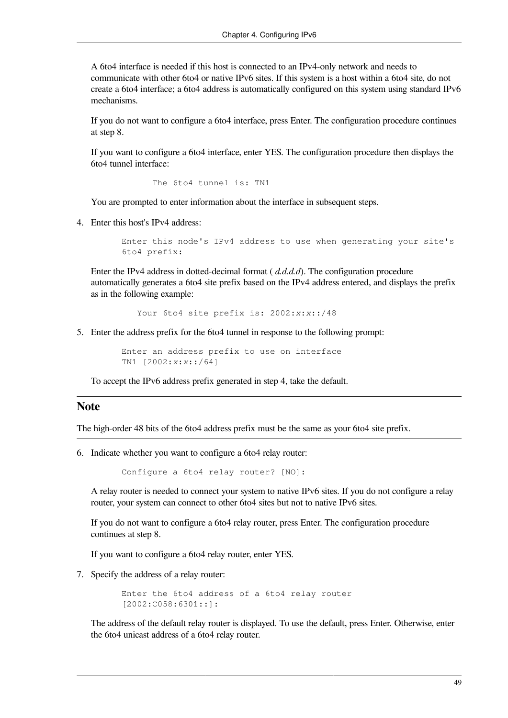A 6to4 interface is needed if this host is connected to an IPv4-only network and needs to communicate with other 6to4 or native IPv6 sites. If this system is a host within a 6to4 site, do not create a 6to4 interface; a 6to4 address is automatically configured on this system using standard IPv6 mechanisms.

If you do not want to configure a 6to4 interface, press Enter. The configuration procedure continues at step 8.

If you want to configure a 6to4 interface, enter YES. The configuration procedure then displays the 6to4 tunnel interface:

```
 The 6to4 tunnel is: TN1
```
You are prompted to enter information about the interface in subsequent steps.

4. Enter this host's IPv4 address:

```
 Enter this node's IPv4 address to use when generating your site's
 6to4 prefix:
```
Enter the IPv4 address in dotted-decimal format ( *d.d.d.d*). The configuration procedure automatically generates a 6to4 site prefix based on the IPv4 address entered, and displays the prefix as in the following example:

Your 6to4 site prefix is: 2002:*x*:*x*::/48

5. Enter the address prefix for the 6to4 tunnel in response to the following prompt:

 Enter an address prefix to use on interface TN1 [2002:*x*:*x*::/64]

To accept the IPv6 address prefix generated in step 4, take the default.

#### **Note**

The high-order 48 bits of the 6to4 address prefix must be the same as your 6to4 site prefix.

6. Indicate whether you want to configure a 6to4 relay router:

Configure a 6to4 relay router? [NO]:

A relay router is needed to connect your system to native IPv6 sites. If you do not configure a relay router, your system can connect to other 6to4 sites but not to native IPv6 sites.

If you do not want to configure a 6to4 relay router, press Enter. The configuration procedure continues at step 8.

If you want to configure a 6to4 relay router, enter YES.

7. Specify the address of a relay router:

 Enter the 6to4 address of a 6to4 relay router [2002:C058:6301::]:

The address of the default relay router is displayed. To use the default, press Enter. Otherwise, enter the 6to4 unicast address of a 6to4 relay router.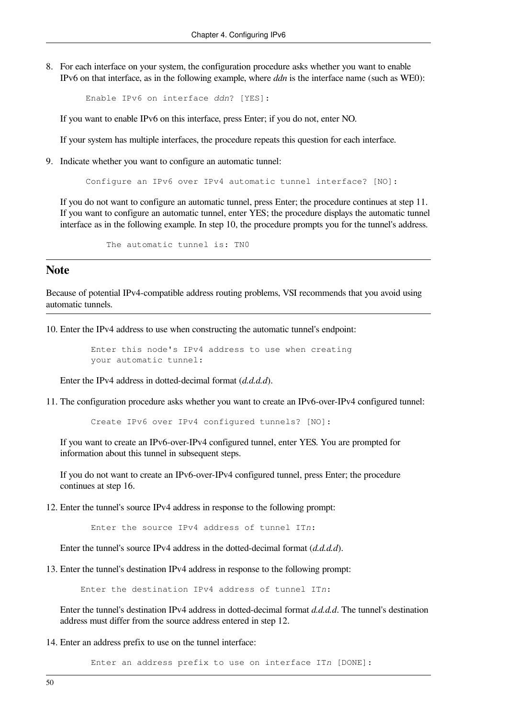8. For each interface on your system, the configuration procedure asks whether you want to enable IPv6 on that interface, as in the following example, where *ddn* is the interface name (such as WE0):

```
 Enable IPv6 on interface ddn? [YES]:
```
If you want to enable IPv6 on this interface, press Enter; if you do not, enter NO.

If your system has multiple interfaces, the procedure repeats this question for each interface.

9. Indicate whether you want to configure an automatic tunnel:

Configure an IPv6 over IPv4 automatic tunnel interface? [NO]:

If you do not want to configure an automatic tunnel, press Enter; the procedure continues at step 11. If you want to configure an automatic tunnel, enter YES; the procedure displays the automatic tunnel interface as in the following example. In step 10, the procedure prompts you for the tunnel's address.

The automatic tunnel is: TN0

#### **Note**

Because of potential IPv4-compatible address routing problems, VSI recommends that you avoid using automatic tunnels.

10. Enter the IPv4 address to use when constructing the automatic tunnel's endpoint:

 Enter this node's IPv4 address to use when creating your automatic tunnel:

Enter the IPv4 address in dotted-decimal format (*d.d.d.d*).

11. The configuration procedure asks whether you want to create an IPv6-over-IPv4 configured tunnel:

Create IPv6 over IPv4 configured tunnels? [NO]:

If you want to create an IPv6-over-IPv4 configured tunnel, enter YES. You are prompted for information about this tunnel in subsequent steps.

If you do not want to create an IPv6-over-IPv4 configured tunnel, press Enter; the procedure continues at step 16.

12. Enter the tunnel's source IPv4 address in response to the following prompt:

Enter the source IPv4 address of tunnel IT*n*:

Enter the tunnel's source IPv4 address in the dotted-decimal format (*d.d.d.d*).

13. Enter the tunnel's destination IPv4 address in response to the following prompt:

Enter the destination IPv4 address of tunnel IT*n*:

Enter the tunnel's destination IPv4 address in dotted-decimal format *d.d.d.d*. The tunnel's destination address must differ from the source address entered in step 12.

14. Enter an address prefix to use on the tunnel interface:

Enter an address prefix to use on interface IT*n* [DONE]: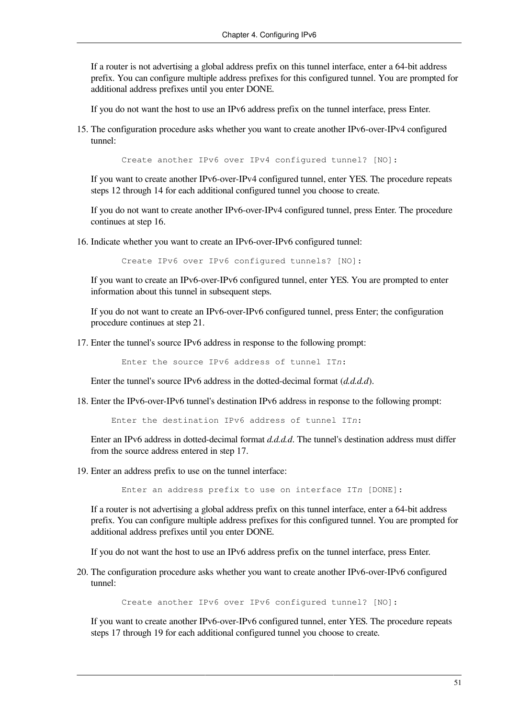If a router is not advertising a global address prefix on this tunnel interface, enter a 64-bit address prefix. You can configure multiple address prefixes for this configured tunnel. You are prompted for additional address prefixes until you enter DONE.

If you do not want the host to use an IPv6 address prefix on the tunnel interface, press Enter.

15. The configuration procedure asks whether you want to create another IPv6-over-IPv4 configured tunnel:

Create another IPv6 over IPv4 configured tunnel? [NO]:

If you want to create another IPv6-over-IPv4 configured tunnel, enter YES. The procedure repeats steps 12 through 14 for each additional configured tunnel you choose to create.

If you do not want to create another IPv6-over-IPv4 configured tunnel, press Enter. The procedure continues at step 16.

16. Indicate whether you want to create an IPv6-over-IPv6 configured tunnel:

Create IPv6 over IPv6 configured tunnels? [NO]:

If you want to create an IPv6-over-IPv6 configured tunnel, enter YES. You are prompted to enter information about this tunnel in subsequent steps.

If you do not want to create an IPv6-over-IPv6 configured tunnel, press Enter; the configuration procedure continues at step 21.

17. Enter the tunnel's source IPv6 address in response to the following prompt:

Enter the source IPv6 address of tunnel IT*n*:

Enter the tunnel's source IPv6 address in the dotted-decimal format (*d.d.d.d*).

18. Enter the IPv6-over-IPv6 tunnel's destination IPv6 address in response to the following prompt:

Enter the destination IPv6 address of tunnel IT*n*:

Enter an IPv6 address in dotted-decimal format *d.d.d.d*. The tunnel's destination address must differ from the source address entered in step 17.

19. Enter an address prefix to use on the tunnel interface:

Enter an address prefix to use on interface IT*n* [DONE]:

If a router is not advertising a global address prefix on this tunnel interface, enter a 64-bit address prefix. You can configure multiple address prefixes for this configured tunnel. You are prompted for additional address prefixes until you enter DONE.

If you do not want the host to use an IPv6 address prefix on the tunnel interface, press Enter.

20. The configuration procedure asks whether you want to create another IPv6-over-IPv6 configured tunnel:

Create another IPv6 over IPv6 configured tunnel? [NO]:

If you want to create another IPv6-over-IPv6 configured tunnel, enter YES. The procedure repeats steps 17 through 19 for each additional configured tunnel you choose to create.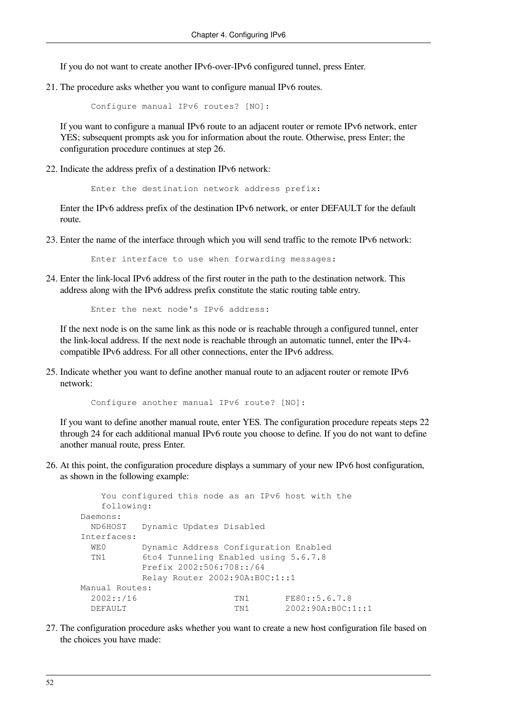If you do not want to create another IPv6-over-IPv6 configured tunnel, press Enter.

21. The procedure asks whether you want to configure manual IPv6 routes.

Configure manual IPv6 routes? [NO]:

If you want to configure a manual IPv6 route to an adjacent router or remote IPv6 network, enter YES; subsequent prompts ask you for information about the route. Otherwise, press Enter; the configuration procedure continues at step 26.

22. Indicate the address prefix of a destination IPv6 network:

Enter the destination network address prefix:

Enter the IPv6 address prefix of the destination IPv6 network, or enter DEFAULT for the default route.

23. Enter the name of the interface through which you will send traffic to the remote IPv6 network:

Enter interface to use when forwarding messages:

24. Enter the link-local IPv6 address of the first router in the path to the destination network. This address along with the IPv6 address prefix constitute the static routing table entry.

Enter the next node's IPv6 address:

If the next node is on the same link as this node or is reachable through a configured tunnel, enter the link-local address. If the next node is reachable through an automatic tunnel, enter the IPv4 compatible IPv6 address. For all other connections, enter the IPv6 address.

25. Indicate whether you want to define another manual route to an adjacent router or remote IPv6 network:

Configure another manual IPv6 route? [NO]:

If you want to define another manual route, enter YES. The configuration procedure repeats steps 22 through 24 for each additional manual IPv6 route you choose to define. If you do not want to define another manual route, press Enter.

26. At this point, the configuration procedure displays a summary of your new IPv6 host configuration, as shown in the following example:

```
 You configured this node as an IPv6 host with the
    following:
 Daemons:
  ND6HOST Dynamic Updates Disabled
 Interfaces:
 WE0 Dynamic Address Configuration Enabled
  TN1 6to4 Tunneling Enabled using 5.6.7.8
           Prefix 2002:506:708::/64
           Relay Router 2002:90A:B0C:1::1
 Manual Routes:
 2002::/16 TN1 FE80::5.6.7.8
  DEFAULT TN1 2002:90A:B0C:1::1
```
27. The configuration procedure asks whether you want to create a new host configuration file based on the choices you have made: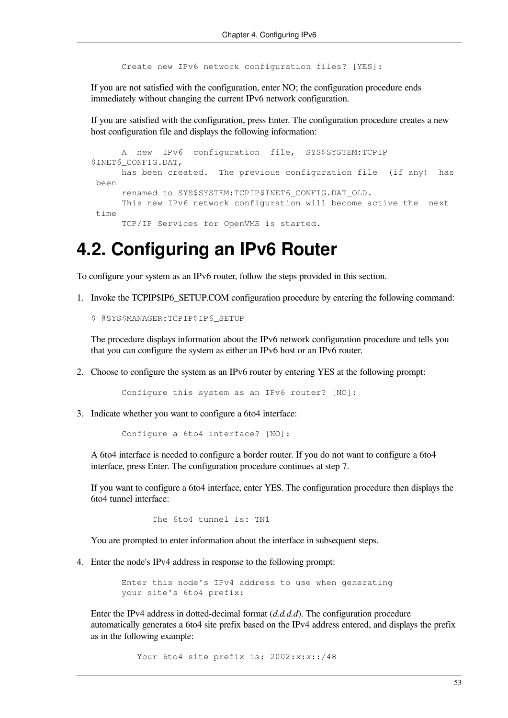Create new IPv6 network configuration files? [YES]:

If you are not satisfied with the configuration, enter NO; the configuration procedure ends immediately without changing the current IPv6 network configuration.

If you are satisfied with the configuration, press Enter. The configuration procedure creates a new host configuration file and displays the following information:

```
 A new IPv6 configuration file, SYS$SYSTEM:TCPIP
$INET6_CONFIG.DAT,
      has been created. The previous configuration file (if any) has
 been
      renamed to SYS$SYSTEM:TCPIP$INET6_CONFIG.DAT_OLD.
      This new IPv6 network configuration will become active the next 
 time
      TCP/IP Services for OpenVMS is started.
```
### <span id="page-60-0"></span>**4.2. Configuring an IPv6 Router**

To configure your system as an IPv6 router, follow the steps provided in this section.

1. Invoke the TCPIP\$IP6\_SETUP.COM configuration procedure by entering the following command:

\$ @SYS\$MANAGER:TCPIP\$IP6\_SETUP

The procedure displays information about the IPv6 network configuration procedure and tells you that you can configure the system as either an IPv6 host or an IPv6 router.

2. Choose to configure the system as an IPv6 router by entering YES at the following prompt:

Configure this system as an IPv6 router? [NO]:

3. Indicate whether you want to configure a 6to4 interface:

Configure a 6to4 interface? [NO]:

A 6to4 interface is needed to configure a border router. If you do not want to configure a 6to4 interface, press Enter. The configuration procedure continues at step 7.

If you want to configure a 6to4 interface, enter YES. The configuration procedure then displays the 6to4 tunnel interface:

The 6to4 tunnel is: TN1

You are prompted to enter information about the interface in subsequent steps.

4. Enter the node's IPv4 address in response to the following prompt:

 Enter this node's IPv4 address to use when generating your site's 6to4 prefix:

Enter the IPv4 address in dotted-decimal format (*d.d.d.d*). The configuration procedure automatically generates a 6to4 site prefix based on the IPv4 address entered, and displays the prefix as in the following example:

Your 6to4 site prefix is: 2002:*x*:*x*::/48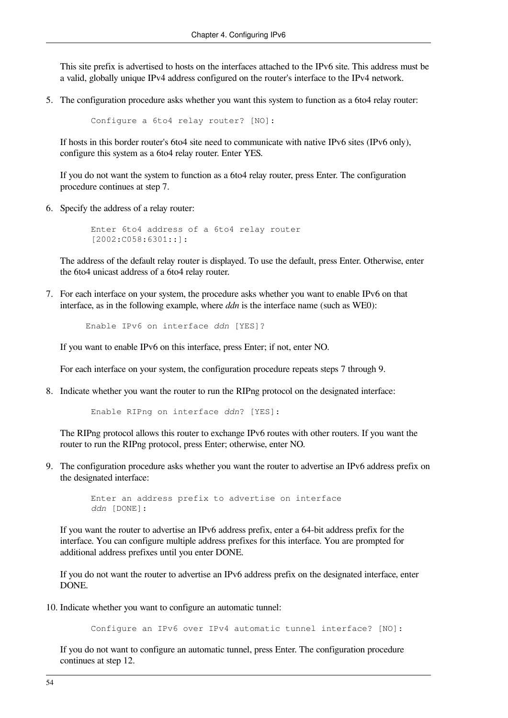This site prefix is advertised to hosts on the interfaces attached to the IPv6 site. This address must be a valid, globally unique IPv4 address configured on the router's interface to the IPv4 network.

5. The configuration procedure asks whether you want this system to function as a 6to4 relay router:

```
 Configure a 6to4 relay router? [NO]:
```
If hosts in this border router's 6to4 site need to communicate with native IPv6 sites (IPv6 only), configure this system as a 6to4 relay router. Enter YES.

If you do not want the system to function as a 6to4 relay router, press Enter. The configuration procedure continues at step 7.

6. Specify the address of a relay router:

```
 Enter 6to4 address of a 6to4 relay router
 [2002:C058:6301::]:
```
The address of the default relay router is displayed. To use the default, press Enter. Otherwise, enter the 6to4 unicast address of a 6to4 relay router.

7. For each interface on your system, the procedure asks whether you want to enable IPv6 on that interface, as in the following example, where *ddn* is the interface name (such as WE0):

```
 Enable IPv6 on interface ddn [YES]?
```
If you want to enable IPv6 on this interface, press Enter; if not, enter NO.

For each interface on your system, the configuration procedure repeats steps 7 through 9.

8. Indicate whether you want the router to run the RIPng protocol on the designated interface:

```
 Enable RIPng on interface ddn? [YES]:
```
The RIPng protocol allows this router to exchange IPv6 routes with other routers. If you want the router to run the RIPng protocol, press Enter; otherwise, enter NO.

9. The configuration procedure asks whether you want the router to advertise an IPv6 address prefix on the designated interface:

```
 Enter an address prefix to advertise on interface
 ddn [DONE]:
```
If you want the router to advertise an IPv6 address prefix, enter a 64-bit address prefix for the interface. You can configure multiple address prefixes for this interface. You are prompted for additional address prefixes until you enter DONE.

If you do not want the router to advertise an IPv6 address prefix on the designated interface, enter DONE.

10. Indicate whether you want to configure an automatic tunnel:

```
 Configure an IPv6 over IPv4 automatic tunnel interface? [NO]:
```
If you do not want to configure an automatic tunnel, press Enter. The configuration procedure continues at step 12.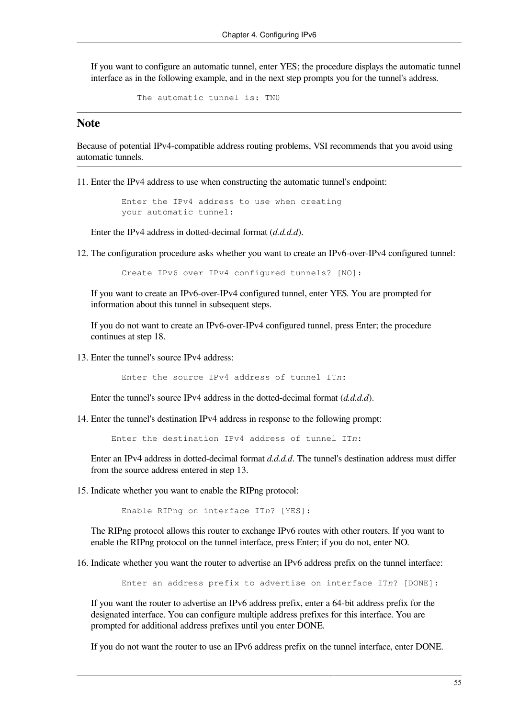If you want to configure an automatic tunnel, enter YES; the procedure displays the automatic tunnel interface as in the following example, and in the next step prompts you for the tunnel's address.

```
 The automatic tunnel is: TN0
```
#### **Note**

Because of potential IPv4-compatible address routing problems, VSI recommends that you avoid using automatic tunnels.

11. Enter the IPv4 address to use when constructing the automatic tunnel's endpoint:

 Enter the IPv4 address to use when creating your automatic tunnel:

Enter the IPv4 address in dotted-decimal format (*d.d.d.d*).

12. The configuration procedure asks whether you want to create an IPv6-over-IPv4 configured tunnel:

Create IPv6 over IPv4 configured tunnels? [NO]:

If you want to create an IPv6-over-IPv4 configured tunnel, enter YES. You are prompted for information about this tunnel in subsequent steps.

If you do not want to create an IPv6-over-IPv4 configured tunnel, press Enter; the procedure continues at step 18.

13. Enter the tunnel's source IPv4 address:

Enter the source IPv4 address of tunnel IT*n*:

Enter the tunnel's source IPv4 address in the dotted-decimal format (*d.d.d.d*).

14. Enter the tunnel's destination IPv4 address in response to the following prompt:

Enter the destination IPv4 address of tunnel IT*n*:

Enter an IPv4 address in dotted-decimal format *d.d.d.d*. The tunnel's destination address must differ from the source address entered in step 13.

15. Indicate whether you want to enable the RIPng protocol:

Enable RIPng on interface IT*n*? [YES]:

The RIPng protocol allows this router to exchange IPv6 routes with other routers. If you want to enable the RIPng protocol on the tunnel interface, press Enter; if you do not, enter NO.

16. Indicate whether you want the router to advertise an IPv6 address prefix on the tunnel interface:

Enter an address prefix to advertise on interface IT*n*? [DONE]:

If you want the router to advertise an IPv6 address prefix, enter a 64-bit address prefix for the designated interface. You can configure multiple address prefixes for this interface. You are prompted for additional address prefixes until you enter DONE.

If you do not want the router to use an IPv6 address prefix on the tunnel interface, enter DONE.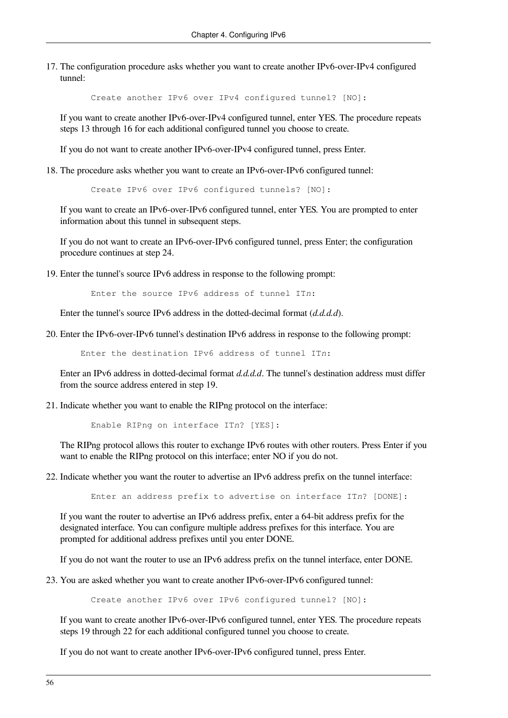17. The configuration procedure asks whether you want to create another IPv6-over-IPv4 configured tunnel:

Create another IPv6 over IPv4 configured tunnel? [NO]:

If you want to create another IPv6-over-IPv4 configured tunnel, enter YES. The procedure repeats steps 13 through 16 for each additional configured tunnel you choose to create.

If you do not want to create another IPv6-over-IPv4 configured tunnel, press Enter.

18. The procedure asks whether you want to create an IPv6-over-IPv6 configured tunnel:

Create IPv6 over IPv6 configured tunnels? [NO]:

If you want to create an IPv6-over-IPv6 configured tunnel, enter YES. You are prompted to enter information about this tunnel in subsequent steps.

If you do not want to create an IPv6-over-IPv6 configured tunnel, press Enter; the configuration procedure continues at step 24.

19. Enter the tunnel's source IPv6 address in response to the following prompt:

Enter the source IPv6 address of tunnel IT*n*:

Enter the tunnel's source IPv6 address in the dotted-decimal format (*d.d.d.d*).

20. Enter the IPv6-over-IPv6 tunnel's destination IPv6 address in response to the following prompt:

Enter the destination IPv6 address of tunnel IT*n*:

Enter an IPv6 address in dotted-decimal format *d.d.d.d*. The tunnel's destination address must differ from the source address entered in step 19.

21. Indicate whether you want to enable the RIPng protocol on the interface:

Enable RIPng on interface IT*n*? [YES]:

The RIPng protocol allows this router to exchange IPv6 routes with other routers. Press Enter if you want to enable the RIPng protocol on this interface; enter NO if you do not.

22. Indicate whether you want the router to advertise an IPv6 address prefix on the tunnel interface:

Enter an address prefix to advertise on interface IT*n*? [DONE]:

If you want the router to advertise an IPv6 address prefix, enter a 64-bit address prefix for the designated interface. You can configure multiple address prefixes for this interface. You are prompted for additional address prefixes until you enter DONE.

If you do not want the router to use an IPv6 address prefix on the tunnel interface, enter DONE.

23. You are asked whether you want to create another IPv6-over-IPv6 configured tunnel:

Create another IPv6 over IPv6 configured tunnel? [NO]:

If you want to create another IPv6-over-IPv6 configured tunnel, enter YES. The procedure repeats steps 19 through 22 for each additional configured tunnel you choose to create.

If you do not want to create another IPv6-over-IPv6 configured tunnel, press Enter.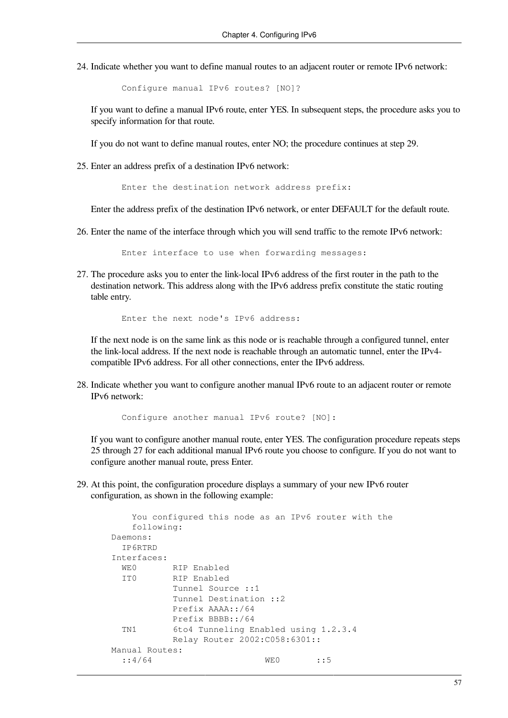24. Indicate whether you want to define manual routes to an adjacent router or remote IPv6 network:

Configure manual IPv6 routes? [NO]?

If you want to define a manual IPv6 route, enter YES. In subsequent steps, the procedure asks you to specify information for that route.

If you do not want to define manual routes, enter NO; the procedure continues at step 29.

25. Enter an address prefix of a destination IPv6 network:

Enter the destination network address prefix:

Enter the address prefix of the destination IPv6 network, or enter DEFAULT for the default route.

26. Enter the name of the interface through which you will send traffic to the remote IPv6 network:

Enter interface to use when forwarding messages:

27. The procedure asks you to enter the link-local IPv6 address of the first router in the path to the destination network. This address along with the IPv6 address prefix constitute the static routing table entry.

Enter the next node's IPv6 address:

If the next node is on the same link as this node or is reachable through a configured tunnel, enter the link-local address. If the next node is reachable through an automatic tunnel, enter the IPv4 compatible IPv6 address. For all other connections, enter the IPv6 address.

28. Indicate whether you want to configure another manual IPv6 route to an adjacent router or remote IPv6 network:

Configure another manual IPv6 route? [NO]:

If you want to configure another manual route, enter YES. The configuration procedure repeats steps 25 through 27 for each additional manual IPv6 route you choose to configure. If you do not want to configure another manual route, press Enter.

29. At this point, the configuration procedure displays a summary of your new IPv6 router configuration, as shown in the following example:

```
 You configured this node as an IPv6 router with the
    following:
 Daemons:
  IP6RTRD
 Interfaces:
 WEO RIP Enabled
   IT0 RIP Enabled
            Tunnel Source ::1
            Tunnel Destination ::2
            Prefix AAAA::/64
            Prefix BBBB::/64
   TN1 6to4 Tunneling Enabled using 1.2.3.4
            Relay Router 2002:C058:6301::
 Manual Routes:
   ::4/64 WE0 ::5
```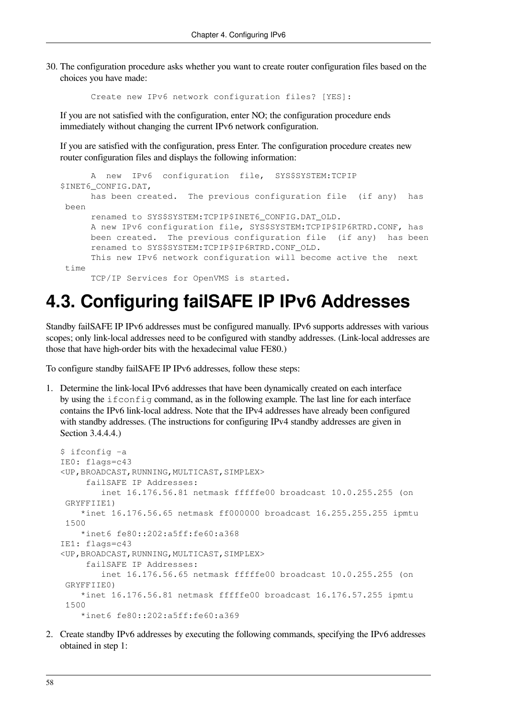30. The configuration procedure asks whether you want to create router configuration files based on the choices you have made:

Create new IPv6 network configuration files? [YES]:

If you are not satisfied with the configuration, enter NO; the configuration procedure ends immediately without changing the current IPv6 network configuration.

If you are satisfied with the configuration, press Enter. The configuration procedure creates new router configuration files and displays the following information:

```
 A new IPv6 configuration file, SYS$SYSTEM:TCPIP
$INET6_CONFIG.DAT,
      has been created. The previous configuration file (if any) has
 been
      renamed to SYS$SYSTEM:TCPIP$INET6_CONFIG.DAT_OLD.
      A new IPv6 configuration file, SYS$SYSTEM:TCPIP$IP6RTRD.CONF, has
      been created. The previous configuration file (if any) has been
      renamed to SYS$SYSTEM:TCPIP$IP6RTRD.CONF_OLD.
      This new IPv6 network configuration will become active the next 
time TCP/IP Services for OpenVMS is started.
```
## <span id="page-65-0"></span>**4.3. Configuring failSAFE IP IPv6 Addresses**

Standby failSAFE IP IPv6 addresses must be configured manually. IPv6 supports addresses with various scopes; only link-local addresses need to be configured with standby addresses. (Link-local addresses are those that have high-order bits with the hexadecimal value FE80.)

To configure standby failSAFE IP IPv6 addresses, follow these steps:

1. Determine the link-local IPv6 addresses that have been dynamically created on each interface by using the ifconfig command, as in the following example. The last line for each interface contains the IPv6 link-local address. Note that the IPv4 addresses have already been configured with standby addresses. (The instructions for configuring IPv4 standby addresses are given in [Section](#page-31-0) 3.4.4.4.)

```
$ ifconfig -a
IE0: flags=c43
<UP,BROADCAST,RUNNING,MULTICAST,SIMPLEX>
      failSAFE IP Addresses:
         inet 16.176.56.81 netmask fffffe00 broadcast 10.0.255.255 (on
 GRYFFIIE1)
     *inet 16.176.56.65 netmask ff000000 broadcast 16.255.255.255 ipmtu
  1500
     *inet6 fe80::202:a5ff:fe60:a368
IE1: flags=c43
<UP,BROADCAST,RUNNING,MULTICAST,SIMPLEX>
      failSAFE IP Addresses:
         inet 16.176.56.65 netmask fffffe00 broadcast 10.0.255.255 (on
  GRYFFIIE0)
     *inet 16.176.56.81 netmask fffffe00 broadcast 16.176.57.255 ipmtu
  1500
     *inet6 fe80::202:a5ff:fe60:a369
```
2. Create standby IPv6 addresses by executing the following commands, specifying the IPv6 addresses obtained in step 1: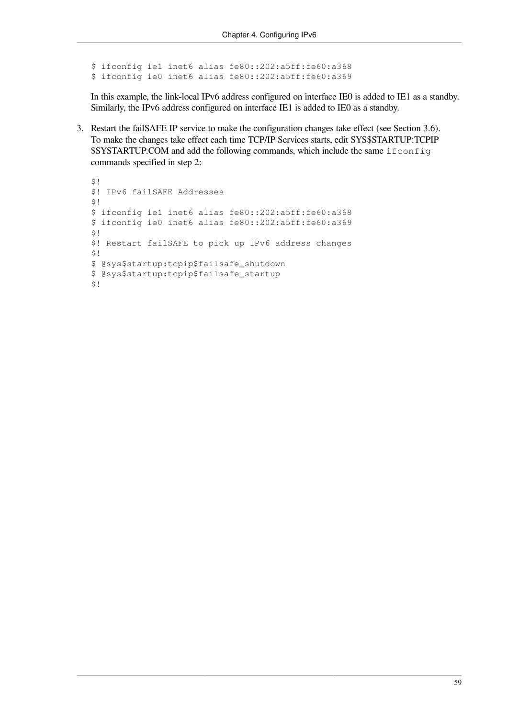\$ ifconfig ie1 inet6 alias fe80::202:a5ff:fe60:a368 \$ ifconfig ie0 inet6 alias fe80::202:a5ff:fe60:a369

In this example, the link-local IPv6 address configured on interface IE0 is added to IE1 as a standby. Similarly, the IPv6 address configured on interface IE1 is added to IE0 as a standby.

3. Restart the failSAFE IP service to make the configuration changes take effect (see [Section](#page-43-1) 3.6). To make the changes take effect each time TCP/IP Services starts, edit SYS\$STARTUP:TCPIP \$SYSTARTUP.COM and add the following commands, which include the same ifconfig commands specified in step 2:

```
$!$! IPv6 failSAFE Addresses
$!$ ifconfig ie1 inet6 alias fe80::202:a5ff:fe60:a368
$ ifconfig ie0 inet6 alias fe80::202:a5ff:fe60:a369
$!$! Restart failSAFE to pick up IPv6 address changes
$!$ @sys$startup:tcpip$failsafe_shutdown
$ @sys$startup:tcpip$failsafe_startup
$!
```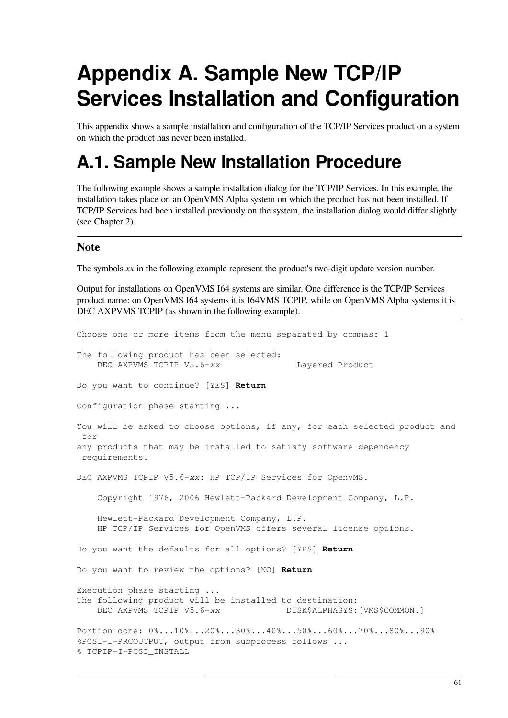# **Appendix A. Sample New TCP/IP Services Installation and Configuration**

This appendix shows a sample installation and configuration of the TCP/IP Services product on a system on which the product has never been installed.

## **A.1. Sample New Installation Procedure**

The following example shows a sample installation dialog for the TCP/IP Services. In this example, the installation takes place on an OpenVMS Alpha system on which the product has not been installed. If TCP/IP Services had been installed previously on the system, the installation dialog would differ slightly (see [Chapter](#page-16-0) 2).

#### **Note**

The symbols *xx* in the following example represent the product's two-digit update version number.

Output for installations on OpenVMS I64 systems are similar. One difference is the TCP/IP Services product name: on OpenVMS I64 systems it is I64VMS TCPIP, while on OpenVMS Alpha systems it is DEC AXPVMS TCPIP (as shown in the following example).

Choose one or more items from the menu separated by commas: 1 The following product has been selected: DEC AXPVMS TCPIP V5.6-xx Layered Product Do you want to continue? [YES] **Return** Configuration phase starting ... You will be asked to choose options, if any, for each selected product and for any products that may be installed to satisfy software dependency requirements. DEC AXPVMS TCPIP V5.6-*xx*: HP TCP/IP Services for OpenVMS. Copyright 1976, 2006 Hewlett-Packard Development Company, L.P. Hewlett-Packard Development Company, L.P. HP TCP/IP Services for OpenVMS offers several license options. Do you want the defaults for all options? [YES] **Return** Do you want to review the options? [NO] **Return** Execution phase starting ... The following product will be installed to destination: DEC AXPVMS TCPIP V5.6-*xx* DISK\$ALPHASYS:[VMS\$COMMON.] Portion done: 0%...10%...20%...30%...40%...50%...60%...70%...80%...90% %PCSI-I-PRCOUTPUT, output from subprocess follows ... % TCPIP-I-PCSI\_INSTALL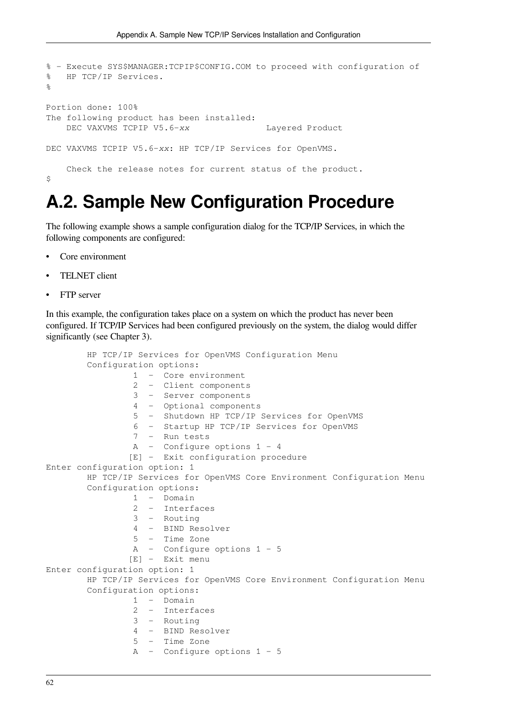```
% - Execute SYS$MANAGER:TCPIP$CONFIG.COM to proceed with configuration of
% HP TCP/IP Services.
\approxPortion done: 100%
The following product has been installed:
   DEC VAXVMS TCPIP V5.6-xx Layered Product
DEC VAXVMS TCPIP V5.6-xx: HP TCP/IP Services for OpenVMS.
    Check the release notes for current status of the product.
$
```
## **A.2. Sample New Configuration Procedure**

The following example shows a sample configuration dialog for the TCP/IP Services, in which the following components are configured:

- Core environment
- TELNET client
- FTP server

In this example, the configuration takes place on a system on which the product has never been configured. If TCP/IP Services had been configured previously on the system, the dialog would differ significantly (see [Chapter](#page-20-0) 3).

```
 HP TCP/IP Services for OpenVMS Configuration Menu
         Configuration options:
                  1 - Core environment
                  2 - Client components
                  3 - Server components
                  4 - Optional components
                  5 - Shutdown HP TCP/IP Services for OpenVMS
                  6 - Startup HP TCP/IP Services for OpenVMS
                  7 - Run tests
                  A - Configure options 1 - 4
                 [E] - Exit configuration procedure
Enter configuration option: 1
         HP TCP/IP Services for OpenVMS Core Environment Configuration Menu
         Configuration options:
                  1 - Domain
                  2 - Interfaces
                  3 - Routing
                  4 - BIND Resolver
                  5 - Time Zone
                  A - Configure options 1 - 5
                 [E] - Exit menu
Enter configuration option: 1
         HP TCP/IP Services for OpenVMS Core Environment Configuration Menu
         Configuration options:
                  1 - Domain
                  2 - Interfaces
                  3 - Routing
                  4 - BIND Resolver
                  5 - Time Zone
                  A - Configure options 1 - 5
```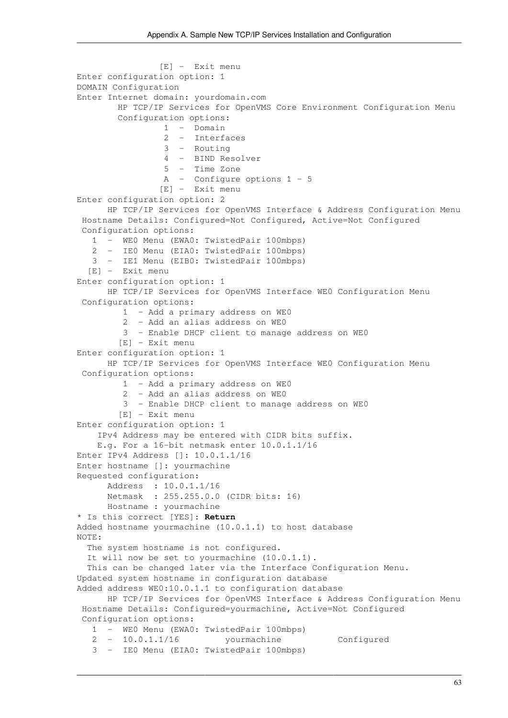```
 [E] - Exit menu
Enter configuration option: 1
DOMAIN Configuration
Enter Internet domain: yourdomain.com
        HP TCP/IP Services for OpenVMS Core Environment Configuration Menu
        Configuration options:
                  1 - Domain
                  2 - Interfaces
                  3 - Routing
                  4 - BIND Resolver
                  5 - Time Zone
                  A - Configure options 1 - 5
                 [E] - Exit menu
Enter configuration option: 2
       HP TCP/IP Services for OpenVMS Interface & Address Configuration Menu
  Hostname Details: Configured=Not Configured, Active=Not Configured
  Configuration options:
    1 - WE0 Menu (EWA0: TwistedPair 100mbps)
    2 - IE0 Menu (EIA0: TwistedPair 100mbps)
    3 - IE1 Menu (EIB0: TwistedPair 100mbps)
   [E] - Exit menu
Enter configuration option: 1
       HP TCP/IP Services for OpenVMS Interface WE0 Configuration Menu
  Configuration options:
          1 - Add a primary address on WE0
          2 - Add an alias address on WE0
          3 - Enable DHCP client to manage address on WE0
         [E] - Exit menu
Enter configuration option: 1
       HP TCP/IP Services for OpenVMS Interface WE0 Configuration Menu
  Configuration options:
          1 - Add a primary address on WE0
          2 - Add an alias address on WE0
          3 - Enable DHCP client to manage address on WE0
         [E] - Exit menu
Enter configuration option: 1
     IPv4 Address may be entered with CIDR bits suffix.
     E.g. For a 16-bit netmask enter 10.0.1.1/16
Enter IPv4 Address []: 10.0.1.1/16
Enter hostname []: yourmachine
Requested configuration:
       Address : 10.0.1.1/16
       Netmask : 255.255.0.0 (CIDR bits: 16)
       Hostname : yourmachine
* Is this correct [YES]: Return
Added hostname yourmachine (10.0.1.1) to host database
NOTE:
   The system hostname is not configured.
  It will now be set to yourmachine (10.0.1.1).
   This can be changed later via the Interface Configuration Menu.
Updated system hostname in configuration database
Added address WE0:10.0.1.1 to configuration database
       HP TCP/IP Services for OpenVMS Interface & Address Configuration Menu
  Hostname Details: Configured=yourmachine, Active=Not Configured
  Configuration options:
    1 - WE0 Menu (EWA0: TwistedPair 100mbps)
    2 - 10.0.1.1/16 yourmachine Configured
    3 - IE0 Menu (EIA0: TwistedPair 100mbps)
```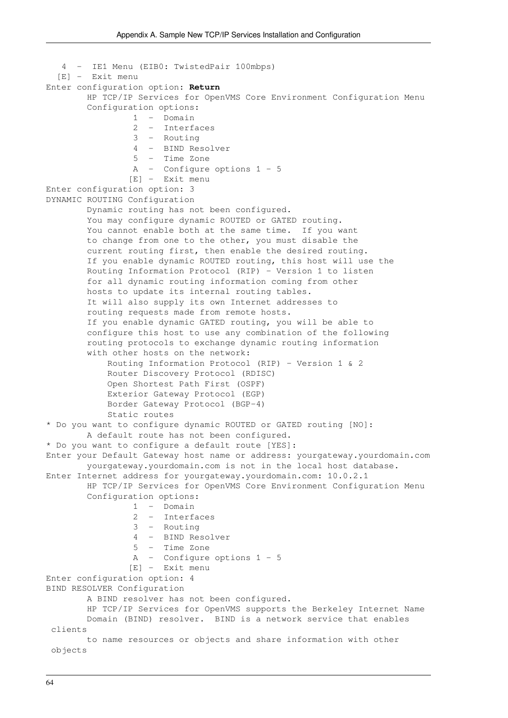```
 4 - IE1 Menu (EIB0: TwistedPair 100mbps)
   [E] - Exit menu
Enter configuration option: Return
        HP TCP/IP Services for OpenVMS Core Environment Configuration Menu
         Configuration options:
                  1 - Domain
                  2 - Interfaces
                  3 - Routing
                  4 - BIND Resolver
                  5 - Time Zone
                  A - Configure options 1 - 5
                 [E] - Exit menu
Enter configuration option: 3
DYNAMIC ROUTING Configuration
         Dynamic routing has not been configured.
         You may configure dynamic ROUTED or GATED routing.
         You cannot enable both at the same time. If you want
         to change from one to the other, you must disable the
         current routing first, then enable the desired routing.
         If you enable dynamic ROUTED routing, this host will use the
         Routing Information Protocol (RIP) - Version 1 to listen
         for all dynamic routing information coming from other
         hosts to update its internal routing tables.
         It will also supply its own Internet addresses to
         routing requests made from remote hosts.
         If you enable dynamic GATED routing, you will be able to
         configure this host to use any combination of the following
         routing protocols to exchange dynamic routing information
         with other hosts on the network:
             Routing Information Protocol (RIP) - Version 1 & 2
             Router Discovery Protocol (RDISC)
             Open Shortest Path First (OSPF)
             Exterior Gateway Protocol (EGP)
             Border Gateway Protocol (BGP-4)
             Static routes
* Do you want to configure dynamic ROUTED or GATED routing [NO]:
         A default route has not been configured.
* Do you want to configure a default route [YES]:
Enter your Default Gateway host name or address: yourgateway.yourdomain.com
         yourgateway.yourdomain.com is not in the local host database.
Enter Internet address for yourgateway.yourdomain.com: 10.0.2.1
         HP TCP/IP Services for OpenVMS Core Environment Configuration Menu
         Configuration options:
                  1 - Domain
                  2 - Interfaces
                  3 - Routing
                  4 - BIND Resolver
                  5 - Time Zone
                  A - Configure options 1 - 5
                 [E] - Exit menu
Enter configuration option: 4
BIND RESOLVER Configuration
         A BIND resolver has not been configured.
         HP TCP/IP Services for OpenVMS supports the Berkeley Internet Name
         Domain (BIND) resolver. BIND is a network service that enables
  clients
         to name resources or objects and share information with other
  objects
```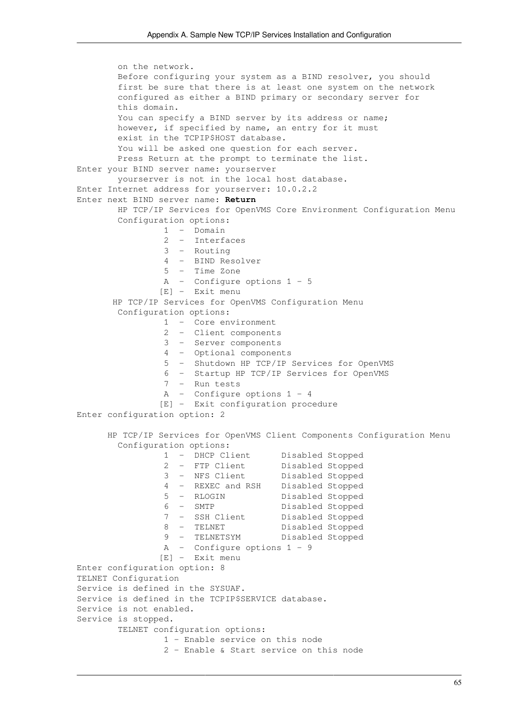```
 on the network.
        Before configuring your system as a BIND resolver, you should
        first be sure that there is at least one system on the network
        configured as either a BIND primary or secondary server for
        this domain.
        You can specify a BIND server by its address or name;
        however, if specified by name, an entry for it must
        exist in the TCPIP$HOST database.
        You will be asked one question for each server.
        Press Return at the prompt to terminate the list.
Enter your BIND server name: yourserver
        yourserver is not in the local host database.
Enter Internet address for yourserver: 10.0.2.2
Enter next BIND server name: Return
        HP TCP/IP Services for OpenVMS Core Environment Configuration Menu
        Configuration options:
                 1 - Domain
                 2 - Interfaces
                 3 - Routing
                 4 - BIND Resolver
                 5 - Time Zone
                 A - Configure options 1 - 5
                [E] - Exit menu
       HP TCP/IP Services for OpenVMS Configuration Menu
        Configuration options:
                 1 - Core environment
                 2 - Client components
                 3 - Server components
                 4 - Optional components
                 5 - Shutdown HP TCP/IP Services for OpenVMS
                 6 - Startup HP TCP/IP Services for OpenVMS
                 7 - Run tests
                 A - Configure options 1 - 4
                [E] - Exit configuration procedure
Enter configuration option: 2
      HP TCP/IP Services for OpenVMS Client Components Configuration Menu
        Configuration options:
                 1 - DHCP Client Disabled Stopped
 2 - FTP Client Disabled Stopped
 3 - NFS Client Disabled Stopped
 4 - REXEC and RSH Disabled Stopped
                 5 - RLOGIN Disabled Stopped
                 6 - SMTP Disabled Stopped
                 7 - SSH Client Disabled Stopped
                 8 - TELNET Disabled Stopped
                 9 - TELNETSYM Disabled Stopped
                 A - Configure options 1 - 9
                [E] - Exit menu
Enter configuration option: 8
TELNET Configuration
Service is defined in the SYSUAF.
Service is defined in the TCPIP$SERVICE database.
Service is not enabled.
Service is stopped.
        TELNET configuration options:
                 1 - Enable service on this node
                 2 - Enable & Start service on this node
```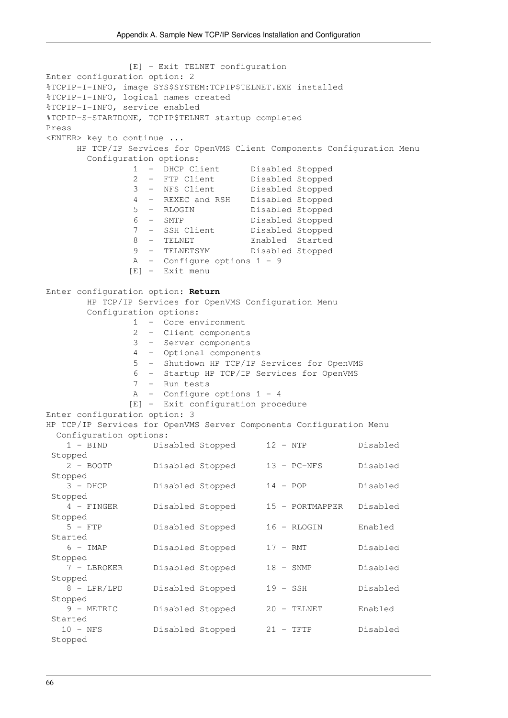[E] - Exit TELNET configuration Enter configuration option: 2 %TCPIP-I-INFO, image SYS\$SYSTEM:TCPIP\$TELNET.EXE installed %TCPIP-I-INFO, logical names created %TCPIP-I-INFO, service enabled %TCPIP-S-STARTDONE, TCPIP\$TELNET startup completed Press <ENTER> key to continue ... HP TCP/IP Services for OpenVMS Client Components Configuration Menu Configuration options: 1 - DHCP Client Disabled Stopped 2 - FTP Client Disabled Stopped 3 - NFS Client Disabled Stopped 4 - REXEC and RSH Disabled Stopped 5 - RLOGIN Disabled Stopped 6 - SMTP Disabled Stopped 7 - SSH Client Disabled Stopped 8 - TELNET Enabled Started 9 - TELNETSYM Disabled Stopped A - Configure options  $1 - 9$  [E] - Exit menu Enter configuration option: **Return** HP TCP/IP Services for OpenVMS Configuration Menu Configuration options: 1 - Core environment 2 - Client components 3 - Server components 4 - Optional components 5 - Shutdown HP TCP/IP Services for OpenVMS 6 - Startup HP TCP/IP Services for OpenVMS 7 - Run tests A - Configure options 1 - 4 [E] - Exit configuration procedure Enter configuration option: 3 HP TCP/IP Services for OpenVMS Server Components Configuration Menu Configuration options: 1 - BIND Disabled Stopped 12 - NTP Disabled Stopped 2 - BOOTP Disabled Stopped 13 - PC-NFS Disabled Stopped 3 - DHCP Disabled Stopped 14 - POP Disabled Stopped 4 - FINGER Disabled Stopped 15 - PORTMAPPER Disabled Stopped 5 - FTP Disabled Stopped 16 - RLOGIN Enabled Started 6 - IMAP Disabled Stopped 17 - RMT Disabled Stopped 7 - LBROKER Disabled Stopped 18 - SNMP Disabled Stopped 8 - LPR/LPD Disabled Stopped 19 - SSH Disabled Stopped 9 - METRIC Disabled Stopped 20 - TELNET Enabled Started 10 - NFS Disabled Stopped 21 - TFTP Disabled Stopped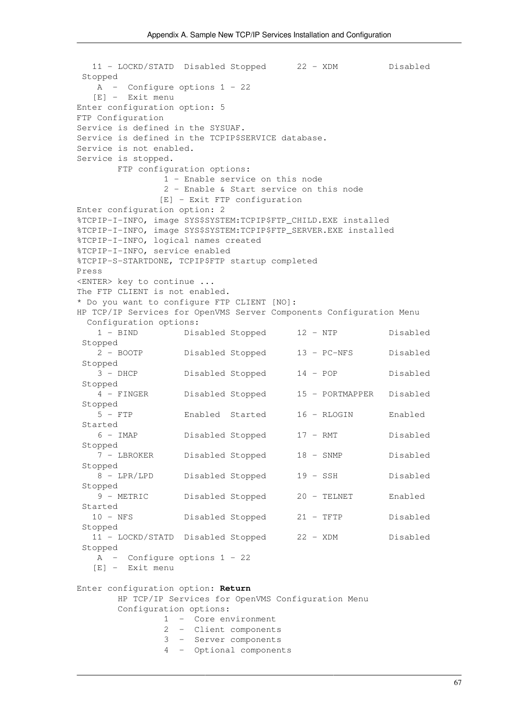```
 11 - LOCKD/STATD Disabled Stopped 22 - XDM Disabled
 Stopped
    A - Configure options 1 - 22
   [E] - Exit menu
Enter configuration option: 5
FTP Configuration
Service is defined in the SYSUAF.
Service is defined in the TCPIP$SERVICE database.
Service is not enabled.
Service is stopped.
        FTP configuration options:
                1 - Enable service on this node
                2 - Enable & Start service on this node
               [E] - Exit FTP configuration
Enter configuration option: 2
%TCPIP-I-INFO, image SYS$SYSTEM:TCPIP$FTP_CHILD.EXE installed
%TCPIP-I-INFO, image SYS$SYSTEM:TCPIP$FTP_SERVER.EXE installed
%TCPIP-I-INFO, logical names created
%TCPIP-I-INFO, service enabled
%TCPIP-S-STARTDONE, TCPIP$FTP startup completed
Press
<ENTER> key to continue ...
The FTP CLIENT is not enabled.
* Do you want to configure FTP CLIENT [NO]:
HP TCP/IP Services for OpenVMS Server Components Configuration Menu
  Configuration options:
    1 - BIND Disabled Stopped 12 - NTP Disabled
 Stopped
    2 - BOOTP Disabled Stopped 13 - PC-NFS Disabled
  Stopped
    3 - DHCP Disabled Stopped 14 - POP Disabled
 Stopped
    4 - FINGER Disabled Stopped 15 - PORTMAPPER Disabled
  Stopped
    5 - FTP Enabled Started 16 - RLOGIN Enabled 
 Started
    6 - IMAP Disabled Stopped 17 - RMT Disabled
  Stopped
    7 - LBROKER Disabled Stopped 18 - SNMP Disabled
 Stopped
    8 - LPR/LPD Disabled Stopped 19 - SSH Disabled
  Stopped
    9 - METRIC Disabled Stopped 20 - TELNET Enabled 
 Started
   10 - NFS Disabled Stopped 21 - TFTP Disabled
 Stopped
   11 - LOCKD/STATD Disabled Stopped 22 - XDM Disabled
 Stopped
    A - Configure options 1 - 22
   [E] - Exit menu
Enter configuration option: Return
        HP TCP/IP Services for OpenVMS Configuration Menu
        Configuration options:
                1 - Core environment
                2 - Client components
                3 - Server components
                4 - Optional components
```